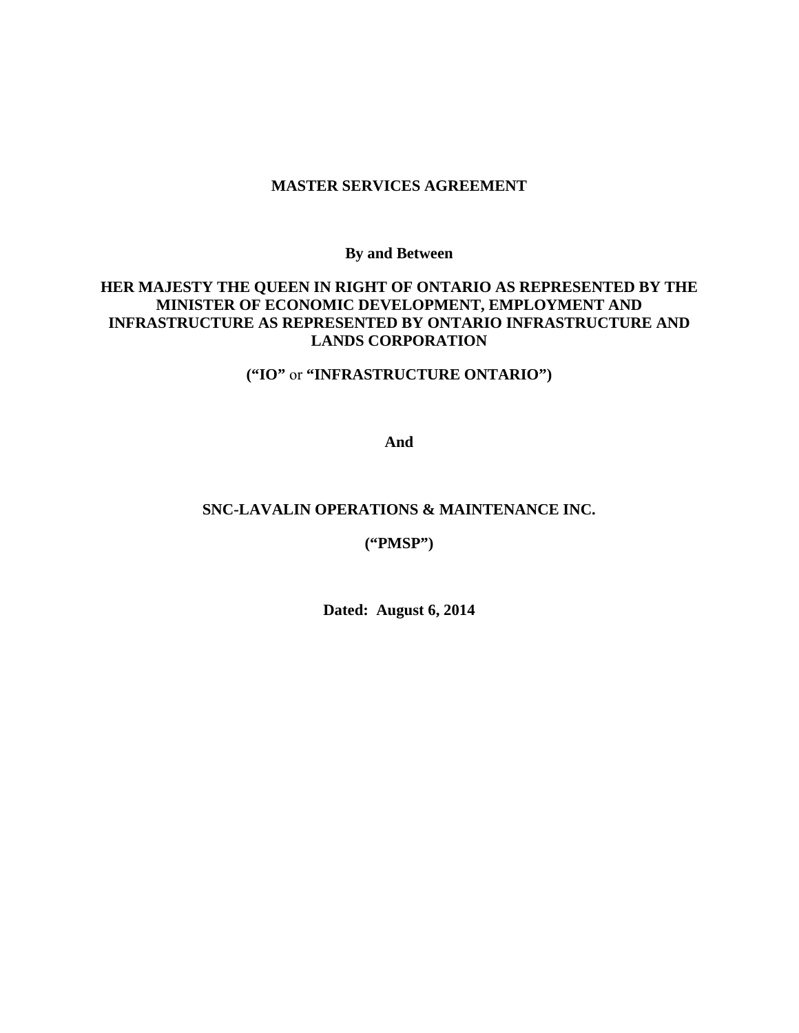#### **MASTER SERVICES AGREEMENT**

**By and Between** 

### **HER MAJESTY THE QUEEN IN RIGHT OF ONTARIO AS REPRESENTED BY THE MINISTER OF ECONOMIC DEVELOPMENT, EMPLOYMENT AND INFRASTRUCTURE AS REPRESENTED BY ONTARIO INFRASTRUCTURE AND LANDS CORPORATION**

### **("IO"** or **"INFRASTRUCTURE ONTARIO")**

**And** 

#### **SNC-LAVALIN OPERATIONS & MAINTENANCE INC.**

#### **("PMSP")**

**Dated: August 6, 2014**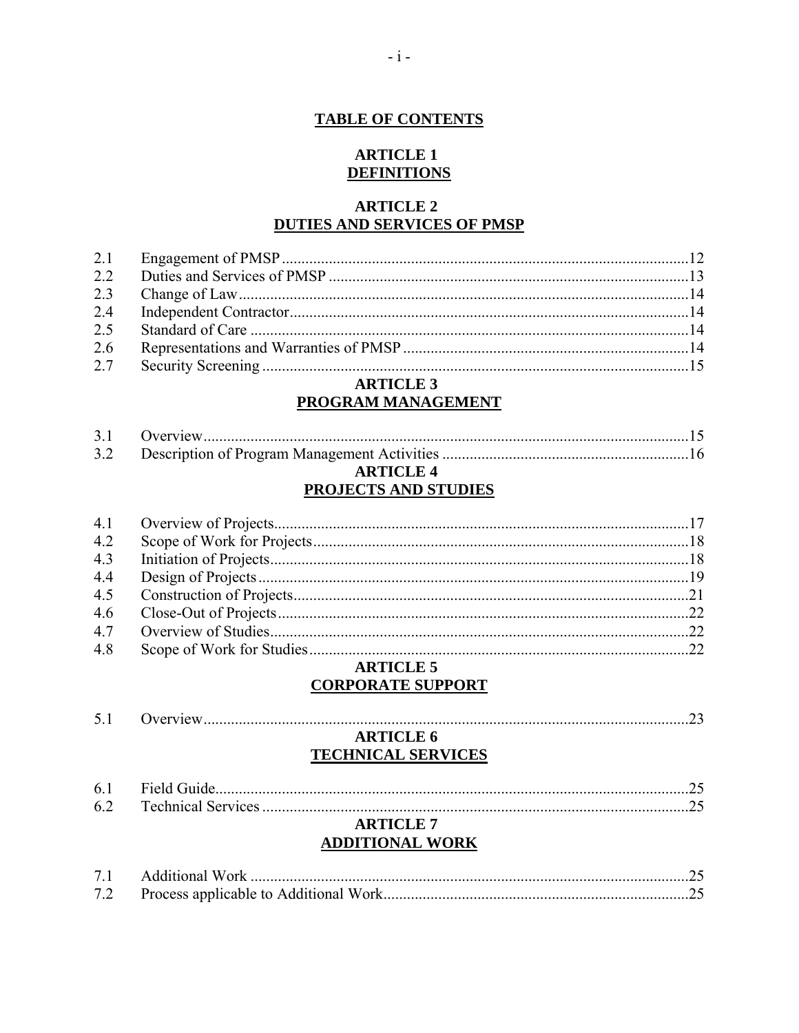### **TABLE OF CONTENTS**

#### **ARTICLE 1 DEFINITIONS**

### **ARTICLE 2 DUTIES AND SERVICES OF PMSP**

| 2.6 |  |
|-----|--|
| 2.5 |  |
|     |  |
|     |  |
|     |  |
|     |  |

#### **ARTICLE 3 PROGRAM MANAGEMENT**

### **ARTICLE 4 PROJECTS AND STUDIES**

| 4.2 |  |
|-----|--|
| 4.3 |  |
| 4.4 |  |
| 4.5 |  |
| 4.6 |  |
| 4.7 |  |
| 4.8 |  |
|     |  |

#### **ARTICLE 5 CORPORATE SUPPORT**

| <b>ARTICLE 6</b>       |                           |
|------------------------|---------------------------|
|                        |                           |
|                        |                           |
|                        |                           |
| <b>ARTICLE 7</b>       |                           |
| <b>ADDITIONAL WORK</b> |                           |
|                        | <b>TECHNICAL SERVICES</b> |

| 7.2 |  |
|-----|--|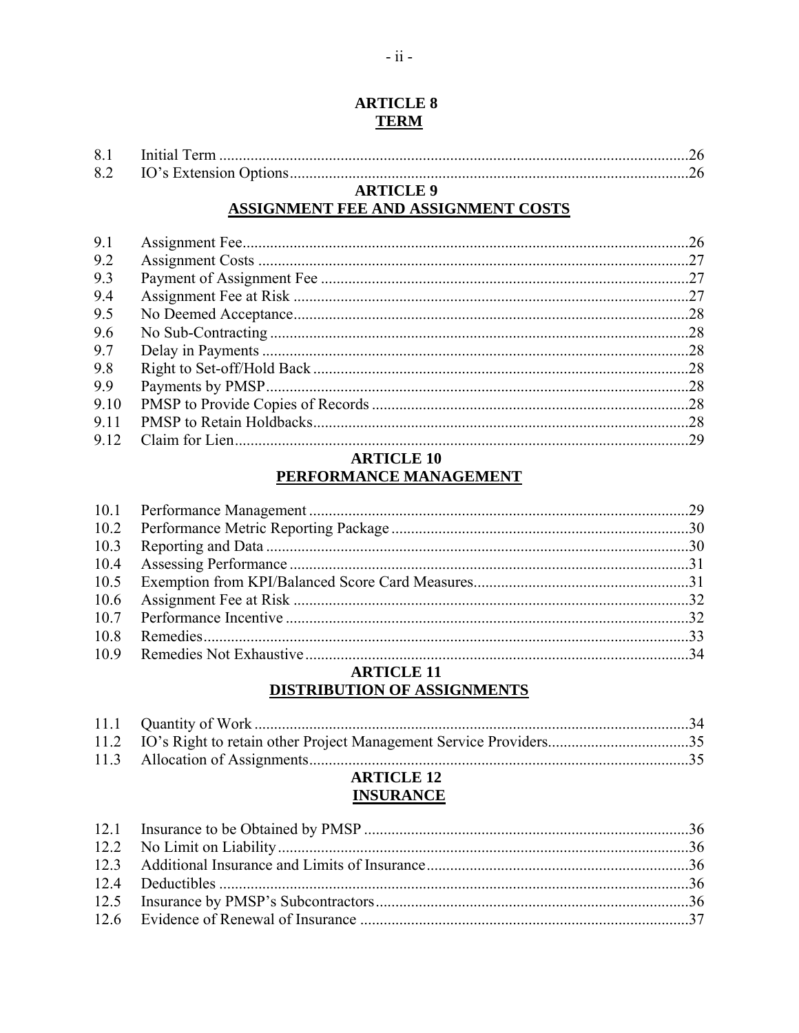### **ARTICLE 8 TERM**

### **ARTICLE 9** ASSIGNMENT FEE AND ASSIGNMENT COSTS

| 9.1  |  |
|------|--|
| 9.2  |  |
| 9.3  |  |
| 9.4  |  |
| 9.5  |  |
| 9.6  |  |
| 9.7  |  |
| 9.8  |  |
| 9.9  |  |
| 9.10 |  |
| 9.11 |  |
| 9.12 |  |

### **ARTICLE 10** PERFORMANCE MANAGEMENT

### **ARTICLE 11 DISTRIBUTION OF ASSIGNMENTS**

| <b>ARTICLE 12</b> |  |
|-------------------|--|

# **INSURANCE**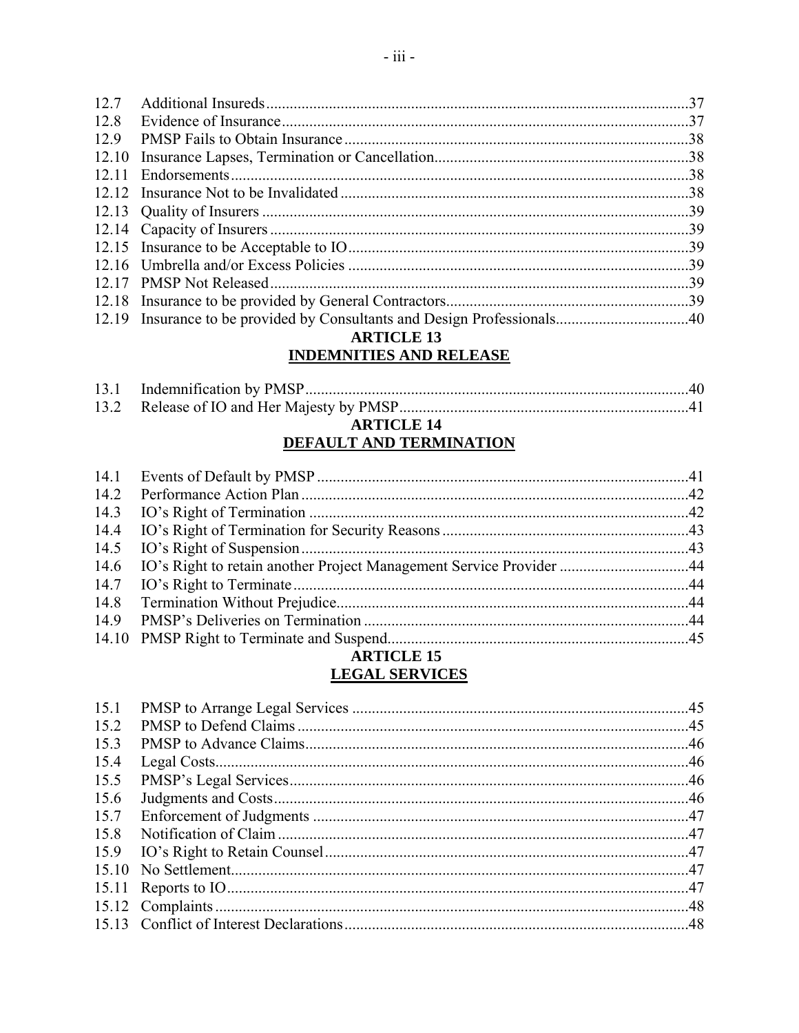| $\frac{30}{2}$<br>12.14 Canacity of Insurers |  |
|----------------------------------------------|--|

### **ARTICLE 13 INDEMNITIES AND RELEASE**

| $\blacksquare$ DELAL E 44 |  |
|---------------------------|--|
|                           |  |
|                           |  |
|                           |  |
|                           |  |

#### **ARTICLE 14** DEFAULT AND TERMINATION

| <b>ARTICLE 15</b> |  |
|-------------------|--|

## **LEGAL SERVICES**

| 15.1 |  |
|------|--|
| 15.2 |  |
| 15.3 |  |
| 15.4 |  |
| 15.5 |  |
| 15.6 |  |
| 15.7 |  |
| 15.8 |  |
|      |  |
|      |  |
|      |  |
|      |  |
|      |  |
|      |  |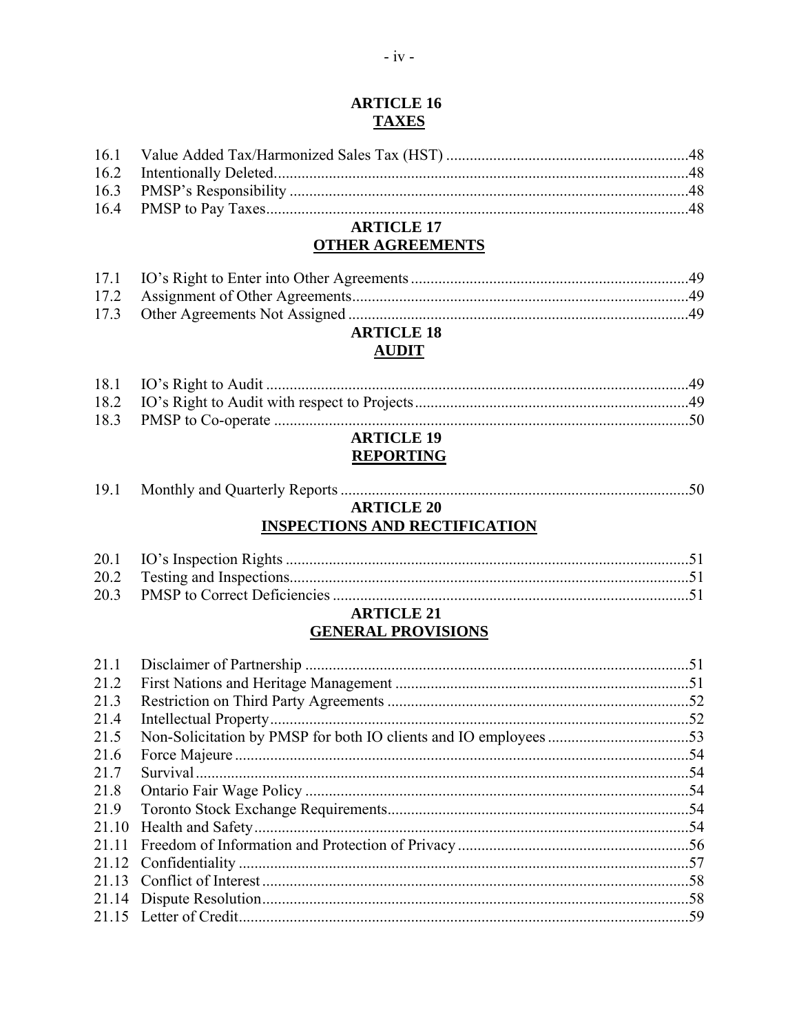### **ARTICLE 16 TAXES**

### **ARTICLE 17 OTHER AGREEMENTS**

# **ARTICLE 18**

### **AUDIT**

| <b>ARTICLE 19</b> |  |
|-------------------|--|
|                   |  |
|                   |  |
|                   |  |

# **REPORTING**

| 19.1 |                   |  |
|------|-------------------|--|
|      | <b>ARTICLE 20</b> |  |

## **INSPECTIONS AND RECTIFICATION**

### **ARTICLE 21 GENERAL PROVISIONS**

| 21.1 |     |
|------|-----|
| 21.2 |     |
| 21.3 |     |
| 21.4 |     |
| 21.5 |     |
| 21.6 | .54 |
| 21.7 |     |
| 21.8 |     |
| 21.9 |     |
|      |     |
|      |     |
|      |     |
|      | 58  |
|      | 58  |
|      |     |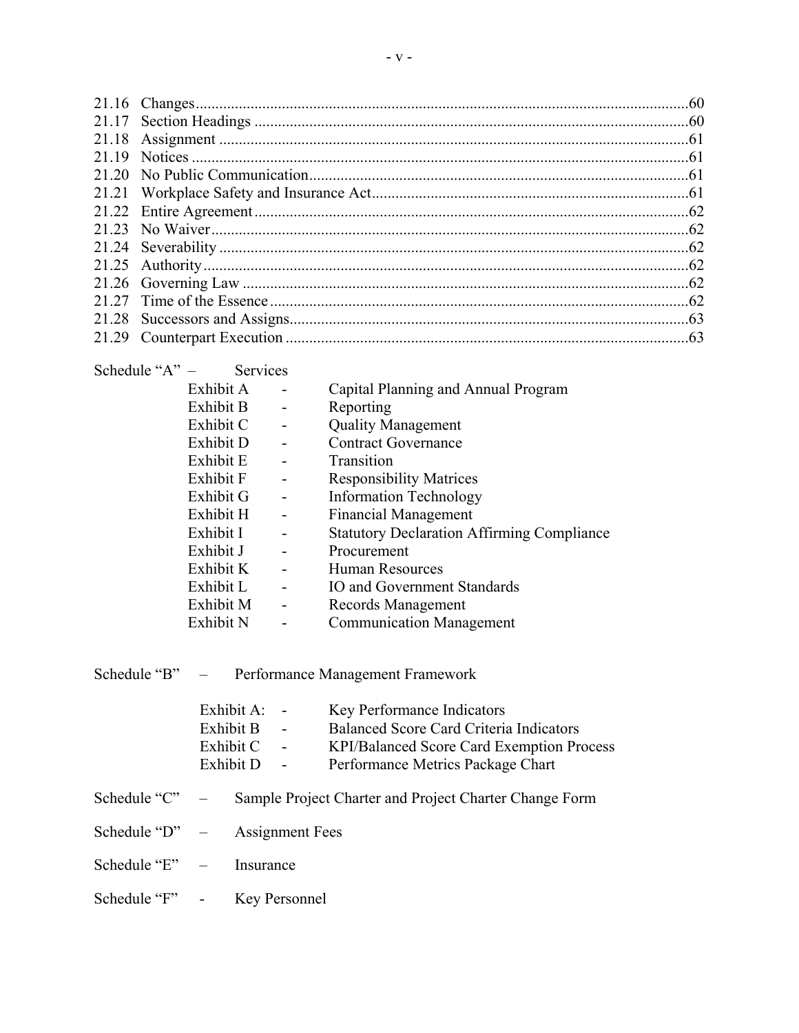| Schedule " $A$ " $-$ | <b>Services</b> |                          |                                                   |
|----------------------|-----------------|--------------------------|---------------------------------------------------|
|                      | Exhibit A       |                          | Capital Planning and Annual Program               |
|                      | Exhibit B       | $\overline{\phantom{a}}$ | Reporting                                         |
|                      | Exhibit C       | $\overline{\phantom{a}}$ | <b>Quality Management</b>                         |
|                      | Exhibit D       |                          | <b>Contract Governance</b>                        |
|                      | Exhibit E       |                          | Transition                                        |
|                      | Exhibit F       | $\overline{\phantom{0}}$ | <b>Responsibility Matrices</b>                    |
|                      | Exhibit G       | $\overline{\phantom{0}}$ | <b>Information Technology</b>                     |
|                      | Exhibit H       | $\overline{\phantom{a}}$ | <b>Financial Management</b>                       |
|                      | Exhibit I       |                          | <b>Statutory Declaration Affirming Compliance</b> |
|                      | Exhibit J       |                          | Procurement                                       |
|                      | Exhibit K       |                          | Human Resources                                   |
|                      | Exhibit L       | $\overline{\phantom{a}}$ | IO and Government Standards                       |
|                      | Exhibit M       | $\overline{\phantom{0}}$ | Records Management                                |
|                      | Exhibit N       | -                        | <b>Communication Management</b>                   |
|                      |                 |                          |                                                   |
|                      |                 |                          |                                                   |
| Schedule "B"         |                 |                          | Performance Management Framework                  |

|              | Exhibit A:<br>Exhibit B<br>$\overline{\phantom{a}}$<br>Exhibit C<br>Exhibit D<br>$\sim$ $-$ | Key Performance Indicators<br>Balanced Score Card Criteria Indicators<br><b>KPI/Balanced Score Card Exemption Process</b><br>Performance Metrics Package Chart |
|--------------|---------------------------------------------------------------------------------------------|----------------------------------------------------------------------------------------------------------------------------------------------------------------|
| Schedule "C" |                                                                                             | Sample Project Charter and Project Charter Change Form                                                                                                         |

- Schedule "D" Assignment Fees
- Schedule "E" Insurance
- Schedule "F" Key Personnel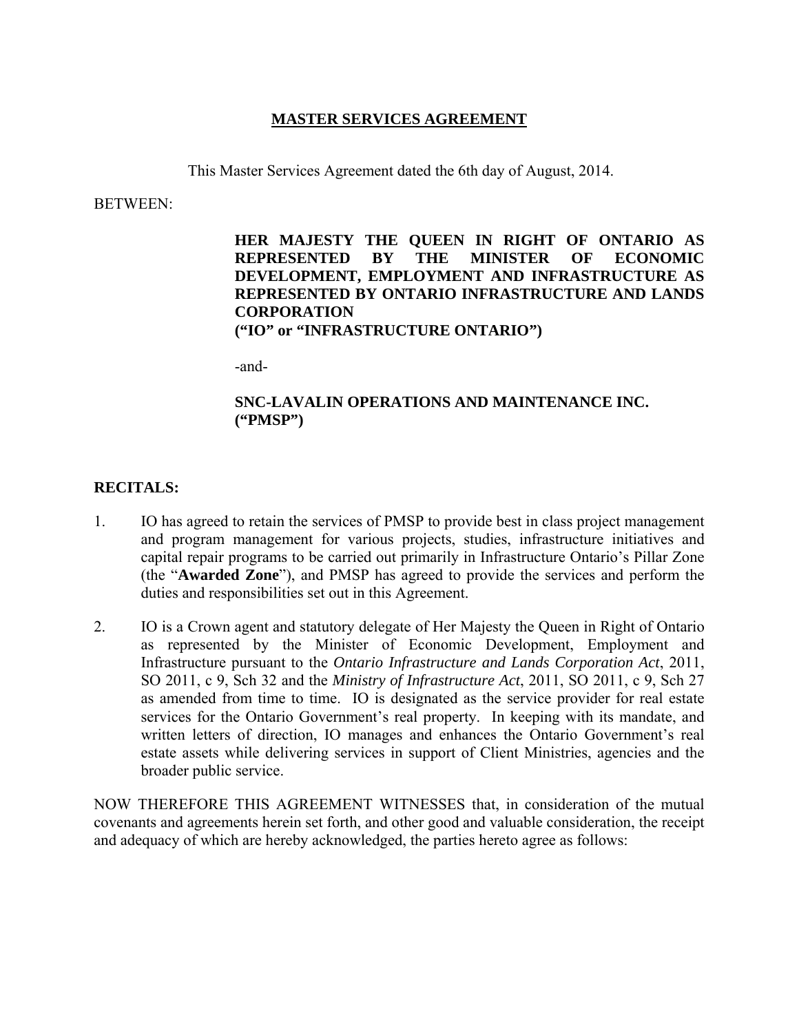### **MASTER SERVICES AGREEMENT**

This Master Services Agreement dated the 6th day of August, 2014.

BETWEEN:

**HER MAJESTY THE QUEEN IN RIGHT OF ONTARIO AS REPRESENTED BY THE MINISTER OF ECONOMIC DEVELOPMENT, EMPLOYMENT AND INFRASTRUCTURE AS REPRESENTED BY ONTARIO INFRASTRUCTURE AND LANDS CORPORATION ("IO" or "INFRASTRUCTURE ONTARIO")**

-and-

### **SNC-LAVALIN OPERATIONS AND MAINTENANCE INC. ("PMSP")**

### **RECITALS:**

- 1. IO has agreed to retain the services of PMSP to provide best in class project management and program management for various projects, studies, infrastructure initiatives and capital repair programs to be carried out primarily in Infrastructure Ontario's Pillar Zone (the "**Awarded Zone**"), and PMSP has agreed to provide the services and perform the duties and responsibilities set out in this Agreement.
- 2. IO is a Crown agent and statutory delegate of Her Majesty the Queen in Right of Ontario as represented by the Minister of Economic Development, Employment and Infrastructure pursuant to the *Ontario Infrastructure and Lands Corporation Act*, 2011, SO 2011, c 9, Sch 32 and the *Ministry of Infrastructure Act*, 2011, SO 2011, c 9, Sch 27 as amended from time to time. IO is designated as the service provider for real estate services for the Ontario Government's real property. In keeping with its mandate, and written letters of direction, IO manages and enhances the Ontario Government's real estate assets while delivering services in support of Client Ministries, agencies and the broader public service.

NOW THEREFORE THIS AGREEMENT WITNESSES that, in consideration of the mutual covenants and agreements herein set forth, and other good and valuable consideration, the receipt and adequacy of which are hereby acknowledged, the parties hereto agree as follows: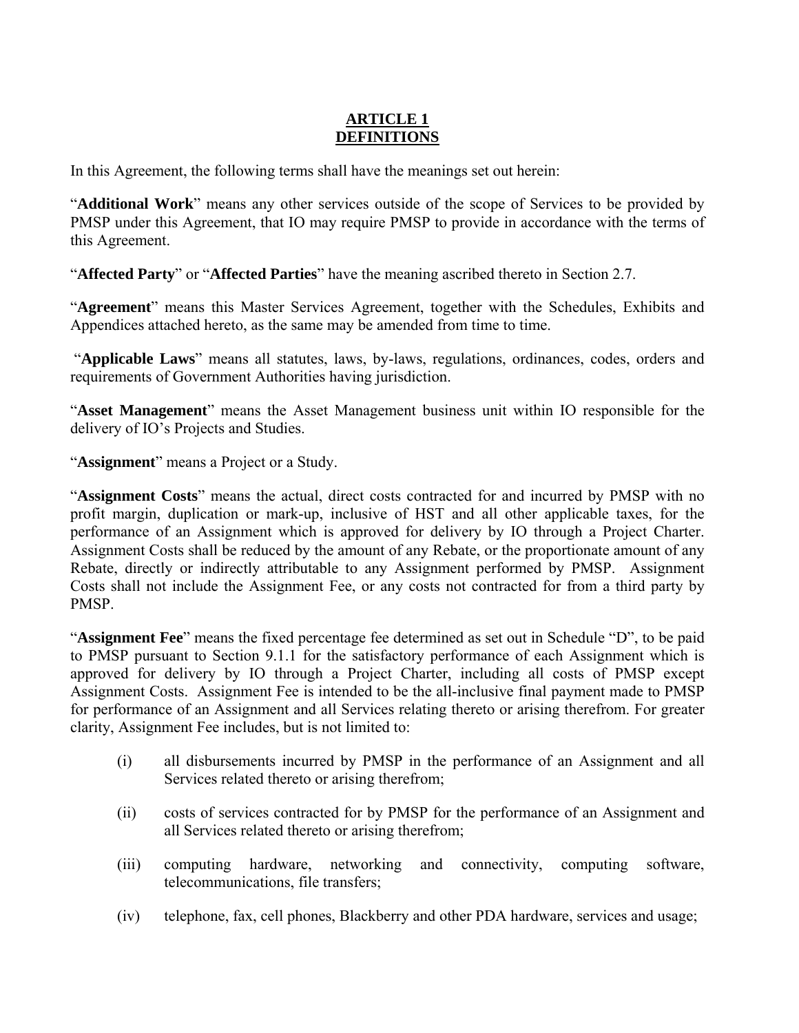### **ARTICLE 1 DEFINITIONS**

In this Agreement, the following terms shall have the meanings set out herein:

"**Additional Work**" means any other services outside of the scope of Services to be provided by PMSP under this Agreement, that IO may require PMSP to provide in accordance with the terms of this Agreement.

"**Affected Party**" or "**Affected Parties**" have the meaning ascribed thereto in Section 2.7.

"**Agreement**" means this Master Services Agreement, together with the Schedules, Exhibits and Appendices attached hereto, as the same may be amended from time to time.

 "**Applicable Laws**" means all statutes, laws, by-laws, regulations, ordinances, codes, orders and requirements of Government Authorities having jurisdiction.

"**Asset Management**" means the Asset Management business unit within IO responsible for the delivery of IO's Projects and Studies.

"**Assignment**" means a Project or a Study.

"**Assignment Costs**" means the actual, direct costs contracted for and incurred by PMSP with no profit margin, duplication or mark-up, inclusive of HST and all other applicable taxes, for the performance of an Assignment which is approved for delivery by IO through a Project Charter. Assignment Costs shall be reduced by the amount of any Rebate, or the proportionate amount of any Rebate, directly or indirectly attributable to any Assignment performed by PMSP. Assignment Costs shall not include the Assignment Fee, or any costs not contracted for from a third party by PMSP.

"**Assignment Fee**" means the fixed percentage fee determined as set out in Schedule "D", to be paid to PMSP pursuant to Section 9.1.1 for the satisfactory performance of each Assignment which is approved for delivery by IO through a Project Charter, including all costs of PMSP except Assignment Costs. Assignment Fee is intended to be the all-inclusive final payment made to PMSP for performance of an Assignment and all Services relating thereto or arising therefrom. For greater clarity, Assignment Fee includes, but is not limited to:

- (i) all disbursements incurred by PMSP in the performance of an Assignment and all Services related thereto or arising therefrom;
- (ii) costs of services contracted for by PMSP for the performance of an Assignment and all Services related thereto or arising therefrom;
- (iii) computing hardware, networking and connectivity, computing software, telecommunications, file transfers;
- (iv) telephone, fax, cell phones, Blackberry and other PDA hardware, services and usage;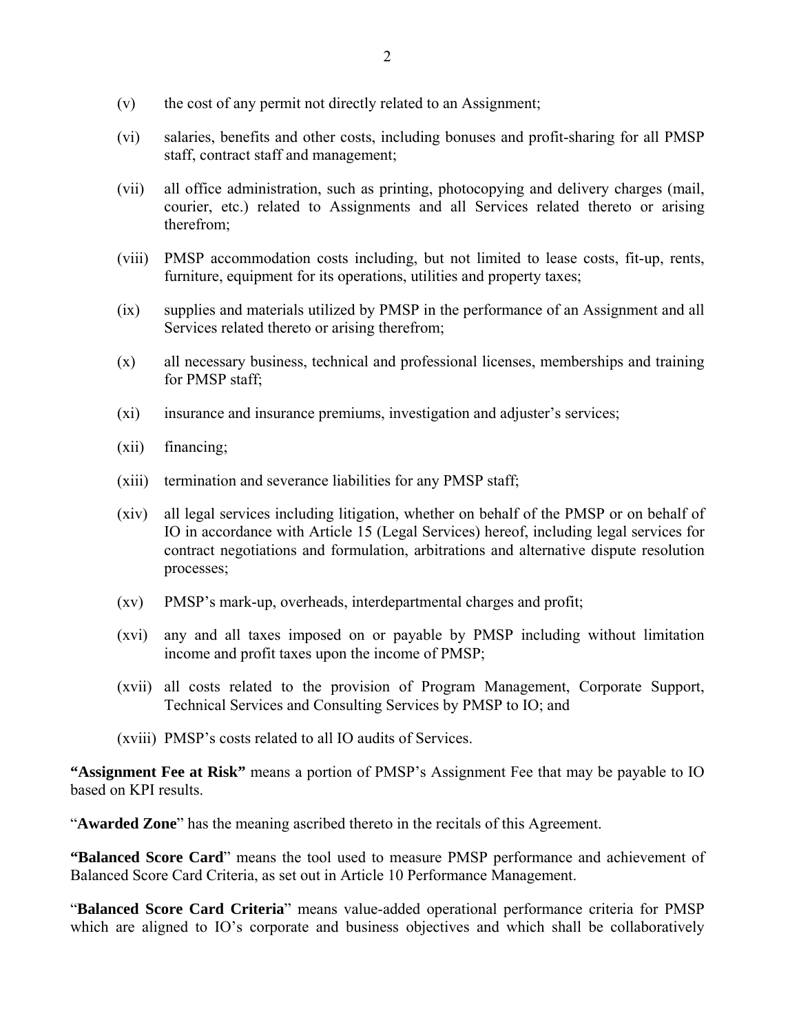- (v) the cost of any permit not directly related to an Assignment;
- (vi) salaries, benefits and other costs, including bonuses and profit-sharing for all PMSP staff, contract staff and management;
- (vii) all office administration, such as printing, photocopying and delivery charges (mail, courier, etc.) related to Assignments and all Services related thereto or arising therefrom;
- (viii) PMSP accommodation costs including, but not limited to lease costs, fit-up, rents, furniture, equipment for its operations, utilities and property taxes;
- (ix) supplies and materials utilized by PMSP in the performance of an Assignment and all Services related thereto or arising therefrom;
- (x) all necessary business, technical and professional licenses, memberships and training for PMSP staff;
- (xi) insurance and insurance premiums, investigation and adjuster's services;
- (xii) financing;
- (xiii) termination and severance liabilities for any PMSP staff;
- (xiv) all legal services including litigation, whether on behalf of the PMSP or on behalf of IO in accordance with Article 15 (Legal Services) hereof, including legal services for contract negotiations and formulation, arbitrations and alternative dispute resolution processes;
- (xv) PMSP's mark-up, overheads, interdepartmental charges and profit;
- (xvi) any and all taxes imposed on or payable by PMSP including without limitation income and profit taxes upon the income of PMSP;
- (xvii) all costs related to the provision of Program Management, Corporate Support, Technical Services and Consulting Services by PMSP to IO; and
- (xviii) PMSP's costs related to all IO audits of Services.

**"Assignment Fee at Risk"** means a portion of PMSP's Assignment Fee that may be payable to IO based on KPI results.

"**Awarded Zone**" has the meaning ascribed thereto in the recitals of this Agreement.

**"Balanced Score Card**" means the tool used to measure PMSP performance and achievement of Balanced Score Card Criteria, as set out in Article 10 Performance Management.

"**Balanced Score Card Criteria**" means value-added operational performance criteria for PMSP which are aligned to IO's corporate and business objectives and which shall be collaboratively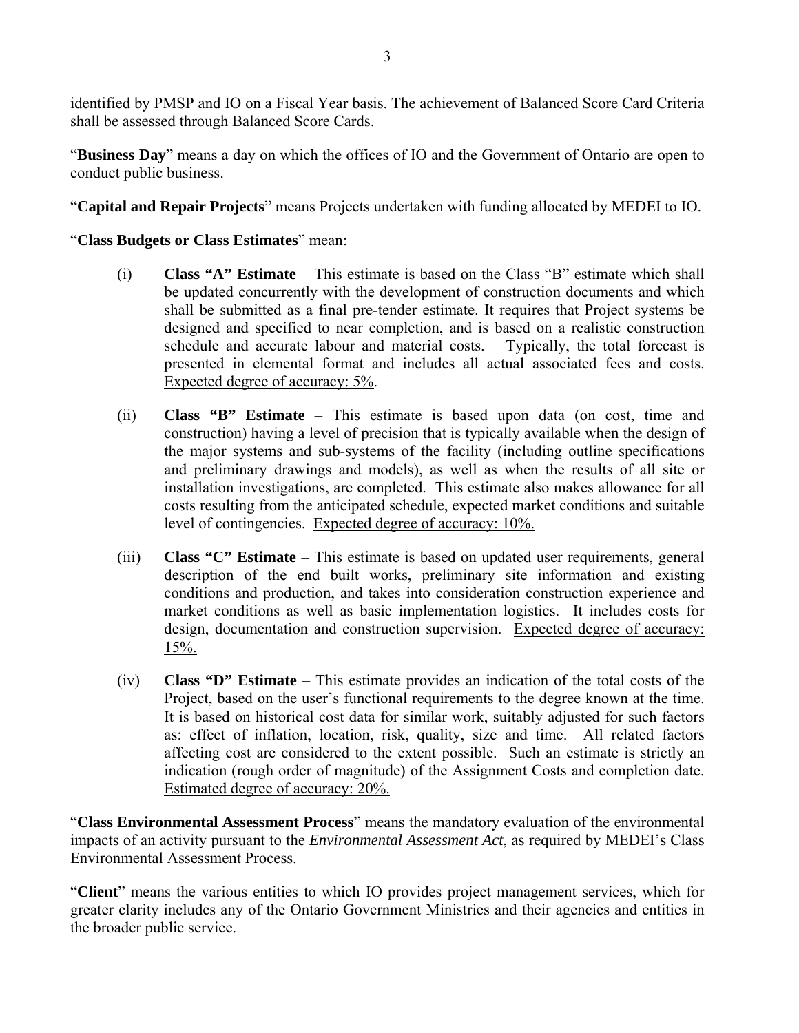identified by PMSP and IO on a Fiscal Year basis. The achievement of Balanced Score Card Criteria shall be assessed through Balanced Score Cards.

"**Business Day**" means a day on which the offices of IO and the Government of Ontario are open to conduct public business.

"**Capital and Repair Projects**" means Projects undertaken with funding allocated by MEDEI to IO.

### "**Class Budgets or Class Estimates**" mean:

- (i) **Class "A" Estimate** This estimate is based on the Class "B" estimate which shall be updated concurrently with the development of construction documents and which shall be submitted as a final pre-tender estimate. It requires that Project systems be designed and specified to near completion, and is based on a realistic construction schedule and accurate labour and material costs. Typically, the total forecast is presented in elemental format and includes all actual associated fees and costs. Expected degree of accuracy: 5%.
- (ii) **Class "B" Estimate** This estimate is based upon data (on cost, time and construction) having a level of precision that is typically available when the design of the major systems and sub-systems of the facility (including outline specifications and preliminary drawings and models), as well as when the results of all site or installation investigations, are completed. This estimate also makes allowance for all costs resulting from the anticipated schedule, expected market conditions and suitable level of contingencies. Expected degree of accuracy: 10%.
- (iii) **Class "C" Estimate** This estimate is based on updated user requirements, general description of the end built works, preliminary site information and existing conditions and production, and takes into consideration construction experience and market conditions as well as basic implementation logistics. It includes costs for design, documentation and construction supervision. Expected degree of accuracy: 15%.
- (iv) **Class "D" Estimate** This estimate provides an indication of the total costs of the Project, based on the user's functional requirements to the degree known at the time. It is based on historical cost data for similar work, suitably adjusted for such factors as: effect of inflation, location, risk, quality, size and time. All related factors affecting cost are considered to the extent possible. Such an estimate is strictly an indication (rough order of magnitude) of the Assignment Costs and completion date. Estimated degree of accuracy: 20%.

"**Class Environmental Assessment Process**" means the mandatory evaluation of the environmental impacts of an activity pursuant to the *Environmental Assessment Act*, as required by MEDEI's Class Environmental Assessment Process.

"**Client**" means the various entities to which IO provides project management services, which for greater clarity includes any of the Ontario Government Ministries and their agencies and entities in the broader public service.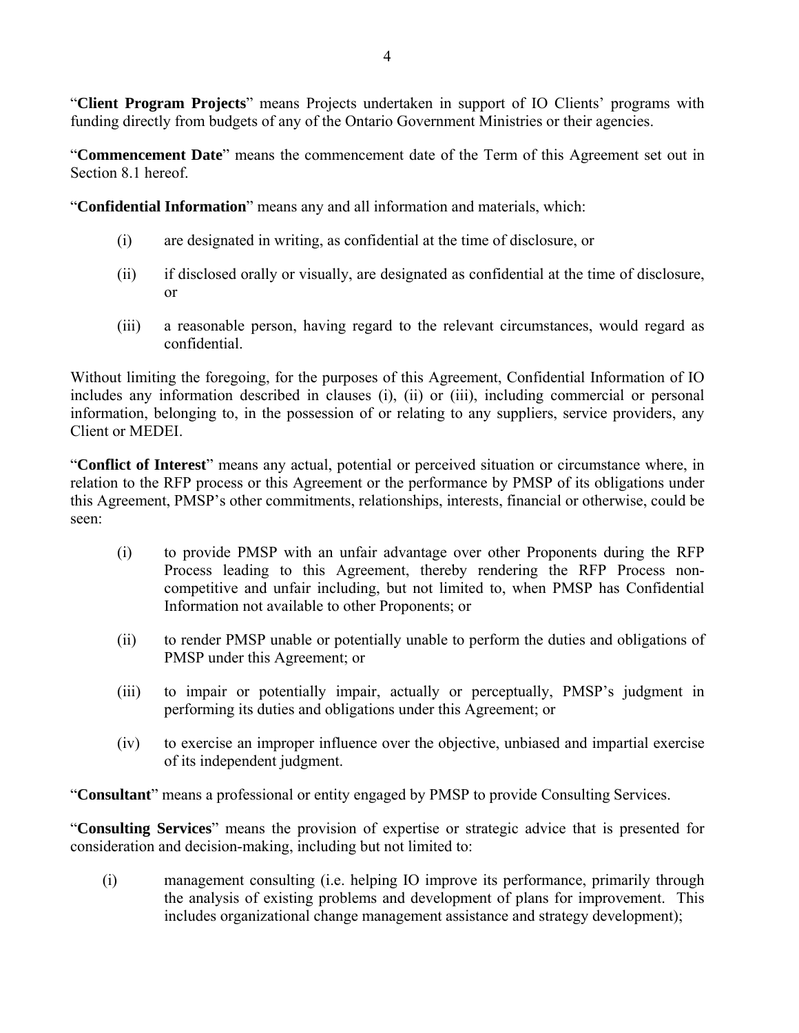"**Client Program Projects**" means Projects undertaken in support of IO Clients' programs with funding directly from budgets of any of the Ontario Government Ministries or their agencies.

"**Commencement Date**" means the commencement date of the Term of this Agreement set out in Section 8.1 hereof.

"**Confidential Information**" means any and all information and materials, which:

- (i) are designated in writing, as confidential at the time of disclosure, or
- (ii) if disclosed orally or visually, are designated as confidential at the time of disclosure, or
- (iii) a reasonable person, having regard to the relevant circumstances, would regard as confidential.

Without limiting the foregoing, for the purposes of this Agreement, Confidential Information of IO includes any information described in clauses (i), (ii) or (iii), including commercial or personal information, belonging to, in the possession of or relating to any suppliers, service providers, any Client or MEDEI.

"**Conflict of Interest**" means any actual, potential or perceived situation or circumstance where, in relation to the RFP process or this Agreement or the performance by PMSP of its obligations under this Agreement, PMSP's other commitments, relationships, interests, financial or otherwise, could be seen:

- (i) to provide PMSP with an unfair advantage over other Proponents during the RFP Process leading to this Agreement, thereby rendering the RFP Process noncompetitive and unfair including, but not limited to, when PMSP has Confidential Information not available to other Proponents; or
- (ii) to render PMSP unable or potentially unable to perform the duties and obligations of PMSP under this Agreement; or
- (iii) to impair or potentially impair, actually or perceptually, PMSP's judgment in performing its duties and obligations under this Agreement; or
- (iv) to exercise an improper influence over the objective, unbiased and impartial exercise of its independent judgment.

"**Consultant**" means a professional or entity engaged by PMSP to provide Consulting Services.

"**Consulting Services**" means the provision of expertise or strategic advice that is presented for consideration and decision-making, including but not limited to:

(i) management consulting (i.e. helping IO improve its performance, primarily through the analysis of existing problems and development of plans for improvement. This includes organizational change management assistance and strategy development);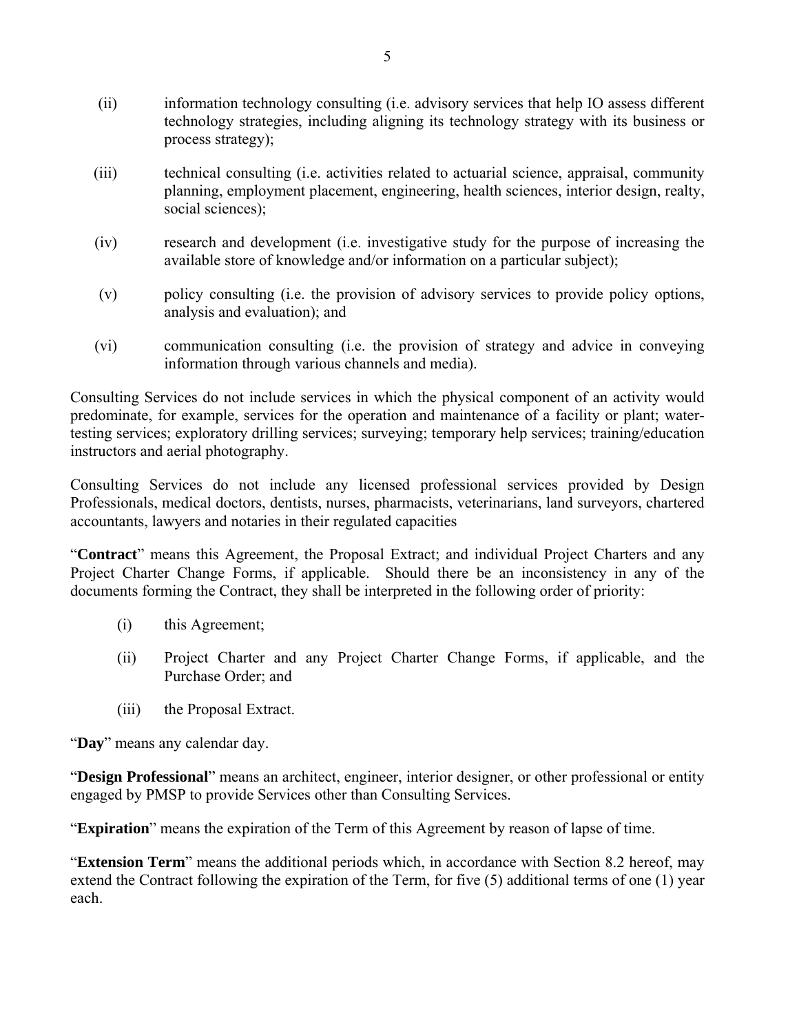- (ii) information technology consulting (i.e. advisory services that help IO assess different technology strategies, including aligning its technology strategy with its business or process strategy);
- (iii) technical consulting (i.e. activities related to actuarial science, appraisal, community planning, employment placement, engineering, health sciences, interior design, realty, social sciences);
- (iv) research and development (i.e. investigative study for the purpose of increasing the available store of knowledge and/or information on a particular subject);
- (v) policy consulting (i.e. the provision of advisory services to provide policy options, analysis and evaluation); and
- (vi) communication consulting (i.e. the provision of strategy and advice in conveying information through various channels and media).

Consulting Services do not include services in which the physical component of an activity would predominate, for example, services for the operation and maintenance of a facility or plant; watertesting services; exploratory drilling services; surveying; temporary help services; training/education instructors and aerial photography.

Consulting Services do not include any licensed professional services provided by Design Professionals, medical doctors, dentists, nurses, pharmacists, veterinarians, land surveyors, chartered accountants, lawyers and notaries in their regulated capacities

"**Contract**" means this Agreement, the Proposal Extract; and individual Project Charters and any Project Charter Change Forms, if applicable. Should there be an inconsistency in any of the documents forming the Contract, they shall be interpreted in the following order of priority:

- (i) this Agreement;
- (ii) Project Charter and any Project Charter Change Forms, if applicable, and the Purchase Order; and
- (iii) the Proposal Extract.

"**Day**" means any calendar day.

"**Design Professional**" means an architect, engineer, interior designer, or other professional or entity engaged by PMSP to provide Services other than Consulting Services.

"**Expiration**" means the expiration of the Term of this Agreement by reason of lapse of time.

"**Extension Term**" means the additional periods which, in accordance with Section 8.2 hereof, may extend the Contract following the expiration of the Term, for five (5) additional terms of one (1) year each.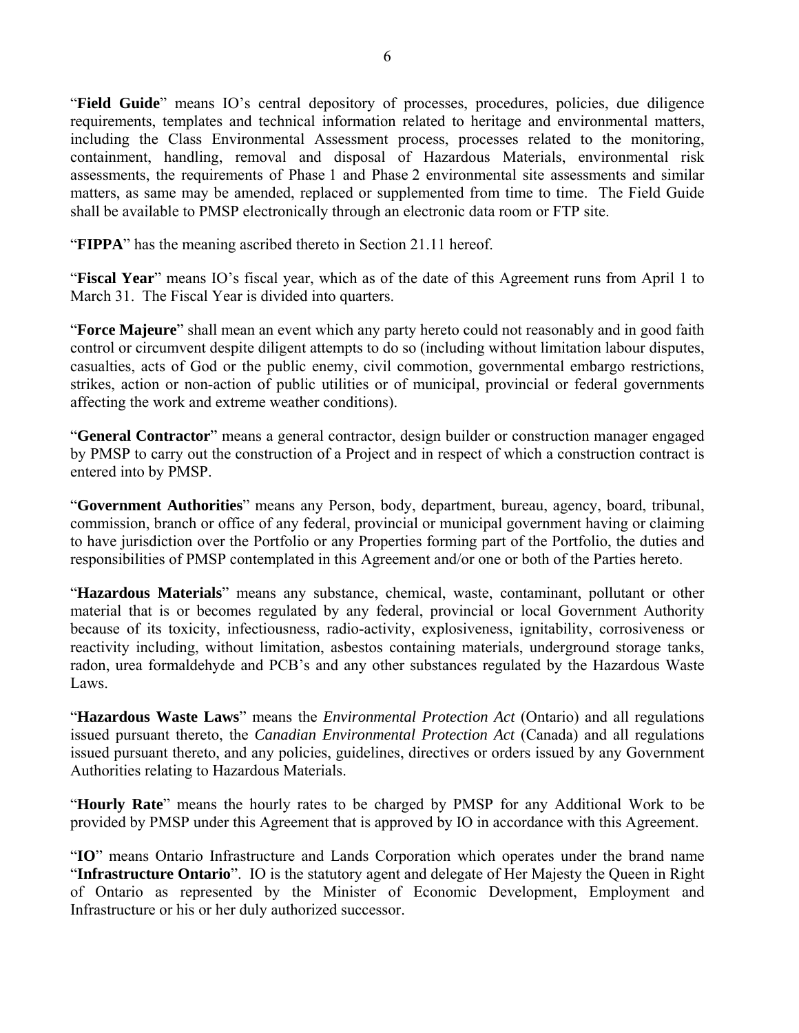"**Field Guide**" means IO's central depository of processes, procedures, policies, due diligence requirements, templates and technical information related to heritage and environmental matters, including the Class Environmental Assessment process, processes related to the monitoring, containment, handling, removal and disposal of Hazardous Materials, environmental risk assessments, the requirements of Phase 1 and Phase 2 environmental site assessments and similar matters, as same may be amended, replaced or supplemented from time to time. The Field Guide shall be available to PMSP electronically through an electronic data room or FTP site.

"**FIPPA**" has the meaning ascribed thereto in Section 21.11 hereof.

"**Fiscal Year**" means IO's fiscal year, which as of the date of this Agreement runs from April 1 to March 31. The Fiscal Year is divided into quarters.

"**Force Majeure**" shall mean an event which any party hereto could not reasonably and in good faith control or circumvent despite diligent attempts to do so (including without limitation labour disputes, casualties, acts of God or the public enemy, civil commotion, governmental embargo restrictions, strikes, action or non-action of public utilities or of municipal, provincial or federal governments affecting the work and extreme weather conditions).

"**General Contractor**" means a general contractor, design builder or construction manager engaged by PMSP to carry out the construction of a Project and in respect of which a construction contract is entered into by PMSP.

"**Government Authorities**" means any Person, body, department, bureau, agency, board, tribunal, commission, branch or office of any federal, provincial or municipal government having or claiming to have jurisdiction over the Portfolio or any Properties forming part of the Portfolio, the duties and responsibilities of PMSP contemplated in this Agreement and/or one or both of the Parties hereto.

"**Hazardous Materials**" means any substance, chemical, waste, contaminant, pollutant or other material that is or becomes regulated by any federal, provincial or local Government Authority because of its toxicity, infectiousness, radio-activity, explosiveness, ignitability, corrosiveness or reactivity including, without limitation, asbestos containing materials, underground storage tanks, radon, urea formaldehyde and PCB's and any other substances regulated by the Hazardous Waste Laws.

"**Hazardous Waste Laws**" means the *Environmental Protection Act* (Ontario) and all regulations issued pursuant thereto, the *Canadian Environmental Protection Act* (Canada) and all regulations issued pursuant thereto, and any policies, guidelines, directives or orders issued by any Government Authorities relating to Hazardous Materials.

"**Hourly Rate**" means the hourly rates to be charged by PMSP for any Additional Work to be provided by PMSP under this Agreement that is approved by IO in accordance with this Agreement.

"**IO**" means Ontario Infrastructure and Lands Corporation which operates under the brand name "**Infrastructure Ontario**". IO is the statutory agent and delegate of Her Majesty the Queen in Right of Ontario as represented by the Minister of Economic Development, Employment and Infrastructure or his or her duly authorized successor.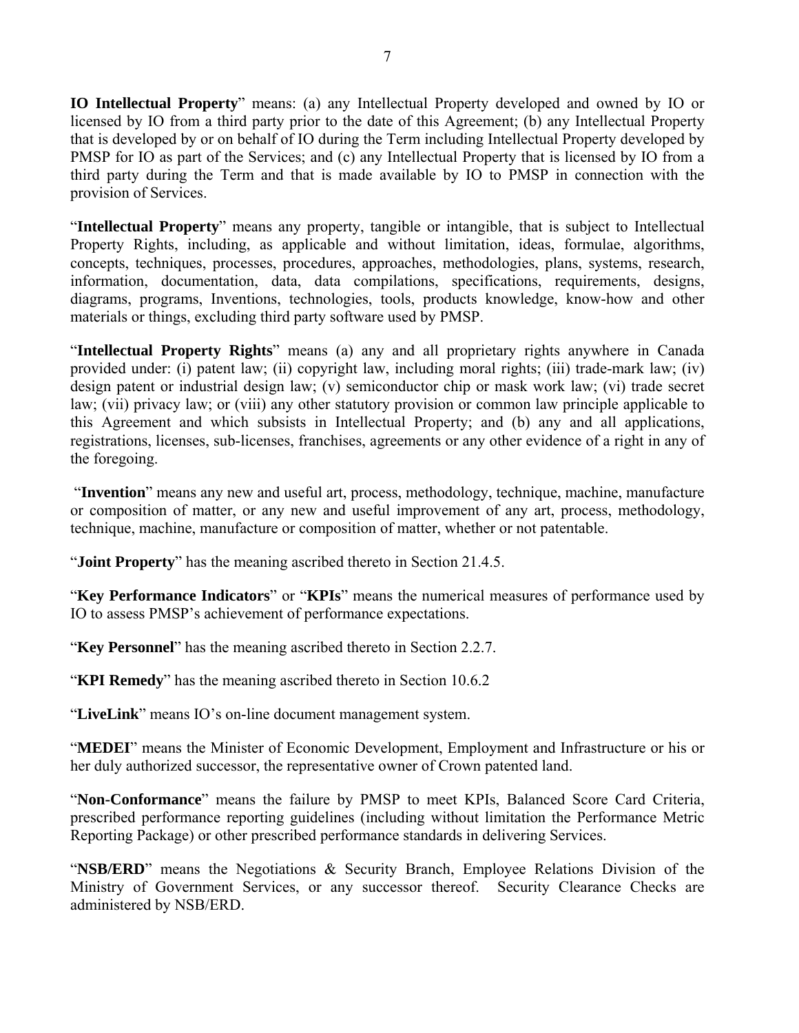**IO Intellectual Property**" means: (a) any Intellectual Property developed and owned by IO or licensed by IO from a third party prior to the date of this Agreement; (b) any Intellectual Property that is developed by or on behalf of IO during the Term including Intellectual Property developed by PMSP for IO as part of the Services; and (c) any Intellectual Property that is licensed by IO from a third party during the Term and that is made available by IO to PMSP in connection with the provision of Services.

"**Intellectual Property**" means any property, tangible or intangible, that is subject to Intellectual Property Rights, including, as applicable and without limitation, ideas, formulae, algorithms, concepts, techniques, processes, procedures, approaches, methodologies, plans, systems, research, information, documentation, data, data compilations, specifications, requirements, designs, diagrams, programs, Inventions, technologies, tools, products knowledge, know-how and other materials or things, excluding third party software used by PMSP.

"**Intellectual Property Rights**" means (a) any and all proprietary rights anywhere in Canada provided under: (i) patent law; (ii) copyright law, including moral rights; (iii) trade-mark law; (iv) design patent or industrial design law; (v) semiconductor chip or mask work law; (vi) trade secret law; (vii) privacy law; or (viii) any other statutory provision or common law principle applicable to this Agreement and which subsists in Intellectual Property; and (b) any and all applications, registrations, licenses, sub-licenses, franchises, agreements or any other evidence of a right in any of the foregoing.

 "**Invention**" means any new and useful art, process, methodology, technique, machine, manufacture or composition of matter, or any new and useful improvement of any art, process, methodology, technique, machine, manufacture or composition of matter, whether or not patentable.

"**Joint Property**" has the meaning ascribed thereto in Section 21.4.5.

"**Key Performance Indicators**" or "**KPIs**" means the numerical measures of performance used by IO to assess PMSP's achievement of performance expectations.

"**Key Personnel**" has the meaning ascribed thereto in Section 2.2.7.

"**KPI Remedy**" has the meaning ascribed thereto in Section 10.6.2

"**LiveLink**" means IO's on-line document management system.

"**MEDEI**" means the Minister of Economic Development, Employment and Infrastructure or his or her duly authorized successor, the representative owner of Crown patented land.

"**Non-Conformance**" means the failure by PMSP to meet KPIs, Balanced Score Card Criteria, prescribed performance reporting guidelines (including without limitation the Performance Metric Reporting Package) or other prescribed performance standards in delivering Services.

"**NSB/ERD**" means the Negotiations & Security Branch, Employee Relations Division of the Ministry of Government Services, or any successor thereof. Security Clearance Checks are administered by NSB/ERD.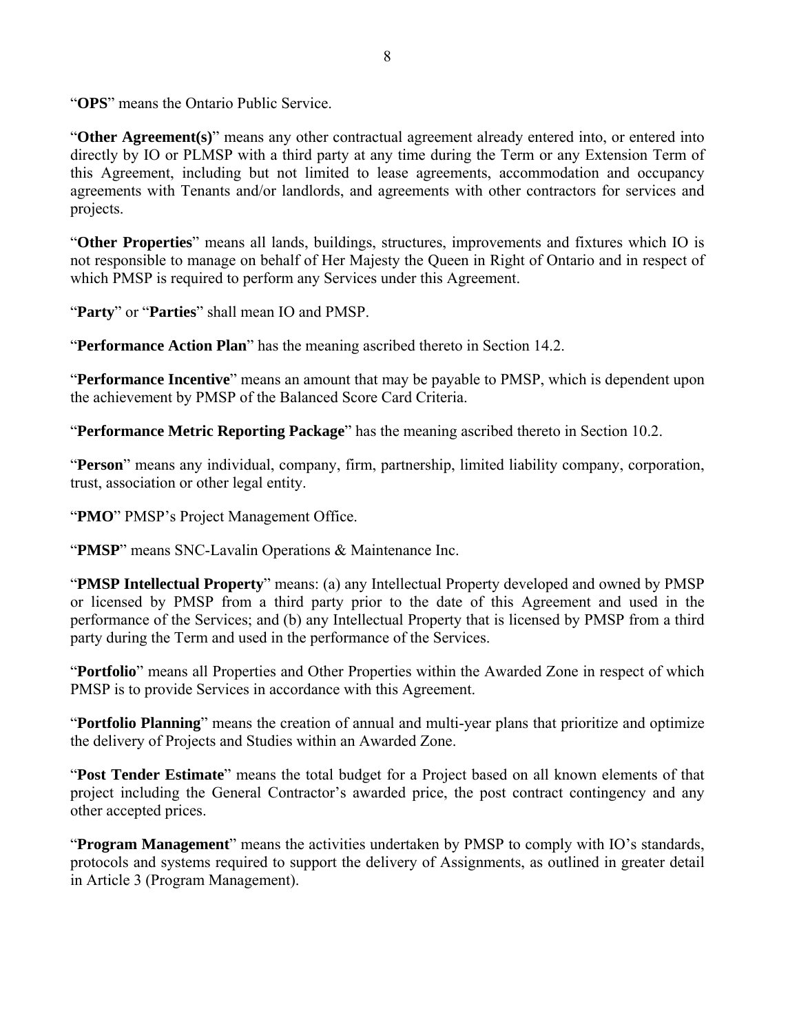"**OPS**" means the Ontario Public Service.

"**Other Agreement(s)**" means any other contractual agreement already entered into, or entered into directly by IO or PLMSP with a third party at any time during the Term or any Extension Term of this Agreement, including but not limited to lease agreements, accommodation and occupancy agreements with Tenants and/or landlords, and agreements with other contractors for services and projects.

"**Other Properties**" means all lands, buildings, structures, improvements and fixtures which IO is not responsible to manage on behalf of Her Majesty the Queen in Right of Ontario and in respect of which PMSP is required to perform any Services under this Agreement.

"**Party**" or "**Parties**" shall mean IO and PMSP.

"**Performance Action Plan**" has the meaning ascribed thereto in Section 14.2.

"**Performance Incentive**" means an amount that may be payable to PMSP, which is dependent upon the achievement by PMSP of the Balanced Score Card Criteria.

"**Performance Metric Reporting Package**" has the meaning ascribed thereto in Section 10.2.

"**Person**" means any individual, company, firm, partnership, limited liability company, corporation, trust, association or other legal entity.

"PMO" PMSP's Project Management Office.

"**PMSP**" means SNC-Lavalin Operations & Maintenance Inc.

"**PMSP Intellectual Property**" means: (a) any Intellectual Property developed and owned by PMSP or licensed by PMSP from a third party prior to the date of this Agreement and used in the performance of the Services; and (b) any Intellectual Property that is licensed by PMSP from a third party during the Term and used in the performance of the Services.

"**Portfolio**" means all Properties and Other Properties within the Awarded Zone in respect of which PMSP is to provide Services in accordance with this Agreement.

"**Portfolio Planning**" means the creation of annual and multi-year plans that prioritize and optimize the delivery of Projects and Studies within an Awarded Zone.

"**Post Tender Estimate**" means the total budget for a Project based on all known elements of that project including the General Contractor's awarded price, the post contract contingency and any other accepted prices.

"**Program Management**" means the activities undertaken by PMSP to comply with IO's standards, protocols and systems required to support the delivery of Assignments, as outlined in greater detail in Article 3 (Program Management).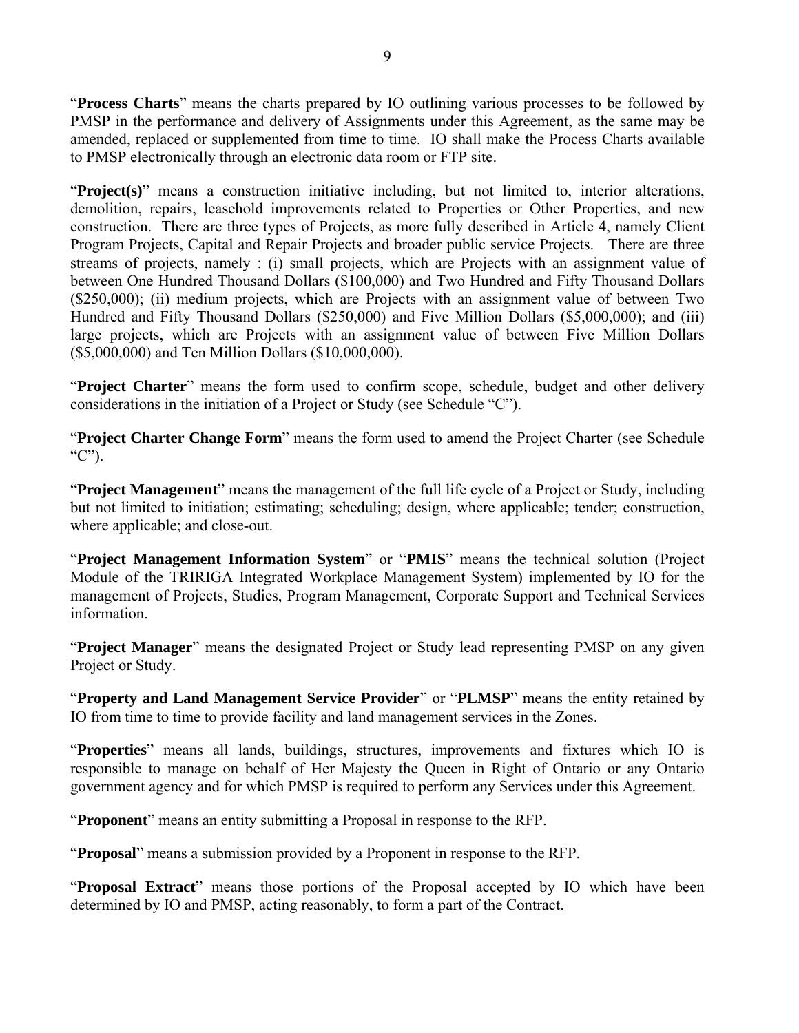"**Process Charts**" means the charts prepared by IO outlining various processes to be followed by PMSP in the performance and delivery of Assignments under this Agreement, as the same may be amended, replaced or supplemented from time to time. IO shall make the Process Charts available to PMSP electronically through an electronic data room or FTP site.

"**Project(s)**" means a construction initiative including, but not limited to, interior alterations, demolition, repairs, leasehold improvements related to Properties or Other Properties, and new construction. There are three types of Projects, as more fully described in Article 4, namely Client Program Projects, Capital and Repair Projects and broader public service Projects. There are three streams of projects, namely : (i) small projects, which are Projects with an assignment value of between One Hundred Thousand Dollars (\$100,000) and Two Hundred and Fifty Thousand Dollars (\$250,000); (ii) medium projects, which are Projects with an assignment value of between Two Hundred and Fifty Thousand Dollars (\$250,000) and Five Million Dollars (\$5,000,000); and (iii) large projects, which are Projects with an assignment value of between Five Million Dollars (\$5,000,000) and Ten Million Dollars (\$10,000,000).

"**Project Charter**" means the form used to confirm scope, schedule, budget and other delivery considerations in the initiation of a Project or Study (see Schedule "C").

"**Project Charter Change Form**" means the form used to amend the Project Charter (see Schedule " $C$ ").

"**Project Management**" means the management of the full life cycle of a Project or Study, including but not limited to initiation; estimating; scheduling; design, where applicable; tender; construction, where applicable; and close-out.

"**Project Management Information System**" or "**PMIS**" means the technical solution (Project Module of the TRIRIGA Integrated Workplace Management System) implemented by IO for the management of Projects, Studies, Program Management, Corporate Support and Technical Services information.

"**Project Manager**" means the designated Project or Study lead representing PMSP on any given Project or Study.

"**Property and Land Management Service Provider**" or "**PLMSP**" means the entity retained by IO from time to time to provide facility and land management services in the Zones.

"**Properties**" means all lands, buildings, structures, improvements and fixtures which IO is responsible to manage on behalf of Her Majesty the Queen in Right of Ontario or any Ontario government agency and for which PMSP is required to perform any Services under this Agreement.

"**Proponent**" means an entity submitting a Proposal in response to the RFP.

"**Proposal**" means a submission provided by a Proponent in response to the RFP.

"**Proposal Extract**" means those portions of the Proposal accepted by IO which have been determined by IO and PMSP, acting reasonably, to form a part of the Contract.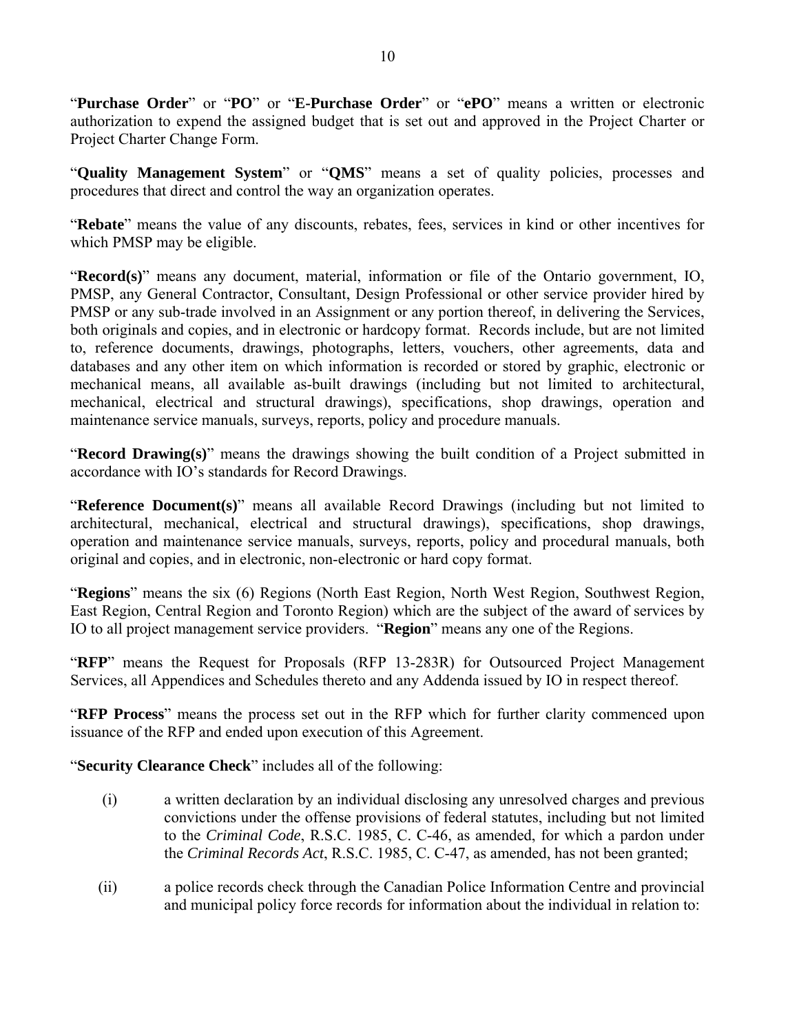"**Purchase Order**" or "**PO**" or "**E-Purchase Order**" or "**ePO**" means a written or electronic authorization to expend the assigned budget that is set out and approved in the Project Charter or Project Charter Change Form.

"**Quality Management System**" or "**QMS**" means a set of quality policies, processes and procedures that direct and control the way an organization operates.

"**Rebate**" means the value of any discounts, rebates, fees, services in kind or other incentives for which PMSP may be eligible.

"**Record(s)**" means any document, material, information or file of the Ontario government, IO, PMSP, any General Contractor, Consultant, Design Professional or other service provider hired by PMSP or any sub-trade involved in an Assignment or any portion thereof, in delivering the Services, both originals and copies, and in electronic or hardcopy format. Records include, but are not limited to, reference documents, drawings, photographs, letters, vouchers, other agreements, data and databases and any other item on which information is recorded or stored by graphic, electronic or mechanical means, all available as-built drawings (including but not limited to architectural, mechanical, electrical and structural drawings), specifications, shop drawings, operation and maintenance service manuals, surveys, reports, policy and procedure manuals.

"**Record Drawing(s)**" means the drawings showing the built condition of a Project submitted in accordance with IO's standards for Record Drawings.

"**Reference Document(s)**" means all available Record Drawings (including but not limited to architectural, mechanical, electrical and structural drawings), specifications, shop drawings, operation and maintenance service manuals, surveys, reports, policy and procedural manuals, both original and copies, and in electronic, non-electronic or hard copy format.

"**Regions**" means the six (6) Regions (North East Region, North West Region, Southwest Region, East Region, Central Region and Toronto Region) which are the subject of the award of services by IO to all project management service providers. "**Region**" means any one of the Regions.

"**RFP**" means the Request for Proposals (RFP 13-283R) for Outsourced Project Management Services, all Appendices and Schedules thereto and any Addenda issued by IO in respect thereof.

"**RFP Process**" means the process set out in the RFP which for further clarity commenced upon issuance of the RFP and ended upon execution of this Agreement.

"**Security Clearance Check**" includes all of the following:

- (i) a written declaration by an individual disclosing any unresolved charges and previous convictions under the offense provisions of federal statutes, including but not limited to the *Criminal Code*, R.S.C. 1985, C. C-46, as amended, for which a pardon under the *Criminal Records Act*, R.S.C. 1985, C. C-47, as amended, has not been granted;
- (ii) a police records check through the Canadian Police Information Centre and provincial and municipal policy force records for information about the individual in relation to: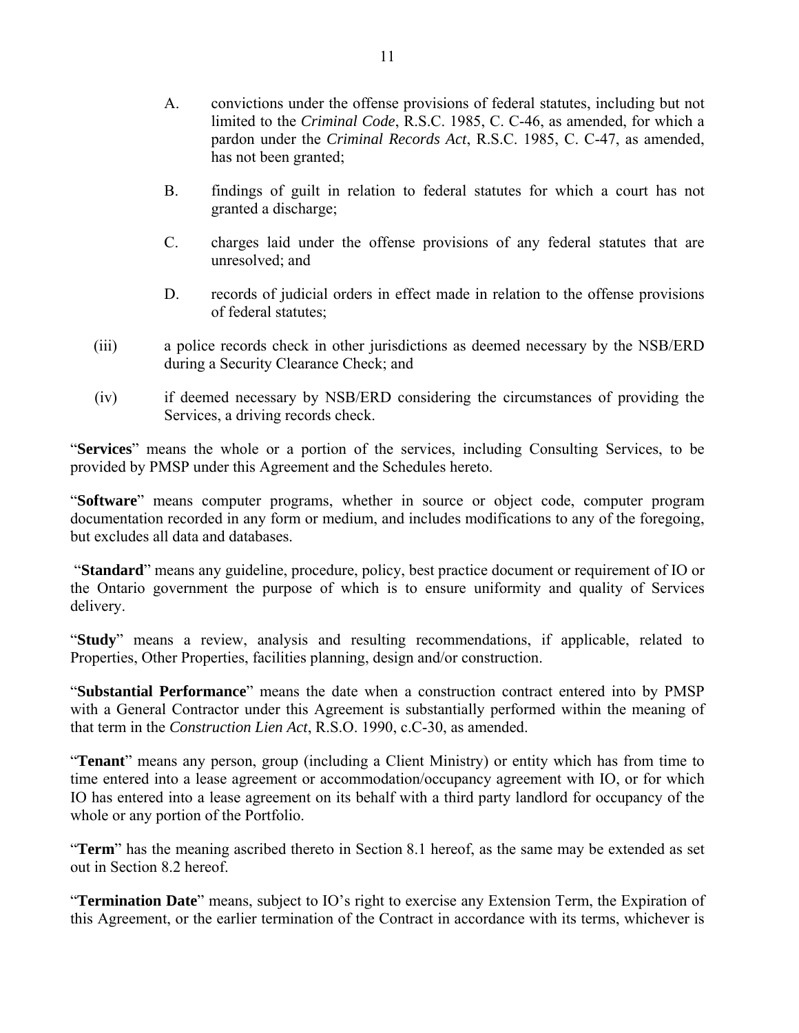- A. convictions under the offense provisions of federal statutes, including but not limited to the *Criminal Code*, R.S.C. 1985, C. C-46, as amended, for which a pardon under the *Criminal Records Act*, R.S.C. 1985, C. C-47, as amended, has not been granted;
- B. findings of guilt in relation to federal statutes for which a court has not granted a discharge;
- C. charges laid under the offense provisions of any federal statutes that are unresolved; and
- D. records of judicial orders in effect made in relation to the offense provisions of federal statutes;
- (iii) a police records check in other jurisdictions as deemed necessary by the NSB/ERD during a Security Clearance Check; and
- (iv) if deemed necessary by NSB/ERD considering the circumstances of providing the Services, a driving records check.

"**Services**" means the whole or a portion of the services, including Consulting Services, to be provided by PMSP under this Agreement and the Schedules hereto.

"**Software**" means computer programs, whether in source or object code, computer program documentation recorded in any form or medium, and includes modifications to any of the foregoing, but excludes all data and databases.

 "**Standard**" means any guideline, procedure, policy, best practice document or requirement of IO or the Ontario government the purpose of which is to ensure uniformity and quality of Services delivery.

"**Study**" means a review, analysis and resulting recommendations, if applicable, related to Properties, Other Properties, facilities planning, design and/or construction.

"**Substantial Performance**" means the date when a construction contract entered into by PMSP with a General Contractor under this Agreement is substantially performed within the meaning of that term in the *Construction Lien Act*, R.S.O. 1990, c.C-30, as amended.

"**Tenant**" means any person, group (including a Client Ministry) or entity which has from time to time entered into a lease agreement or accommodation/occupancy agreement with IO, or for which IO has entered into a lease agreement on its behalf with a third party landlord for occupancy of the whole or any portion of the Portfolio.

"**Term**" has the meaning ascribed thereto in Section 8.1 hereof, as the same may be extended as set out in Section 8.2 hereof.

"**Termination Date**" means, subject to IO's right to exercise any Extension Term, the Expiration of this Agreement, or the earlier termination of the Contract in accordance with its terms, whichever is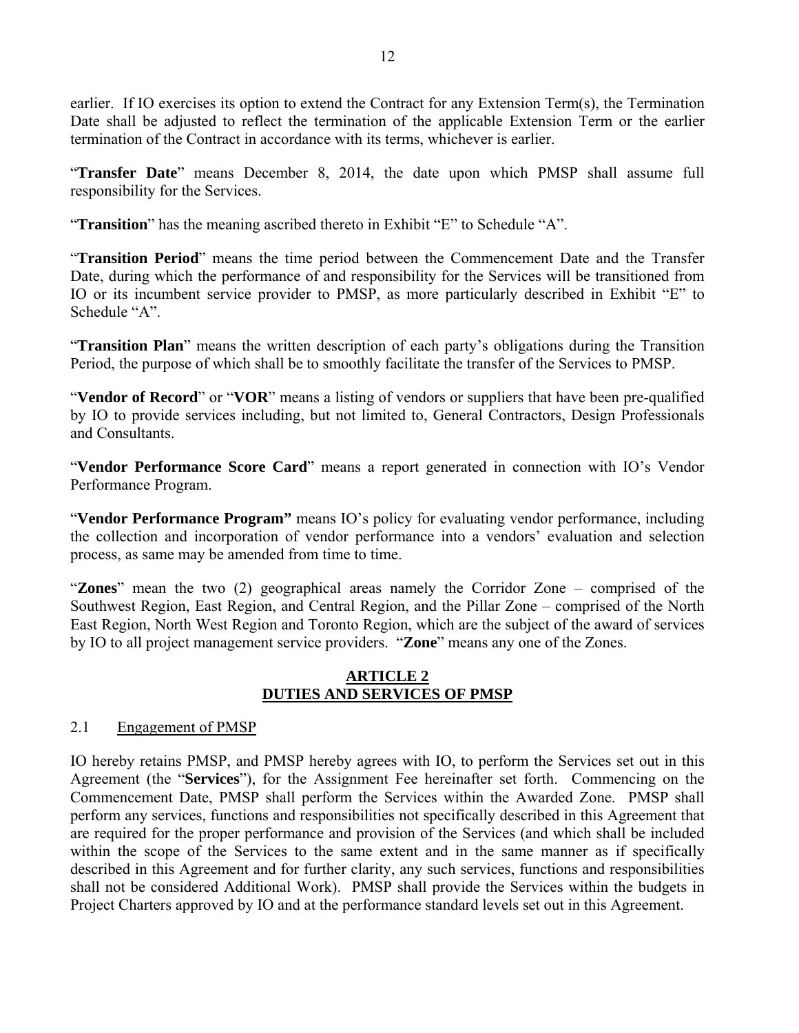earlier. If IO exercises its option to extend the Contract for any Extension Term(s), the Termination Date shall be adjusted to reflect the termination of the applicable Extension Term or the earlier termination of the Contract in accordance with its terms, whichever is earlier.

"**Transfer Date**" means December 8, 2014, the date upon which PMSP shall assume full responsibility for the Services.

"**Transition**" has the meaning ascribed thereto in Exhibit "E" to Schedule "A".

"**Transition Period**" means the time period between the Commencement Date and the Transfer Date, during which the performance of and responsibility for the Services will be transitioned from IO or its incumbent service provider to PMSP, as more particularly described in Exhibit "E" to Schedule "A".

"**Transition Plan**" means the written description of each party's obligations during the Transition Period, the purpose of which shall be to smoothly facilitate the transfer of the Services to PMSP.

"**Vendor of Record**" or "**VOR**" means a listing of vendors or suppliers that have been pre-qualified by IO to provide services including, but not limited to, General Contractors, Design Professionals and Consultants.

"**Vendor Performance Score Card**" means a report generated in connection with IO's Vendor Performance Program.

"**Vendor Performance Program"** means IO's policy for evaluating vendor performance, including the collection and incorporation of vendor performance into a vendors' evaluation and selection process, as same may be amended from time to time.

"**Zones**" mean the two (2) geographical areas namely the Corridor Zone – comprised of the Southwest Region, East Region, and Central Region, and the Pillar Zone – comprised of the North East Region, North West Region and Toronto Region, which are the subject of the award of services by IO to all project management service providers. "**Zone**" means any one of the Zones.

### **ARTICLE 2 DUTIES AND SERVICES OF PMSP**

### 2.1 Engagement of PMSP

IO hereby retains PMSP, and PMSP hereby agrees with IO, to perform the Services set out in this Agreement (the "**Services**"), for the Assignment Fee hereinafter set forth. Commencing on the Commencement Date, PMSP shall perform the Services within the Awarded Zone. PMSP shall perform any services, functions and responsibilities not specifically described in this Agreement that are required for the proper performance and provision of the Services (and which shall be included within the scope of the Services to the same extent and in the same manner as if specifically described in this Agreement and for further clarity, any such services, functions and responsibilities shall not be considered Additional Work). PMSP shall provide the Services within the budgets in Project Charters approved by IO and at the performance standard levels set out in this Agreement.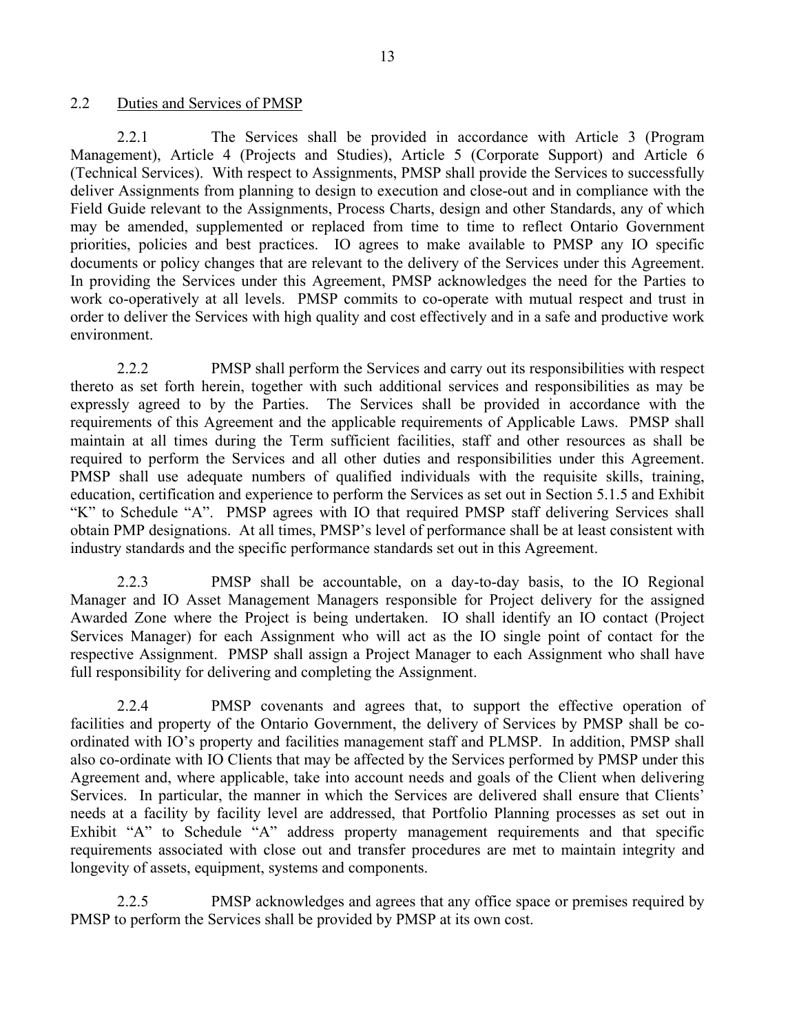### 2.2 Duties and Services of PMSP

2.2.1 The Services shall be provided in accordance with Article 3 (Program Management), Article 4 (Projects and Studies), Article 5 (Corporate Support) and Article 6 (Technical Services). With respect to Assignments, PMSP shall provide the Services to successfully deliver Assignments from planning to design to execution and close-out and in compliance with the Field Guide relevant to the Assignments, Process Charts, design and other Standards, any of which may be amended, supplemented or replaced from time to time to reflect Ontario Government priorities, policies and best practices. IO agrees to make available to PMSP any IO specific documents or policy changes that are relevant to the delivery of the Services under this Agreement. In providing the Services under this Agreement, PMSP acknowledges the need for the Parties to work co-operatively at all levels. PMSP commits to co-operate with mutual respect and trust in order to deliver the Services with high quality and cost effectively and in a safe and productive work environment.

2.2.2 PMSP shall perform the Services and carry out its responsibilities with respect thereto as set forth herein, together with such additional services and responsibilities as may be expressly agreed to by the Parties. The Services shall be provided in accordance with the requirements of this Agreement and the applicable requirements of Applicable Laws. PMSP shall maintain at all times during the Term sufficient facilities, staff and other resources as shall be required to perform the Services and all other duties and responsibilities under this Agreement. PMSP shall use adequate numbers of qualified individuals with the requisite skills, training, education, certification and experience to perform the Services as set out in Section 5.1.5 and Exhibit "K" to Schedule "A". PMSP agrees with IO that required PMSP staff delivering Services shall obtain PMP designations. At all times, PMSP's level of performance shall be at least consistent with industry standards and the specific performance standards set out in this Agreement.

2.2.3 PMSP shall be accountable, on a day-to-day basis, to the IO Regional Manager and IO Asset Management Managers responsible for Project delivery for the assigned Awarded Zone where the Project is being undertaken. IO shall identify an IO contact (Project Services Manager) for each Assignment who will act as the IO single point of contact for the respective Assignment. PMSP shall assign a Project Manager to each Assignment who shall have full responsibility for delivering and completing the Assignment.

2.2.4 PMSP covenants and agrees that, to support the effective operation of facilities and property of the Ontario Government, the delivery of Services by PMSP shall be coordinated with IO's property and facilities management staff and PLMSP. In addition, PMSP shall also co-ordinate with IO Clients that may be affected by the Services performed by PMSP under this Agreement and, where applicable, take into account needs and goals of the Client when delivering Services. In particular, the manner in which the Services are delivered shall ensure that Clients' needs at a facility by facility level are addressed, that Portfolio Planning processes as set out in Exhibit "A" to Schedule "A" address property management requirements and that specific requirements associated with close out and transfer procedures are met to maintain integrity and longevity of assets, equipment, systems and components.

2.2.5 PMSP acknowledges and agrees that any office space or premises required by PMSP to perform the Services shall be provided by PMSP at its own cost.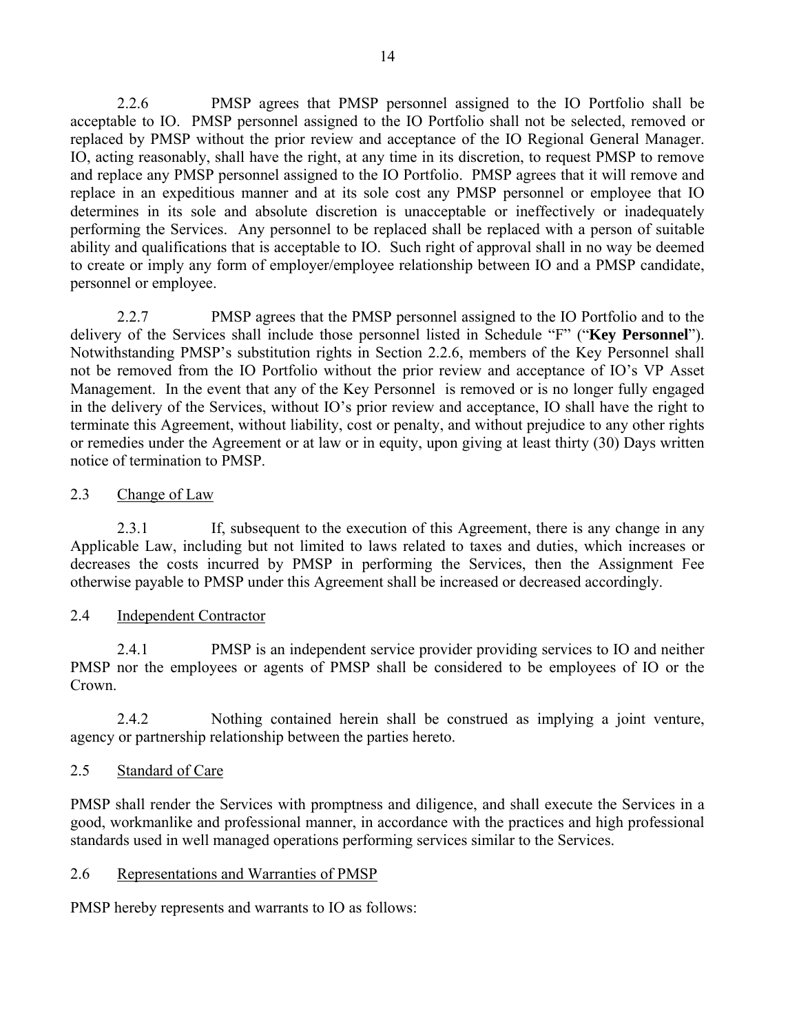2.2.6 PMSP agrees that PMSP personnel assigned to the IO Portfolio shall be acceptable to IO. PMSP personnel assigned to the IO Portfolio shall not be selected, removed or replaced by PMSP without the prior review and acceptance of the IO Regional General Manager. IO, acting reasonably, shall have the right, at any time in its discretion, to request PMSP to remove and replace any PMSP personnel assigned to the IO Portfolio. PMSP agrees that it will remove and replace in an expeditious manner and at its sole cost any PMSP personnel or employee that IO determines in its sole and absolute discretion is unacceptable or ineffectively or inadequately performing the Services. Any personnel to be replaced shall be replaced with a person of suitable ability and qualifications that is acceptable to IO. Such right of approval shall in no way be deemed to create or imply any form of employer/employee relationship between IO and a PMSP candidate, personnel or employee.

2.2.7 PMSP agrees that the PMSP personnel assigned to the IO Portfolio and to the delivery of the Services shall include those personnel listed in Schedule "F" ("**Key Personnel**"). Notwithstanding PMSP's substitution rights in Section 2.2.6, members of the Key Personnel shall not be removed from the IO Portfolio without the prior review and acceptance of IO's VP Asset Management. In the event that any of the Key Personnel is removed or is no longer fully engaged in the delivery of the Services, without IO's prior review and acceptance, IO shall have the right to terminate this Agreement, without liability, cost or penalty, and without prejudice to any other rights or remedies under the Agreement or at law or in equity, upon giving at least thirty (30) Days written notice of termination to PMSP.

### 2.3 Change of Law

2.3.1 If, subsequent to the execution of this Agreement, there is any change in any Applicable Law, including but not limited to laws related to taxes and duties, which increases or decreases the costs incurred by PMSP in performing the Services, then the Assignment Fee otherwise payable to PMSP under this Agreement shall be increased or decreased accordingly.

### 2.4 Independent Contractor

2.4.1 PMSP is an independent service provider providing services to IO and neither PMSP nor the employees or agents of PMSP shall be considered to be employees of IO or the Crown.

2.4.2 Nothing contained herein shall be construed as implying a joint venture, agency or partnership relationship between the parties hereto.

### 2.5 Standard of Care

PMSP shall render the Services with promptness and diligence, and shall execute the Services in a good, workmanlike and professional manner, in accordance with the practices and high professional standards used in well managed operations performing services similar to the Services.

### 2.6 Representations and Warranties of PMSP

PMSP hereby represents and warrants to IO as follows: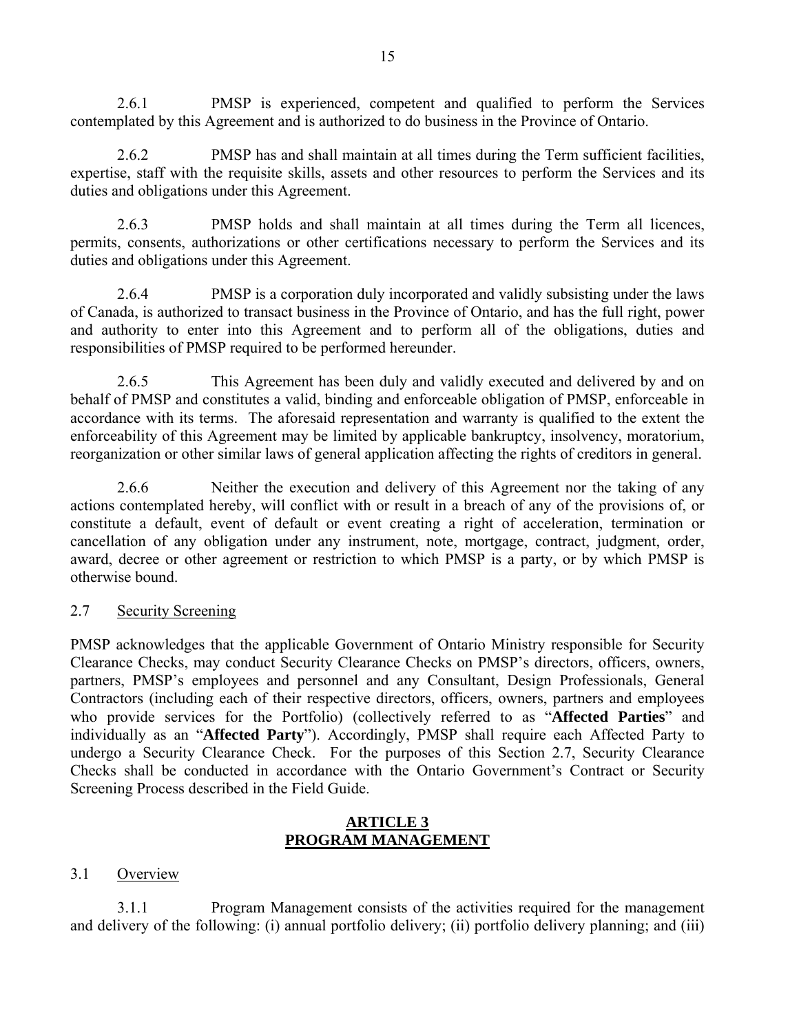2.6.1 PMSP is experienced, competent and qualified to perform the Services contemplated by this Agreement and is authorized to do business in the Province of Ontario.

2.6.2 PMSP has and shall maintain at all times during the Term sufficient facilities, expertise, staff with the requisite skills, assets and other resources to perform the Services and its duties and obligations under this Agreement.

2.6.3 PMSP holds and shall maintain at all times during the Term all licences, permits, consents, authorizations or other certifications necessary to perform the Services and its duties and obligations under this Agreement.

2.6.4 PMSP is a corporation duly incorporated and validly subsisting under the laws of Canada, is authorized to transact business in the Province of Ontario, and has the full right, power and authority to enter into this Agreement and to perform all of the obligations, duties and responsibilities of PMSP required to be performed hereunder.

2.6.5 This Agreement has been duly and validly executed and delivered by and on behalf of PMSP and constitutes a valid, binding and enforceable obligation of PMSP, enforceable in accordance with its terms. The aforesaid representation and warranty is qualified to the extent the enforceability of this Agreement may be limited by applicable bankruptcy, insolvency, moratorium, reorganization or other similar laws of general application affecting the rights of creditors in general.

2.6.6 Neither the execution and delivery of this Agreement nor the taking of any actions contemplated hereby, will conflict with or result in a breach of any of the provisions of, or constitute a default, event of default or event creating a right of acceleration, termination or cancellation of any obligation under any instrument, note, mortgage, contract, judgment, order, award, decree or other agreement or restriction to which PMSP is a party, or by which PMSP is otherwise bound.

#### 2.7 Security Screening

PMSP acknowledges that the applicable Government of Ontario Ministry responsible for Security Clearance Checks, may conduct Security Clearance Checks on PMSP's directors, officers, owners, partners, PMSP's employees and personnel and any Consultant, Design Professionals, General Contractors (including each of their respective directors, officers, owners, partners and employees who provide services for the Portfolio) (collectively referred to as "**Affected Parties**" and individually as an "**Affected Party**"). Accordingly, PMSP shall require each Affected Party to undergo a Security Clearance Check. For the purposes of this Section 2.7, Security Clearance Checks shall be conducted in accordance with the Ontario Government's Contract or Security Screening Process described in the Field Guide.

#### **ARTICLE 3 PROGRAM MANAGEMENT**

### 3.1 Overview

3.1.1 Program Management consists of the activities required for the management and delivery of the following: (i) annual portfolio delivery; (ii) portfolio delivery planning; and (iii)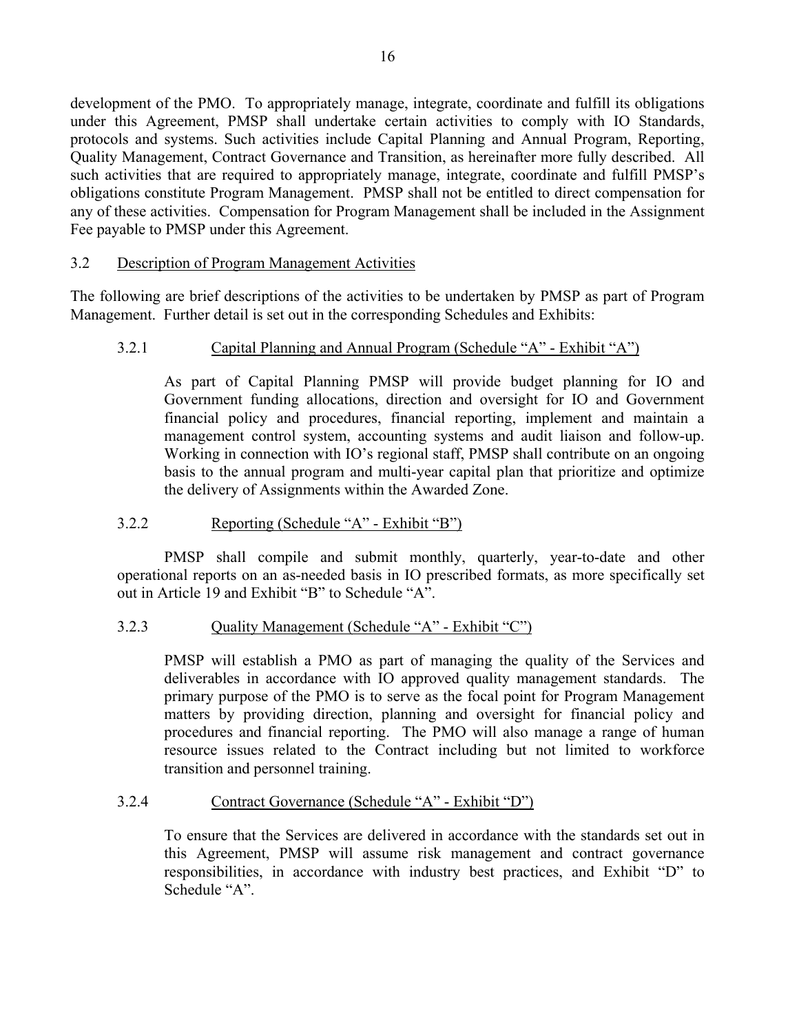development of the PMO. To appropriately manage, integrate, coordinate and fulfill its obligations under this Agreement, PMSP shall undertake certain activities to comply with IO Standards, protocols and systems. Such activities include Capital Planning and Annual Program, Reporting, Quality Management, Contract Governance and Transition, as hereinafter more fully described. All such activities that are required to appropriately manage, integrate, coordinate and fulfill PMSP's obligations constitute Program Management. PMSP shall not be entitled to direct compensation for any of these activities. Compensation for Program Management shall be included in the Assignment Fee payable to PMSP under this Agreement.

### 3.2 Description of Program Management Activities

The following are brief descriptions of the activities to be undertaken by PMSP as part of Program Management. Further detail is set out in the corresponding Schedules and Exhibits:

### 3.2.1 Capital Planning and Annual Program (Schedule "A" - Exhibit "A")

As part of Capital Planning PMSP will provide budget planning for IO and Government funding allocations, direction and oversight for IO and Government financial policy and procedures, financial reporting, implement and maintain a management control system, accounting systems and audit liaison and follow-up. Working in connection with IO's regional staff, PMSP shall contribute on an ongoing basis to the annual program and multi-year capital plan that prioritize and optimize the delivery of Assignments within the Awarded Zone.

#### 3.2.2 Reporting (Schedule "A" - Exhibit "B")

PMSP shall compile and submit monthly, quarterly, year-to-date and other operational reports on an as-needed basis in IO prescribed formats, as more specifically set out in Article 19 and Exhibit "B" to Schedule "A".

#### 3.2.3 Quality Management (Schedule "A" - Exhibit "C")

PMSP will establish a PMO as part of managing the quality of the Services and deliverables in accordance with IO approved quality management standards. The primary purpose of the PMO is to serve as the focal point for Program Management matters by providing direction, planning and oversight for financial policy and procedures and financial reporting. The PMO will also manage a range of human resource issues related to the Contract including but not limited to workforce transition and personnel training.

#### 3.2.4 Contract Governance (Schedule "A" - Exhibit "D")

To ensure that the Services are delivered in accordance with the standards set out in this Agreement, PMSP will assume risk management and contract governance responsibilities, in accordance with industry best practices, and Exhibit "D" to Schedule "A".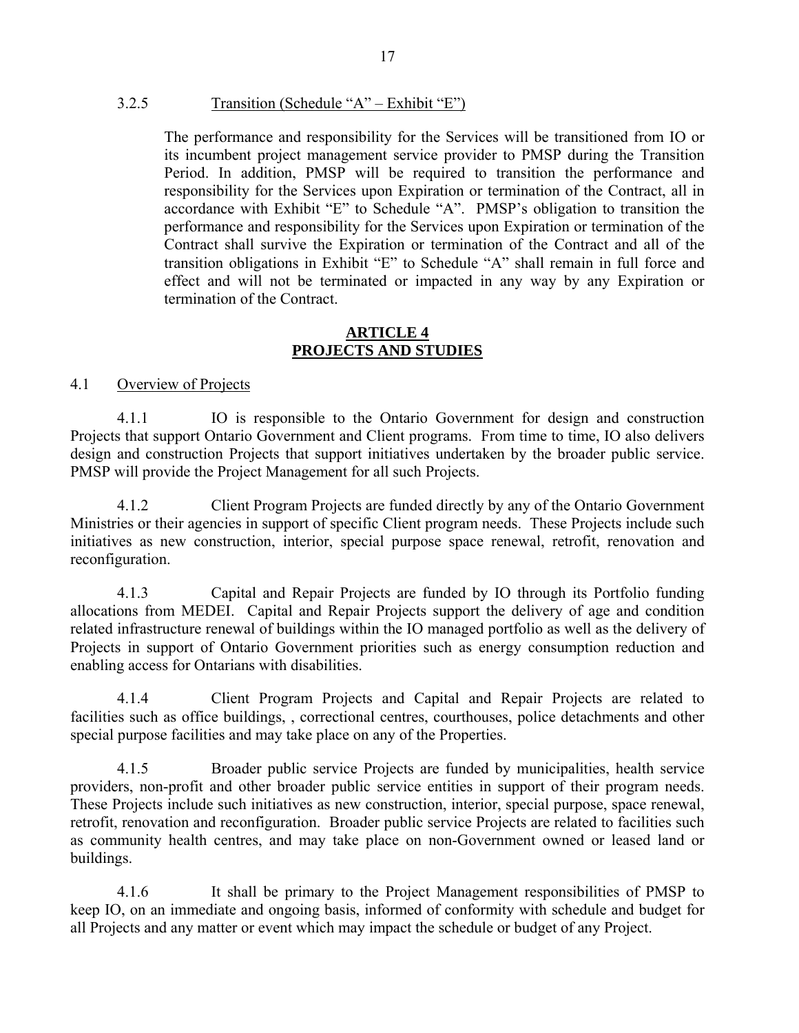#### 3.2.5 Transition (Schedule "A" – Exhibit "E")

The performance and responsibility for the Services will be transitioned from IO or its incumbent project management service provider to PMSP during the Transition Period. In addition, PMSP will be required to transition the performance and responsibility for the Services upon Expiration or termination of the Contract, all in accordance with Exhibit "E" to Schedule "A". PMSP's obligation to transition the performance and responsibility for the Services upon Expiration or termination of the Contract shall survive the Expiration or termination of the Contract and all of the transition obligations in Exhibit "E" to Schedule "A" shall remain in full force and effect and will not be terminated or impacted in any way by any Expiration or termination of the Contract.

#### **ARTICLE 4 PROJECTS AND STUDIES**

#### 4.1 Overview of Projects

4.1.1 IO is responsible to the Ontario Government for design and construction Projects that support Ontario Government and Client programs. From time to time, IO also delivers design and construction Projects that support initiatives undertaken by the broader public service. PMSP will provide the Project Management for all such Projects.

4.1.2 Client Program Projects are funded directly by any of the Ontario Government Ministries or their agencies in support of specific Client program needs. These Projects include such initiatives as new construction, interior, special purpose space renewal, retrofit, renovation and reconfiguration.

4.1.3 Capital and Repair Projects are funded by IO through its Portfolio funding allocations from MEDEI. Capital and Repair Projects support the delivery of age and condition related infrastructure renewal of buildings within the IO managed portfolio as well as the delivery of Projects in support of Ontario Government priorities such as energy consumption reduction and enabling access for Ontarians with disabilities.

4.1.4 Client Program Projects and Capital and Repair Projects are related to facilities such as office buildings, , correctional centres, courthouses, police detachments and other special purpose facilities and may take place on any of the Properties.

4.1.5 Broader public service Projects are funded by municipalities, health service providers, non-profit and other broader public service entities in support of their program needs. These Projects include such initiatives as new construction, interior, special purpose, space renewal, retrofit, renovation and reconfiguration. Broader public service Projects are related to facilities such as community health centres, and may take place on non-Government owned or leased land or buildings.

4.1.6 It shall be primary to the Project Management responsibilities of PMSP to keep IO, on an immediate and ongoing basis, informed of conformity with schedule and budget for all Projects and any matter or event which may impact the schedule or budget of any Project.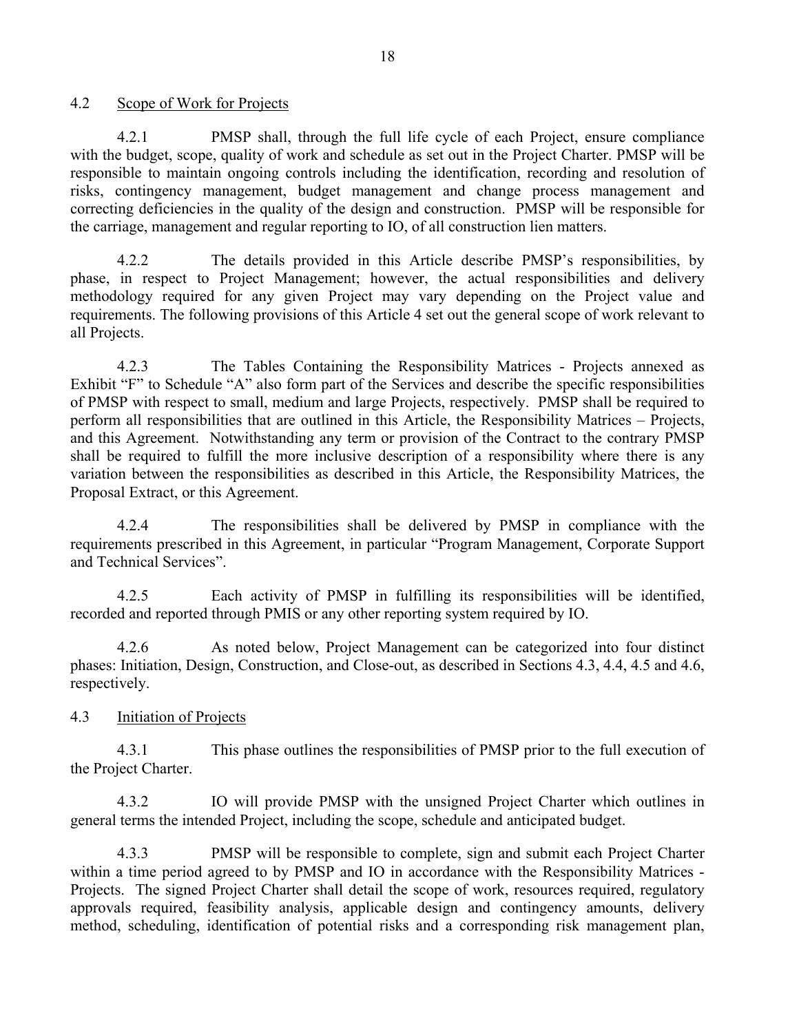4.2 Scope of Work for Projects

4.2.1 PMSP shall, through the full life cycle of each Project, ensure compliance with the budget, scope, quality of work and schedule as set out in the Project Charter. PMSP will be responsible to maintain ongoing controls including the identification, recording and resolution of risks, contingency management, budget management and change process management and correcting deficiencies in the quality of the design and construction. PMSP will be responsible for the carriage, management and regular reporting to IO, of all construction lien matters.

4.2.2 The details provided in this Article describe PMSP's responsibilities, by phase, in respect to Project Management; however, the actual responsibilities and delivery methodology required for any given Project may vary depending on the Project value and requirements. The following provisions of this Article 4 set out the general scope of work relevant to all Projects.

4.2.3 The Tables Containing the Responsibility Matrices - Projects annexed as Exhibit "F" to Schedule "A" also form part of the Services and describe the specific responsibilities of PMSP with respect to small, medium and large Projects, respectively. PMSP shall be required to perform all responsibilities that are outlined in this Article, the Responsibility Matrices – Projects, and this Agreement. Notwithstanding any term or provision of the Contract to the contrary PMSP shall be required to fulfill the more inclusive description of a responsibility where there is any variation between the responsibilities as described in this Article, the Responsibility Matrices, the Proposal Extract, or this Agreement.

4.2.4 The responsibilities shall be delivered by PMSP in compliance with the requirements prescribed in this Agreement, in particular "Program Management, Corporate Support and Technical Services".

4.2.5 Each activity of PMSP in fulfilling its responsibilities will be identified, recorded and reported through PMIS or any other reporting system required by IO.

4.2.6 As noted below, Project Management can be categorized into four distinct phases: Initiation, Design, Construction, and Close-out, as described in Sections 4.3, 4.4, 4.5 and 4.6, respectively.

### 4.3 Initiation of Projects

4.3.1 This phase outlines the responsibilities of PMSP prior to the full execution of the Project Charter.

4.3.2 IO will provide PMSP with the unsigned Project Charter which outlines in general terms the intended Project, including the scope, schedule and anticipated budget.

4.3.3 PMSP will be responsible to complete, sign and submit each Project Charter within a time period agreed to by PMSP and IO in accordance with the Responsibility Matrices - Projects. The signed Project Charter shall detail the scope of work, resources required, regulatory approvals required, feasibility analysis, applicable design and contingency amounts, delivery method, scheduling, identification of potential risks and a corresponding risk management plan,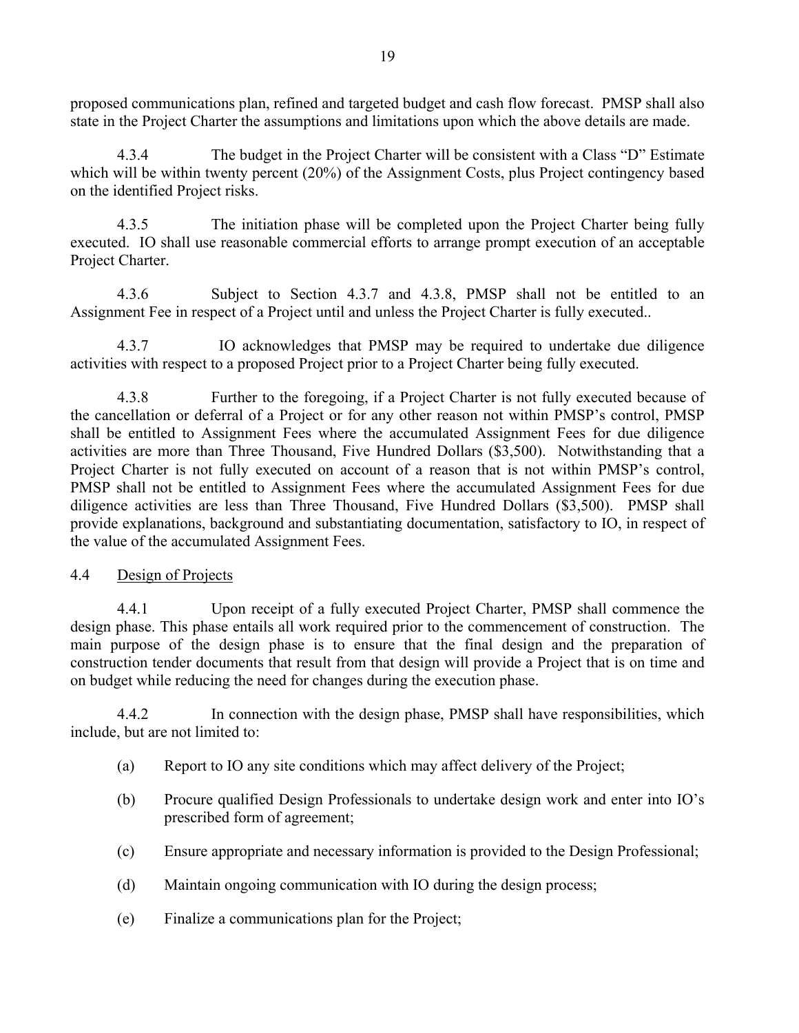proposed communications plan, refined and targeted budget and cash flow forecast. PMSP shall also state in the Project Charter the assumptions and limitations upon which the above details are made.

4.3.4 The budget in the Project Charter will be consistent with a Class "D" Estimate which will be within twenty percent (20%) of the Assignment Costs, plus Project contingency based on the identified Project risks.

4.3.5 The initiation phase will be completed upon the Project Charter being fully executed. IO shall use reasonable commercial efforts to arrange prompt execution of an acceptable Project Charter.

4.3.6 Subject to Section 4.3.7 and 4.3.8, PMSP shall not be entitled to an Assignment Fee in respect of a Project until and unless the Project Charter is fully executed..

4.3.7 IO acknowledges that PMSP may be required to undertake due diligence activities with respect to a proposed Project prior to a Project Charter being fully executed.

4.3.8 Further to the foregoing, if a Project Charter is not fully executed because of the cancellation or deferral of a Project or for any other reason not within PMSP's control, PMSP shall be entitled to Assignment Fees where the accumulated Assignment Fees for due diligence activities are more than Three Thousand, Five Hundred Dollars (\$3,500). Notwithstanding that a Project Charter is not fully executed on account of a reason that is not within PMSP's control, PMSP shall not be entitled to Assignment Fees where the accumulated Assignment Fees for due diligence activities are less than Three Thousand, Five Hundred Dollars (\$3,500). PMSP shall provide explanations, background and substantiating documentation, satisfactory to IO, in respect of the value of the accumulated Assignment Fees.

#### 4.4 Design of Projects

4.4.1 Upon receipt of a fully executed Project Charter, PMSP shall commence the design phase. This phase entails all work required prior to the commencement of construction. The main purpose of the design phase is to ensure that the final design and the preparation of construction tender documents that result from that design will provide a Project that is on time and on budget while reducing the need for changes during the execution phase.

4.4.2 In connection with the design phase, PMSP shall have responsibilities, which include, but are not limited to:

- (a) Report to IO any site conditions which may affect delivery of the Project;
- (b) Procure qualified Design Professionals to undertake design work and enter into IO's prescribed form of agreement;
- (c) Ensure appropriate and necessary information is provided to the Design Professional;
- (d) Maintain ongoing communication with IO during the design process;
- (e) Finalize a communications plan for the Project;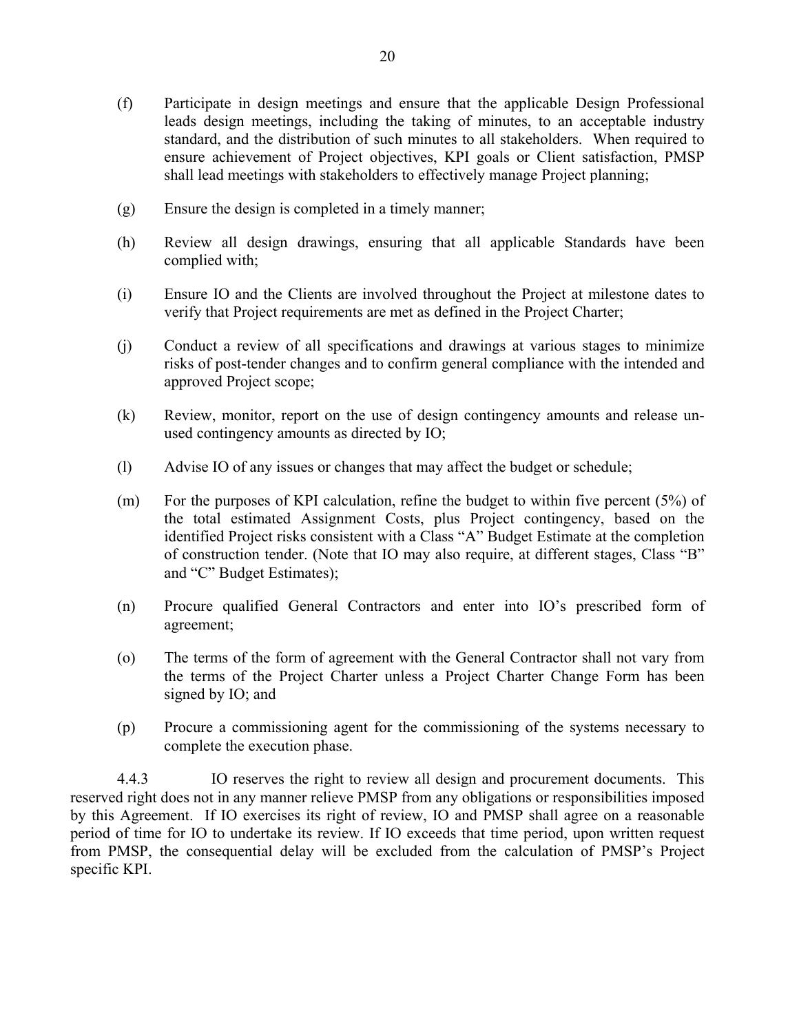- (f) Participate in design meetings and ensure that the applicable Design Professional leads design meetings, including the taking of minutes, to an acceptable industry standard, and the distribution of such minutes to all stakeholders. When required to ensure achievement of Project objectives, KPI goals or Client satisfaction, PMSP shall lead meetings with stakeholders to effectively manage Project planning;
- (g) Ensure the design is completed in a timely manner;
- (h) Review all design drawings, ensuring that all applicable Standards have been complied with;
- (i) Ensure IO and the Clients are involved throughout the Project at milestone dates to verify that Project requirements are met as defined in the Project Charter;
- (j) Conduct a review of all specifications and drawings at various stages to minimize risks of post-tender changes and to confirm general compliance with the intended and approved Project scope;
- (k) Review, monitor, report on the use of design contingency amounts and release unused contingency amounts as directed by IO;
- (l) Advise IO of any issues or changes that may affect the budget or schedule;
- (m) For the purposes of KPI calculation, refine the budget to within five percent (5%) of the total estimated Assignment Costs, plus Project contingency, based on the identified Project risks consistent with a Class "A" Budget Estimate at the completion of construction tender. (Note that IO may also require, at different stages, Class "B" and "C" Budget Estimates);
- (n) Procure qualified General Contractors and enter into IO's prescribed form of agreement;
- (o) The terms of the form of agreement with the General Contractor shall not vary from the terms of the Project Charter unless a Project Charter Change Form has been signed by IO; and
- (p) Procure a commissioning agent for the commissioning of the systems necessary to complete the execution phase.

4.4.3 IO reserves the right to review all design and procurement documents. This reserved right does not in any manner relieve PMSP from any obligations or responsibilities imposed by this Agreement. If IO exercises its right of review, IO and PMSP shall agree on a reasonable period of time for IO to undertake its review. If IO exceeds that time period, upon written request from PMSP, the consequential delay will be excluded from the calculation of PMSP's Project specific KPI.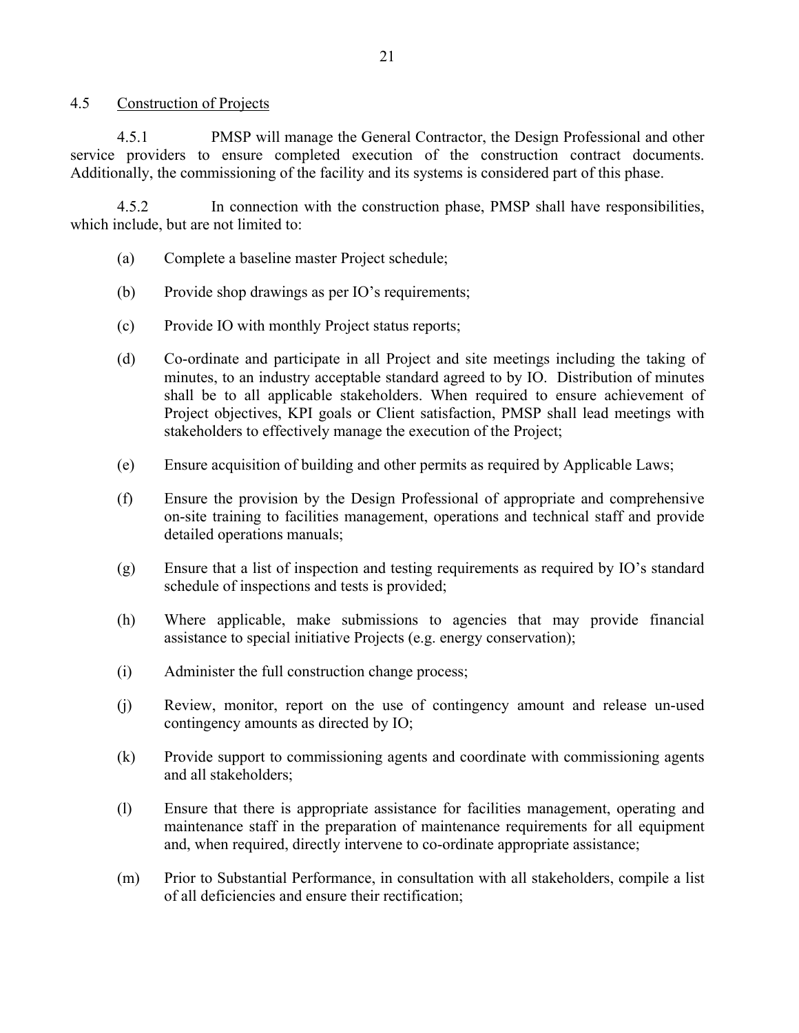#### 4.5 Construction of Projects

4.5.1 PMSP will manage the General Contractor, the Design Professional and other service providers to ensure completed execution of the construction contract documents. Additionally, the commissioning of the facility and its systems is considered part of this phase.

4.5.2 In connection with the construction phase, PMSP shall have responsibilities, which include, but are not limited to:

- (a) Complete a baseline master Project schedule;
- (b) Provide shop drawings as per IO's requirements;
- (c) Provide IO with monthly Project status reports;
- (d) Co-ordinate and participate in all Project and site meetings including the taking of minutes, to an industry acceptable standard agreed to by IO. Distribution of minutes shall be to all applicable stakeholders. When required to ensure achievement of Project objectives, KPI goals or Client satisfaction, PMSP shall lead meetings with stakeholders to effectively manage the execution of the Project;
- (e) Ensure acquisition of building and other permits as required by Applicable Laws;
- (f) Ensure the provision by the Design Professional of appropriate and comprehensive on-site training to facilities management, operations and technical staff and provide detailed operations manuals;
- (g) Ensure that a list of inspection and testing requirements as required by IO's standard schedule of inspections and tests is provided;
- (h) Where applicable, make submissions to agencies that may provide financial assistance to special initiative Projects (e.g. energy conservation);
- (i) Administer the full construction change process;
- (j) Review, monitor, report on the use of contingency amount and release un-used contingency amounts as directed by IO;
- (k) Provide support to commissioning agents and coordinate with commissioning agents and all stakeholders;
- (l) Ensure that there is appropriate assistance for facilities management, operating and maintenance staff in the preparation of maintenance requirements for all equipment and, when required, directly intervene to co-ordinate appropriate assistance;
- (m) Prior to Substantial Performance, in consultation with all stakeholders, compile a list of all deficiencies and ensure their rectification;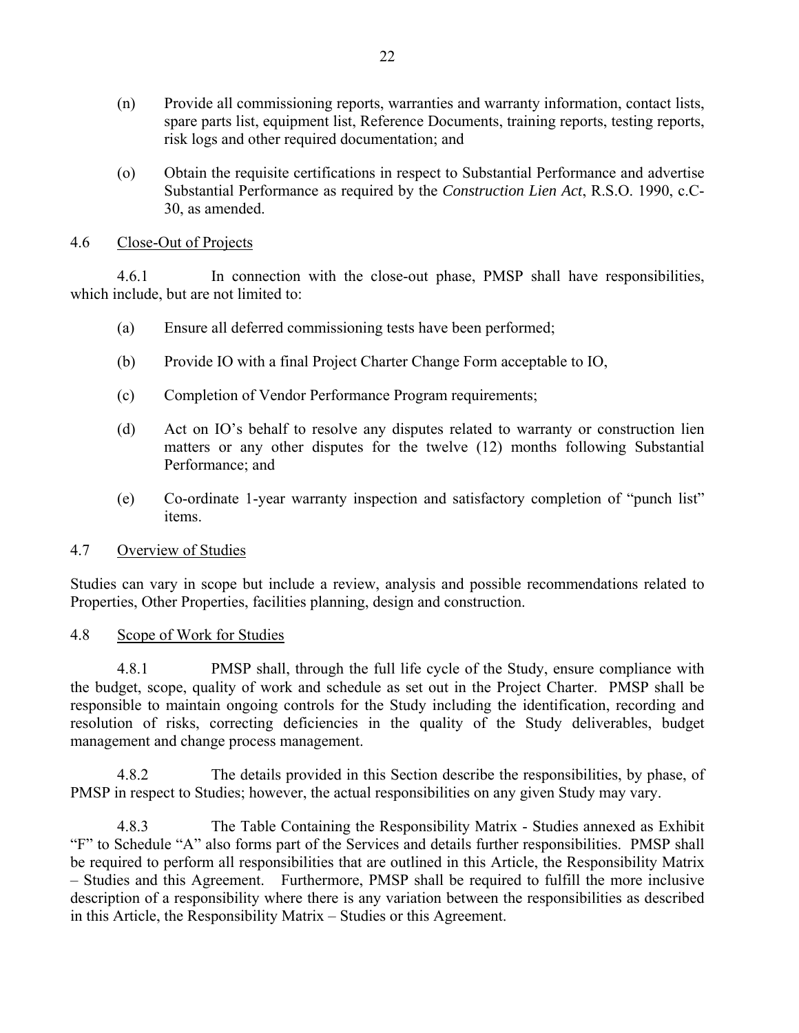- (n) Provide all commissioning reports, warranties and warranty information, contact lists, spare parts list, equipment list, Reference Documents, training reports, testing reports, risk logs and other required documentation; and
- (o) Obtain the requisite certifications in respect to Substantial Performance and advertise Substantial Performance as required by the *Construction Lien Act*, R.S.O. 1990, c.C-30, as amended.

#### 4.6 Close-Out of Projects

4.6.1 In connection with the close-out phase, PMSP shall have responsibilities, which include, but are not limited to:

- (a) Ensure all deferred commissioning tests have been performed;
- (b) Provide IO with a final Project Charter Change Form acceptable to IO,
- (c) Completion of Vendor Performance Program requirements;
- (d) Act on IO's behalf to resolve any disputes related to warranty or construction lien matters or any other disputes for the twelve (12) months following Substantial Performance; and
- (e) Co-ordinate 1-year warranty inspection and satisfactory completion of "punch list" items.

### 4.7 Overview of Studies

Studies can vary in scope but include a review, analysis and possible recommendations related to Properties, Other Properties, facilities planning, design and construction.

#### 4.8 Scope of Work for Studies

4.8.1 PMSP shall, through the full life cycle of the Study, ensure compliance with the budget, scope, quality of work and schedule as set out in the Project Charter. PMSP shall be responsible to maintain ongoing controls for the Study including the identification, recording and resolution of risks, correcting deficiencies in the quality of the Study deliverables, budget management and change process management.

4.8.2 The details provided in this Section describe the responsibilities, by phase, of PMSP in respect to Studies; however, the actual responsibilities on any given Study may vary.

4.8.3 The Table Containing the Responsibility Matrix - Studies annexed as Exhibit "F" to Schedule "A" also forms part of the Services and details further responsibilities. PMSP shall be required to perform all responsibilities that are outlined in this Article, the Responsibility Matrix – Studies and this Agreement. Furthermore, PMSP shall be required to fulfill the more inclusive description of a responsibility where there is any variation between the responsibilities as described in this Article, the Responsibility Matrix – Studies or this Agreement.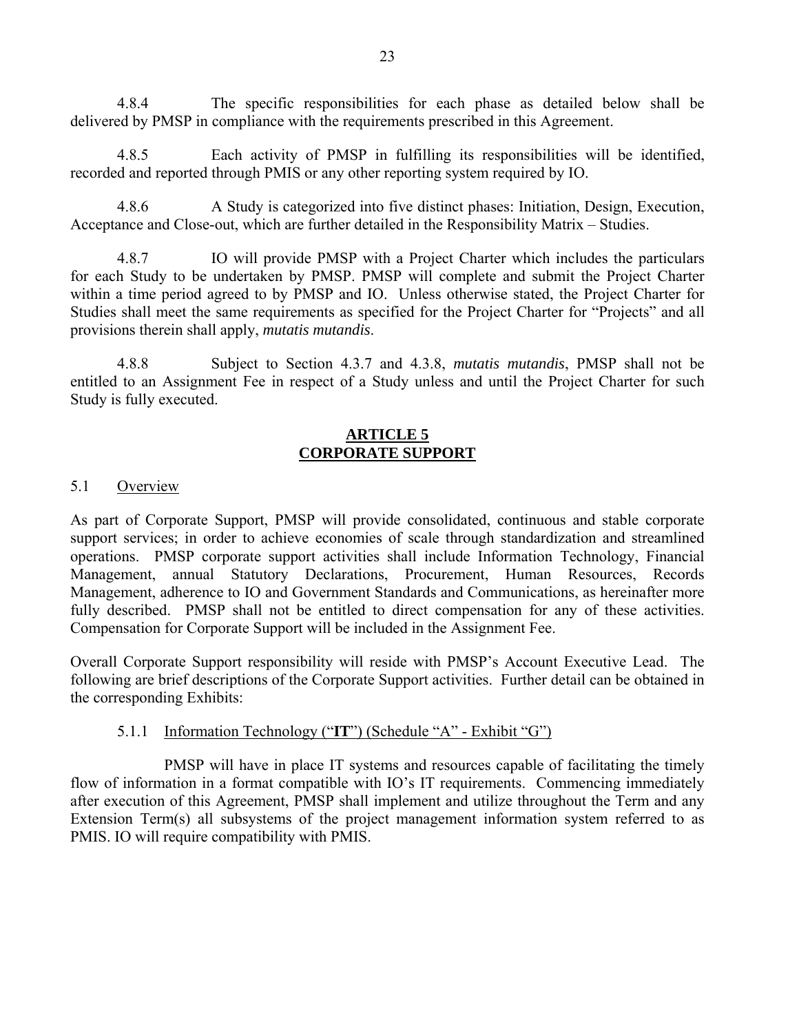4.8.4 The specific responsibilities for each phase as detailed below shall be delivered by PMSP in compliance with the requirements prescribed in this Agreement.

4.8.5 Each activity of PMSP in fulfilling its responsibilities will be identified, recorded and reported through PMIS or any other reporting system required by IO.

4.8.6 A Study is categorized into five distinct phases: Initiation, Design, Execution, Acceptance and Close-out, which are further detailed in the Responsibility Matrix – Studies.

4.8.7 IO will provide PMSP with a Project Charter which includes the particulars for each Study to be undertaken by PMSP. PMSP will complete and submit the Project Charter within a time period agreed to by PMSP and IO. Unless otherwise stated, the Project Charter for Studies shall meet the same requirements as specified for the Project Charter for "Projects" and all provisions therein shall apply, *mutatis mutandis*.

4.8.8 Subject to Section 4.3.7 and 4.3.8, *mutatis mutandis*, PMSP shall not be entitled to an Assignment Fee in respect of a Study unless and until the Project Charter for such Study is fully executed.

#### **ARTICLE 5 CORPORATE SUPPORT**

### 5.1 Overview

As part of Corporate Support, PMSP will provide consolidated, continuous and stable corporate support services; in order to achieve economies of scale through standardization and streamlined operations. PMSP corporate support activities shall include Information Technology, Financial Management, annual Statutory Declarations, Procurement, Human Resources, Records Management, adherence to IO and Government Standards and Communications, as hereinafter more fully described. PMSP shall not be entitled to direct compensation for any of these activities. Compensation for Corporate Support will be included in the Assignment Fee.

Overall Corporate Support responsibility will reside with PMSP's Account Executive Lead. The following are brief descriptions of the Corporate Support activities. Further detail can be obtained in the corresponding Exhibits:

#### 5.1.1 Information Technology ("**IT**") (Schedule "A" - Exhibit "G")

PMSP will have in place IT systems and resources capable of facilitating the timely flow of information in a format compatible with IO's IT requirements. Commencing immediately after execution of this Agreement, PMSP shall implement and utilize throughout the Term and any Extension Term(s) all subsystems of the project management information system referred to as PMIS. IO will require compatibility with PMIS.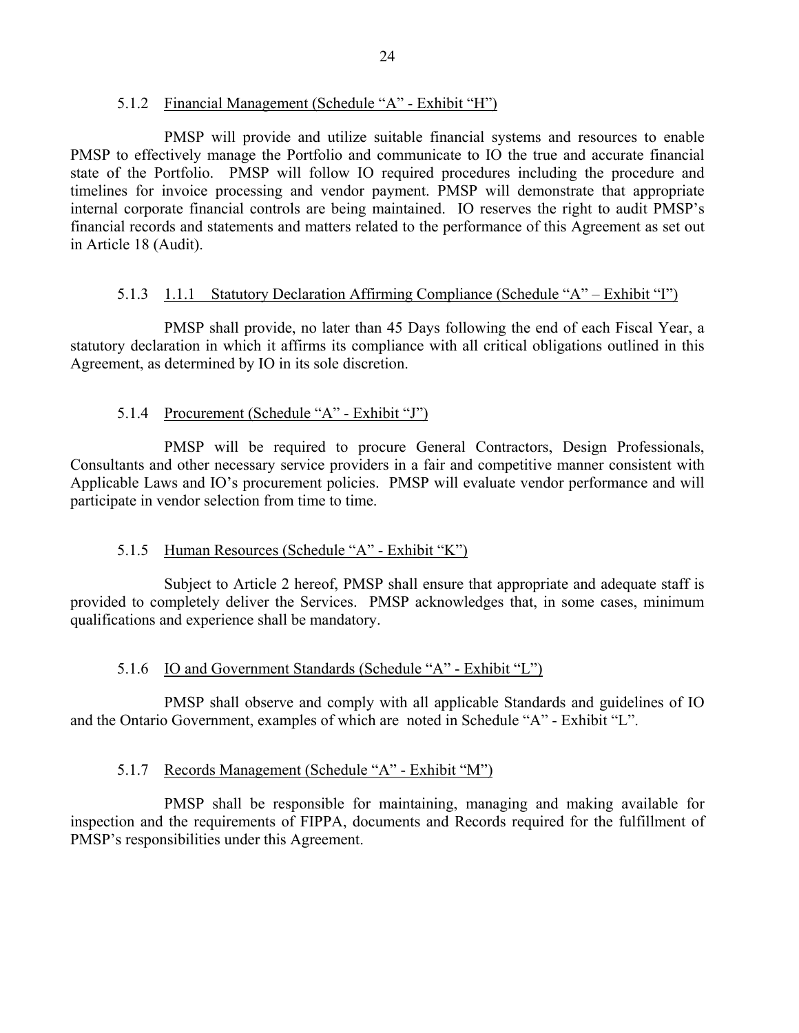#### 5.1.2 Financial Management (Schedule "A" - Exhibit "H")

PMSP will provide and utilize suitable financial systems and resources to enable PMSP to effectively manage the Portfolio and communicate to IO the true and accurate financial state of the Portfolio. PMSP will follow IO required procedures including the procedure and timelines for invoice processing and vendor payment. PMSP will demonstrate that appropriate internal corporate financial controls are being maintained. IO reserves the right to audit PMSP's financial records and statements and matters related to the performance of this Agreement as set out in Article 18 (Audit).

### 5.1.3 1.1.1 Statutory Declaration Affirming Compliance (Schedule "A" – Exhibit "I")

PMSP shall provide, no later than 45 Days following the end of each Fiscal Year, a statutory declaration in which it affirms its compliance with all critical obligations outlined in this Agreement, as determined by IO in its sole discretion.

### 5.1.4 Procurement (Schedule "A" - Exhibit "J")

PMSP will be required to procure General Contractors, Design Professionals, Consultants and other necessary service providers in a fair and competitive manner consistent with Applicable Laws and IO's procurement policies. PMSP will evaluate vendor performance and will participate in vendor selection from time to time.

### 5.1.5 Human Resources (Schedule "A" - Exhibit "K")

Subject to Article 2 hereof, PMSP shall ensure that appropriate and adequate staff is provided to completely deliver the Services. PMSP acknowledges that, in some cases, minimum qualifications and experience shall be mandatory.

### 5.1.6 IO and Government Standards (Schedule "A" - Exhibit "L")

PMSP shall observe and comply with all applicable Standards and guidelines of IO and the Ontario Government, examples of which are noted in Schedule "A" - Exhibit "L".

### 5.1.7 Records Management (Schedule "A" - Exhibit "M")

PMSP shall be responsible for maintaining, managing and making available for inspection and the requirements of FIPPA, documents and Records required for the fulfillment of PMSP's responsibilities under this Agreement.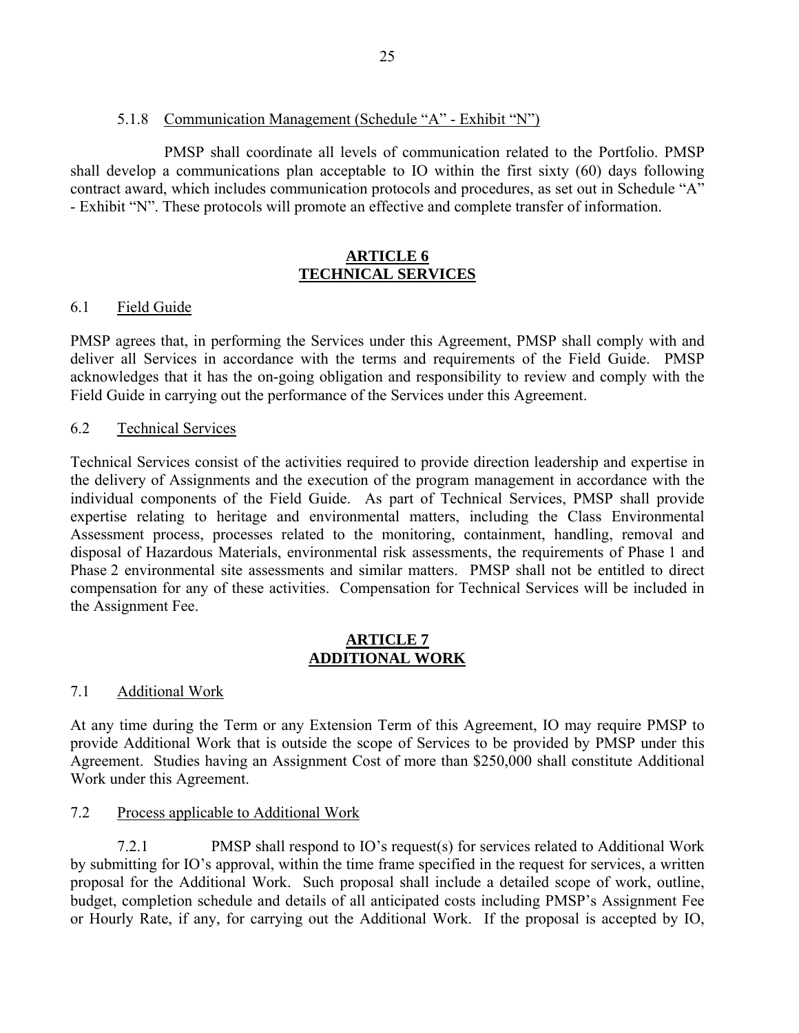#### 5.1.8 Communication Management (Schedule "A" - Exhibit "N")

PMSP shall coordinate all levels of communication related to the Portfolio. PMSP shall develop a communications plan acceptable to IO within the first sixty (60) days following contract award, which includes communication protocols and procedures, as set out in Schedule "A" - Exhibit "N". These protocols will promote an effective and complete transfer of information.

#### **ARTICLE 6 TECHNICAL SERVICES**

### 6.1 Field Guide

PMSP agrees that, in performing the Services under this Agreement, PMSP shall comply with and deliver all Services in accordance with the terms and requirements of the Field Guide. PMSP acknowledges that it has the on-going obligation and responsibility to review and comply with the Field Guide in carrying out the performance of the Services under this Agreement.

#### 6.2 Technical Services

Technical Services consist of the activities required to provide direction leadership and expertise in the delivery of Assignments and the execution of the program management in accordance with the individual components of the Field Guide. As part of Technical Services, PMSP shall provide expertise relating to heritage and environmental matters, including the Class Environmental Assessment process, processes related to the monitoring, containment, handling, removal and disposal of Hazardous Materials, environmental risk assessments, the requirements of Phase 1 and Phase 2 environmental site assessments and similar matters. PMSP shall not be entitled to direct compensation for any of these activities. Compensation for Technical Services will be included in the Assignment Fee.

#### **ARTICLE 7 ADDITIONAL WORK**

### 7.1 Additional Work

At any time during the Term or any Extension Term of this Agreement, IO may require PMSP to provide Additional Work that is outside the scope of Services to be provided by PMSP under this Agreement. Studies having an Assignment Cost of more than \$250,000 shall constitute Additional Work under this Agreement.

#### 7.2 Process applicable to Additional Work

7.2.1 PMSP shall respond to IO's request(s) for services related to Additional Work by submitting for IO's approval, within the time frame specified in the request for services, a written proposal for the Additional Work. Such proposal shall include a detailed scope of work, outline, budget, completion schedule and details of all anticipated costs including PMSP's Assignment Fee or Hourly Rate, if any, for carrying out the Additional Work. If the proposal is accepted by IO,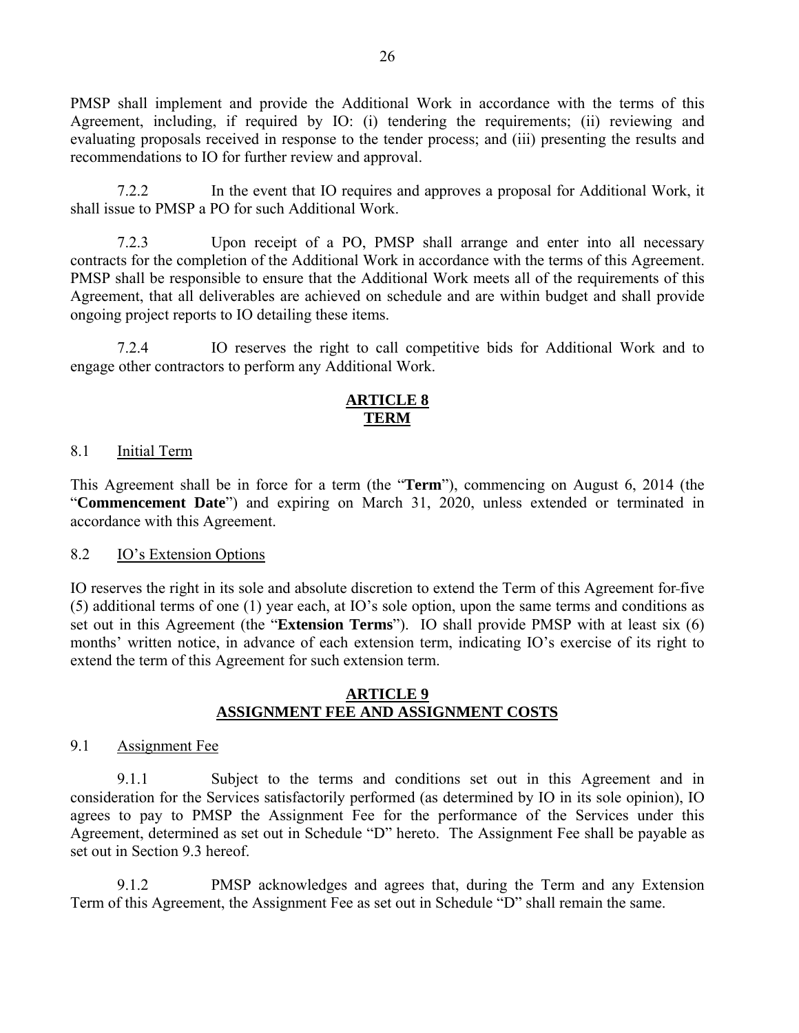PMSP shall implement and provide the Additional Work in accordance with the terms of this Agreement, including, if required by IO: (i) tendering the requirements; (ii) reviewing and evaluating proposals received in response to the tender process; and (iii) presenting the results and recommendations to IO for further review and approval.

7.2.2 In the event that IO requires and approves a proposal for Additional Work, it shall issue to PMSP a PO for such Additional Work.

7.2.3 Upon receipt of a PO, PMSP shall arrange and enter into all necessary contracts for the completion of the Additional Work in accordance with the terms of this Agreement. PMSP shall be responsible to ensure that the Additional Work meets all of the requirements of this Agreement, that all deliverables are achieved on schedule and are within budget and shall provide ongoing project reports to IO detailing these items.

7.2.4 IO reserves the right to call competitive bids for Additional Work and to engage other contractors to perform any Additional Work.

### **ARTICLE 8 TERM**

#### 8.1 **Initial Term**

This Agreement shall be in force for a term (the "**Term**"), commencing on August 6, 2014 (the "**Commencement Date**") and expiring on March 31, 2020, unless extended or terminated in accordance with this Agreement.

#### 8.2 IO's Extension Options

IO reserves the right in its sole and absolute discretion to extend the Term of this Agreement for five (5) additional terms of one (1) year each, at IO's sole option, upon the same terms and conditions as set out in this Agreement (the "**Extension Terms**"). IO shall provide PMSP with at least six (6) months' written notice, in advance of each extension term, indicating IO's exercise of its right to extend the term of this Agreement for such extension term.

#### **ARTICLE 9 ASSIGNMENT FEE AND ASSIGNMENT COSTS**

#### 9.1 Assignment Fee

9.1.1 Subject to the terms and conditions set out in this Agreement and in consideration for the Services satisfactorily performed (as determined by IO in its sole opinion), IO agrees to pay to PMSP the Assignment Fee for the performance of the Services under this Agreement, determined as set out in Schedule "D" hereto. The Assignment Fee shall be payable as set out in Section 9.3 hereof.

9.1.2 PMSP acknowledges and agrees that, during the Term and any Extension Term of this Agreement, the Assignment Fee as set out in Schedule "D" shall remain the same.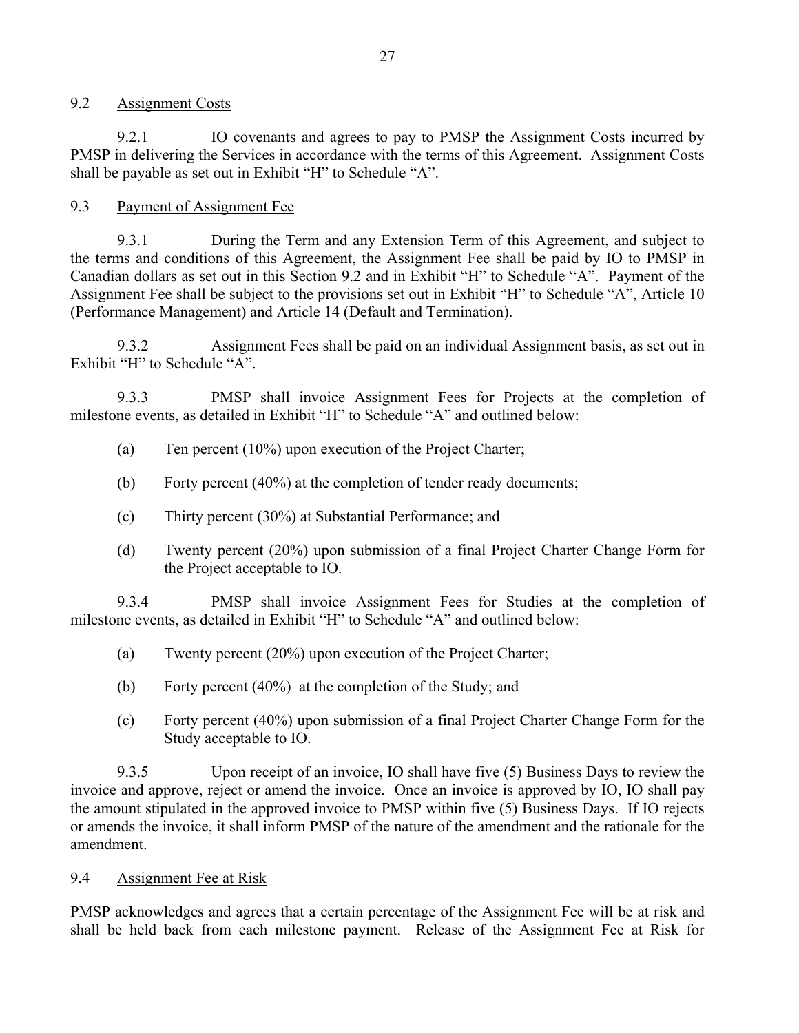#### 9.2 Assignment Costs

9.2.1 IO covenants and agrees to pay to PMSP the Assignment Costs incurred by PMSP in delivering the Services in accordance with the terms of this Agreement. Assignment Costs shall be payable as set out in Exhibit "H" to Schedule "A".

### 9.3 Payment of Assignment Fee

9.3.1 During the Term and any Extension Term of this Agreement, and subject to the terms and conditions of this Agreement, the Assignment Fee shall be paid by IO to PMSP in Canadian dollars as set out in this Section 9.2 and in Exhibit "H" to Schedule "A". Payment of the Assignment Fee shall be subject to the provisions set out in Exhibit "H" to Schedule "A", Article 10 (Performance Management) and Article 14 (Default and Termination).

9.3.2 Assignment Fees shall be paid on an individual Assignment basis, as set out in Exhibit "H" to Schedule "A".

9.3.3 PMSP shall invoice Assignment Fees for Projects at the completion of milestone events, as detailed in Exhibit "H" to Schedule "A" and outlined below:

- (a) Ten percent (10%) upon execution of the Project Charter;
- (b) Forty percent (40%) at the completion of tender ready documents;
- (c) Thirty percent (30%) at Substantial Performance; and
- (d) Twenty percent (20%) upon submission of a final Project Charter Change Form for the Project acceptable to IO.

9.3.4 PMSP shall invoice Assignment Fees for Studies at the completion of milestone events, as detailed in Exhibit "H" to Schedule "A" and outlined below:

- (a) Twenty percent (20%) upon execution of the Project Charter;
- (b) Forty percent (40%) at the completion of the Study; and
- (c) Forty percent (40%) upon submission of a final Project Charter Change Form for the Study acceptable to IO.

9.3.5 Upon receipt of an invoice, IO shall have five (5) Business Days to review the invoice and approve, reject or amend the invoice. Once an invoice is approved by IO, IO shall pay the amount stipulated in the approved invoice to PMSP within five (5) Business Days. If IO rejects or amends the invoice, it shall inform PMSP of the nature of the amendment and the rationale for the amendment.

### 9.4 Assignment Fee at Risk

PMSP acknowledges and agrees that a certain percentage of the Assignment Fee will be at risk and shall be held back from each milestone payment. Release of the Assignment Fee at Risk for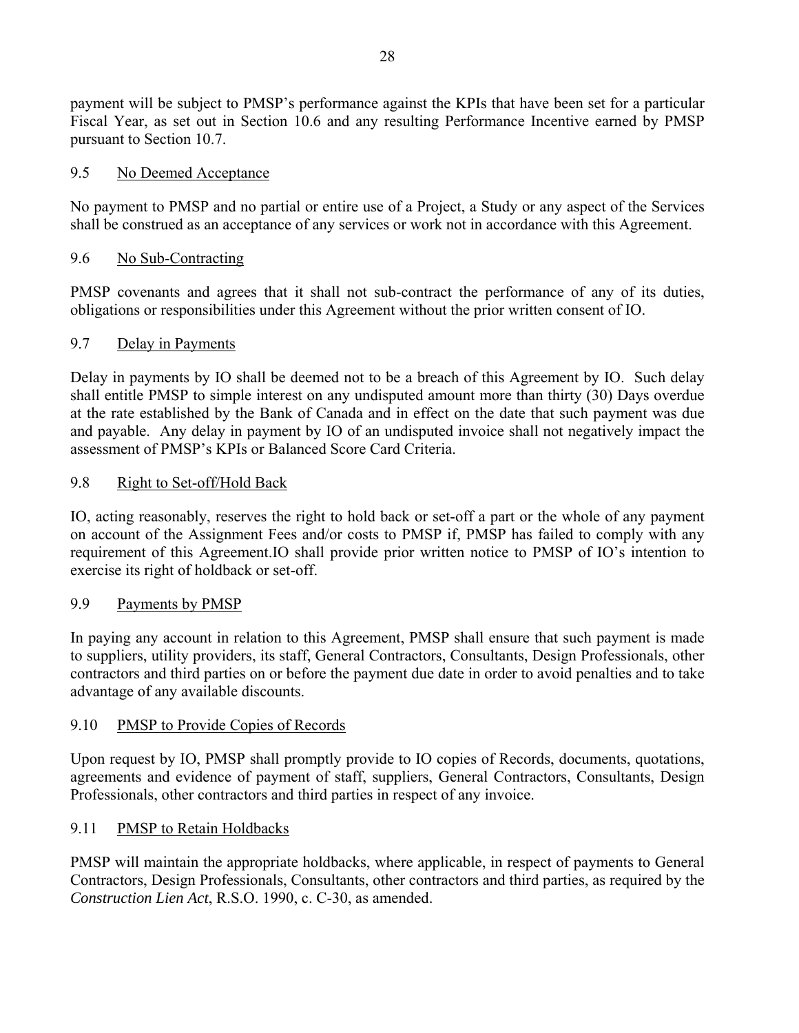payment will be subject to PMSP's performance against the KPIs that have been set for a particular Fiscal Year, as set out in Section 10.6 and any resulting Performance Incentive earned by PMSP pursuant to Section 10.7.

### 9.5 No Deemed Acceptance

No payment to PMSP and no partial or entire use of a Project, a Study or any aspect of the Services shall be construed as an acceptance of any services or work not in accordance with this Agreement.

### 9.6 No Sub-Contracting

PMSP covenants and agrees that it shall not sub-contract the performance of any of its duties, obligations or responsibilities under this Agreement without the prior written consent of IO.

### 9.7 Delay in Payments

Delay in payments by IO shall be deemed not to be a breach of this Agreement by IO. Such delay shall entitle PMSP to simple interest on any undisputed amount more than thirty (30) Days overdue at the rate established by the Bank of Canada and in effect on the date that such payment was due and payable. Any delay in payment by IO of an undisputed invoice shall not negatively impact the assessment of PMSP's KPIs or Balanced Score Card Criteria.

### 9.8 Right to Set-off/Hold Back

IO, acting reasonably, reserves the right to hold back or set-off a part or the whole of any payment on account of the Assignment Fees and/or costs to PMSP if, PMSP has failed to comply with any requirement of this Agreement.IO shall provide prior written notice to PMSP of IO's intention to exercise its right of holdback or set-off.

#### 9.9 Payments by PMSP

In paying any account in relation to this Agreement, PMSP shall ensure that such payment is made to suppliers, utility providers, its staff, General Contractors, Consultants, Design Professionals, other contractors and third parties on or before the payment due date in order to avoid penalties and to take advantage of any available discounts.

#### 9.10 PMSP to Provide Copies of Records

Upon request by IO, PMSP shall promptly provide to IO copies of Records, documents, quotations, agreements and evidence of payment of staff, suppliers, General Contractors, Consultants, Design Professionals, other contractors and third parties in respect of any invoice.

#### 9.11 PMSP to Retain Holdbacks

PMSP will maintain the appropriate holdbacks, where applicable, in respect of payments to General Contractors, Design Professionals, Consultants, other contractors and third parties, as required by the *Construction Lien Act*, R.S.O. 1990, c. C-30, as amended.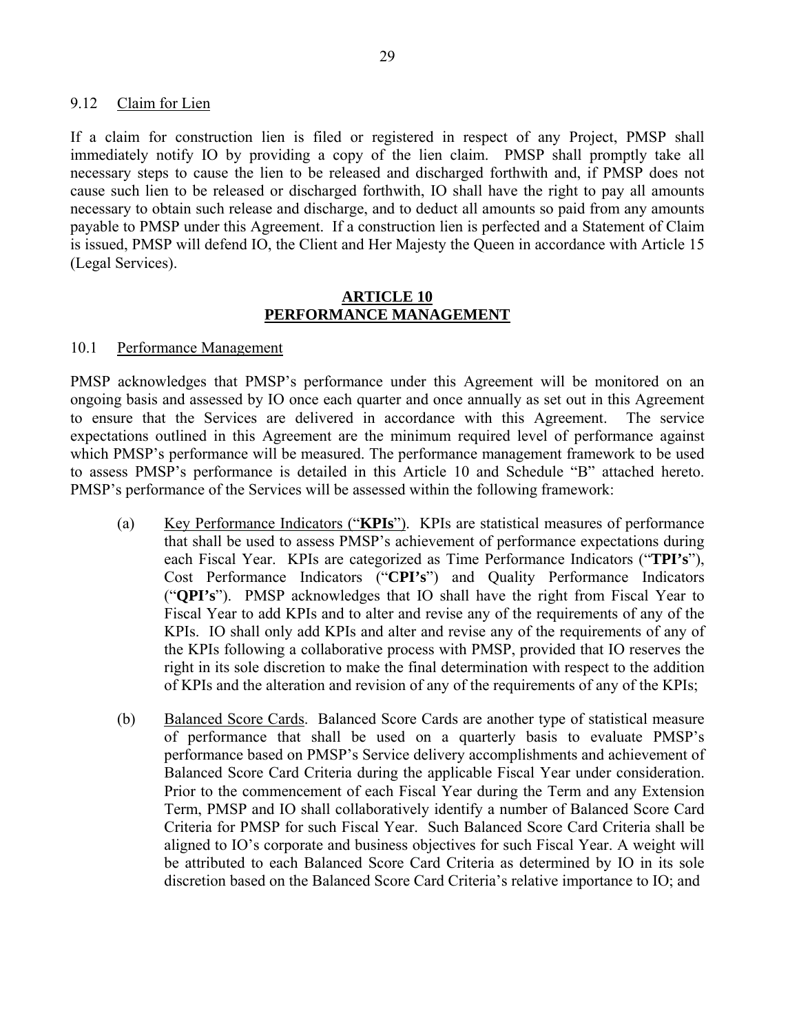#### 9.12 Claim for Lien

If a claim for construction lien is filed or registered in respect of any Project, PMSP shall immediately notify IO by providing a copy of the lien claim. PMSP shall promptly take all necessary steps to cause the lien to be released and discharged forthwith and, if PMSP does not cause such lien to be released or discharged forthwith, IO shall have the right to pay all amounts necessary to obtain such release and discharge, and to deduct all amounts so paid from any amounts payable to PMSP under this Agreement. If a construction lien is perfected and a Statement of Claim is issued, PMSP will defend IO, the Client and Her Majesty the Queen in accordance with Article 15 (Legal Services).

#### **ARTICLE 10 PERFORMANCE MANAGEMENT**

#### 10.1 Performance Management

PMSP acknowledges that PMSP's performance under this Agreement will be monitored on an ongoing basis and assessed by IO once each quarter and once annually as set out in this Agreement to ensure that the Services are delivered in accordance with this Agreement. The service expectations outlined in this Agreement are the minimum required level of performance against which PMSP's performance will be measured. The performance management framework to be used to assess PMSP's performance is detailed in this Article 10 and Schedule "B" attached hereto. PMSP's performance of the Services will be assessed within the following framework:

- (a) Key Performance Indicators ("**KPIs**"). KPIs are statistical measures of performance that shall be used to assess PMSP's achievement of performance expectations during each Fiscal Year. KPIs are categorized as Time Performance Indicators ("**TPI's**"), Cost Performance Indicators ("**CPI's**") and Quality Performance Indicators ("**QPI's**"). PMSP acknowledges that IO shall have the right from Fiscal Year to Fiscal Year to add KPIs and to alter and revise any of the requirements of any of the KPIs. IO shall only add KPIs and alter and revise any of the requirements of any of the KPIs following a collaborative process with PMSP, provided that IO reserves the right in its sole discretion to make the final determination with respect to the addition of KPIs and the alteration and revision of any of the requirements of any of the KPIs;
- (b) Balanced Score Cards. Balanced Score Cards are another type of statistical measure of performance that shall be used on a quarterly basis to evaluate PMSP's performance based on PMSP's Service delivery accomplishments and achievement of Balanced Score Card Criteria during the applicable Fiscal Year under consideration. Prior to the commencement of each Fiscal Year during the Term and any Extension Term, PMSP and IO shall collaboratively identify a number of Balanced Score Card Criteria for PMSP for such Fiscal Year. Such Balanced Score Card Criteria shall be aligned to IO's corporate and business objectives for such Fiscal Year. A weight will be attributed to each Balanced Score Card Criteria as determined by IO in its sole discretion based on the Balanced Score Card Criteria's relative importance to IO; and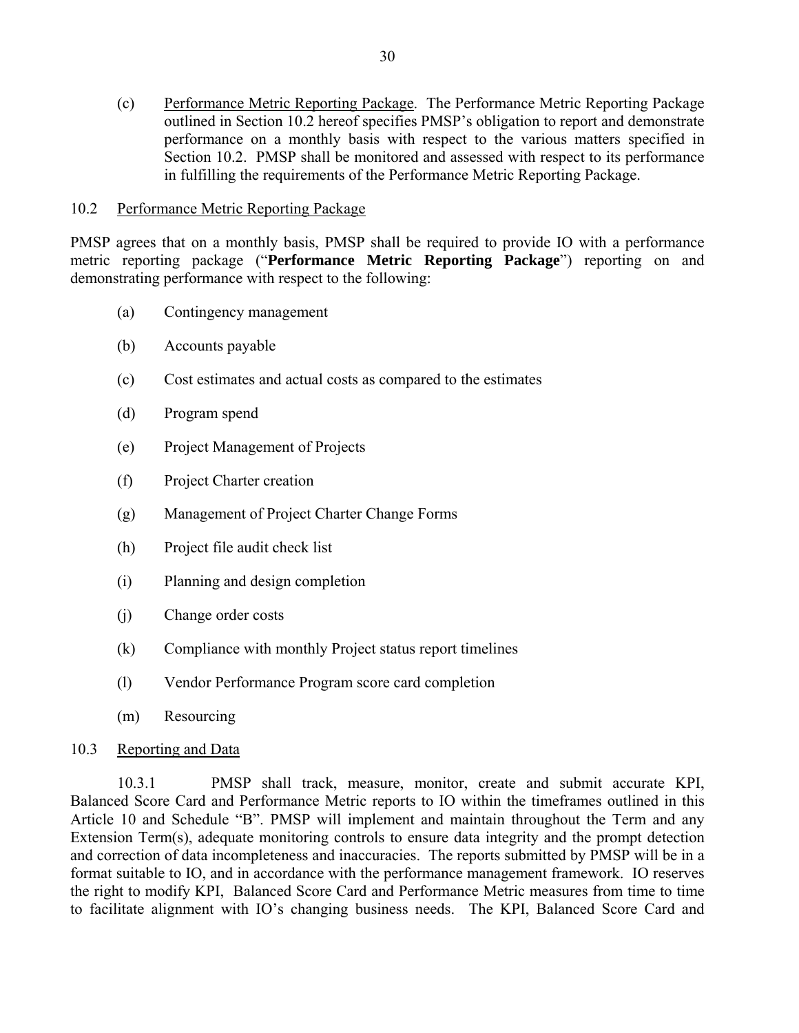(c) Performance Metric Reporting Package. The Performance Metric Reporting Package outlined in Section 10.2 hereof specifies PMSP's obligation to report and demonstrate performance on a monthly basis with respect to the various matters specified in Section 10.2. PMSP shall be monitored and assessed with respect to its performance in fulfilling the requirements of the Performance Metric Reporting Package.

#### 10.2 Performance Metric Reporting Package

PMSP agrees that on a monthly basis, PMSP shall be required to provide IO with a performance metric reporting package ("**Performance Metric Reporting Package**") reporting on and demonstrating performance with respect to the following:

- (a) Contingency management
- (b) Accounts payable
- (c) Cost estimates and actual costs as compared to the estimates
- (d) Program spend
- (e) Project Management of Projects
- (f) Project Charter creation
- (g) Management of Project Charter Change Forms
- (h) Project file audit check list
- (i) Planning and design completion
- (j) Change order costs
- (k) Compliance with monthly Project status report timelines
- (l) Vendor Performance Program score card completion
- (m) Resourcing

#### 10.3 Reporting and Data

10.3.1 PMSP shall track, measure, monitor, create and submit accurate KPI, Balanced Score Card and Performance Metric reports to IO within the timeframes outlined in this Article 10 and Schedule "B". PMSP will implement and maintain throughout the Term and any Extension Term(s), adequate monitoring controls to ensure data integrity and the prompt detection and correction of data incompleteness and inaccuracies. The reports submitted by PMSP will be in a format suitable to IO, and in accordance with the performance management framework. IO reserves the right to modify KPI, Balanced Score Card and Performance Metric measures from time to time to facilitate alignment with IO's changing business needs. The KPI, Balanced Score Card and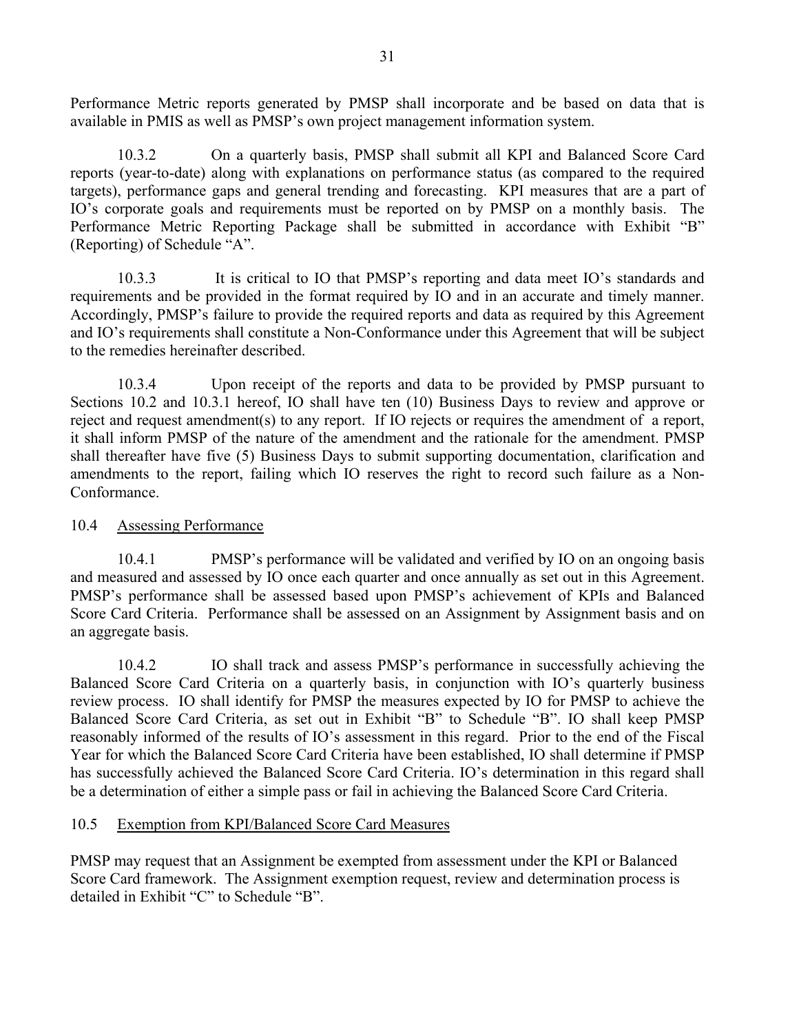Performance Metric reports generated by PMSP shall incorporate and be based on data that is available in PMIS as well as PMSP's own project management information system.

10.3.2 On a quarterly basis, PMSP shall submit all KPI and Balanced Score Card reports (year-to-date) along with explanations on performance status (as compared to the required targets), performance gaps and general trending and forecasting. KPI measures that are a part of IO's corporate goals and requirements must be reported on by PMSP on a monthly basis. The Performance Metric Reporting Package shall be submitted in accordance with Exhibit "B" (Reporting) of Schedule "A".

10.3.3 It is critical to IO that PMSP's reporting and data meet IO's standards and requirements and be provided in the format required by IO and in an accurate and timely manner. Accordingly, PMSP's failure to provide the required reports and data as required by this Agreement and IO's requirements shall constitute a Non-Conformance under this Agreement that will be subject to the remedies hereinafter described.

10.3.4 Upon receipt of the reports and data to be provided by PMSP pursuant to Sections 10.2 and 10.3.1 hereof, IO shall have ten (10) Business Days to review and approve or reject and request amendment(s) to any report. If IO rejects or requires the amendment of a report, it shall inform PMSP of the nature of the amendment and the rationale for the amendment. PMSP shall thereafter have five (5) Business Days to submit supporting documentation, clarification and amendments to the report, failing which IO reserves the right to record such failure as a Non-Conformance.

#### 10.4 Assessing Performance

10.4.1 PMSP's performance will be validated and verified by IO on an ongoing basis and measured and assessed by IO once each quarter and once annually as set out in this Agreement. PMSP's performance shall be assessed based upon PMSP's achievement of KPIs and Balanced Score Card Criteria. Performance shall be assessed on an Assignment by Assignment basis and on an aggregate basis.

10.4.2 IO shall track and assess PMSP's performance in successfully achieving the Balanced Score Card Criteria on a quarterly basis, in conjunction with IO's quarterly business review process. IO shall identify for PMSP the measures expected by IO for PMSP to achieve the Balanced Score Card Criteria, as set out in Exhibit "B" to Schedule "B". IO shall keep PMSP reasonably informed of the results of IO's assessment in this regard. Prior to the end of the Fiscal Year for which the Balanced Score Card Criteria have been established, IO shall determine if PMSP has successfully achieved the Balanced Score Card Criteria. IO's determination in this regard shall be a determination of either a simple pass or fail in achieving the Balanced Score Card Criteria.

#### 10.5 Exemption from KPI/Balanced Score Card Measures

PMSP may request that an Assignment be exempted from assessment under the KPI or Balanced Score Card framework. The Assignment exemption request, review and determination process is detailed in Exhibit "C" to Schedule "B".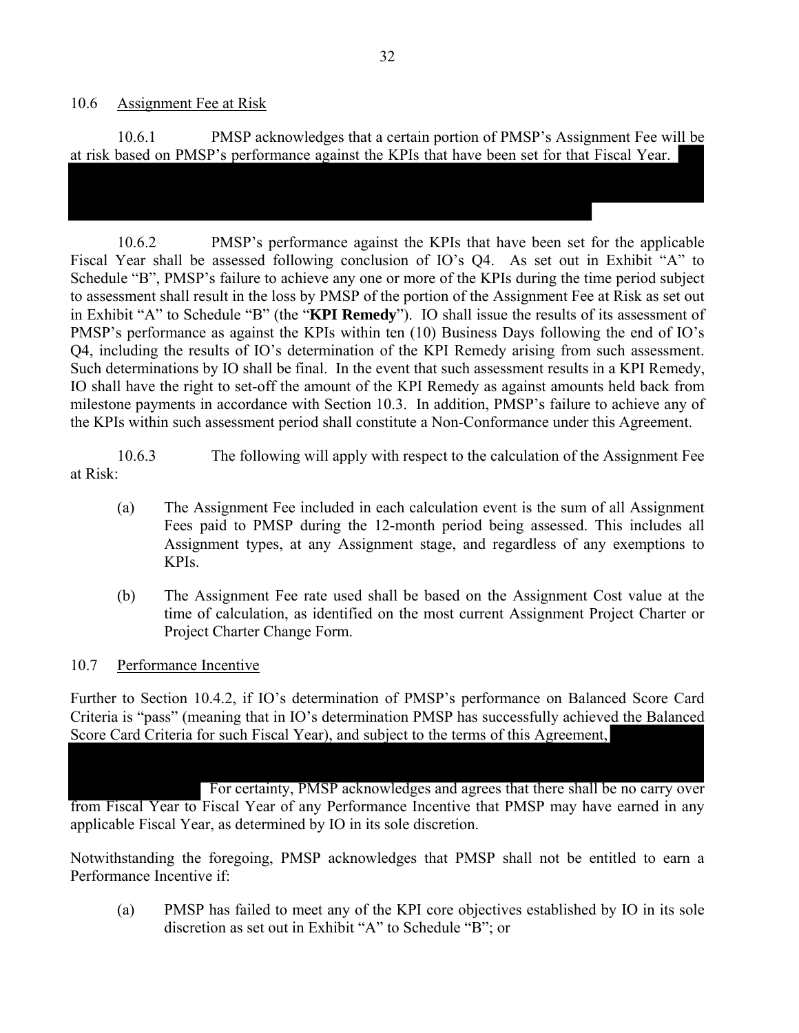#### 10.6 Assignment Fee at Risk

10.6.1 PMSP acknowledges that a certain portion of PMSP's Assignment Fee will be at risk based on PMSP's performance against the KPIs that have been set for that Fiscal Year.

10.6.2 PMSP's performance against the KPIs that have been set for the applicable Fiscal Year shall be assessed following conclusion of IO's Q4. As set out in Exhibit "A" to Schedule "B", PMSP's failure to achieve any one or more of the KPIs during the time period subject to assessment shall result in the loss by PMSP of the portion of the Assignment Fee at Risk as set out in Exhibit "A" to Schedule "B" (the "**KPI Remedy**"). IO shall issue the results of its assessment of PMSP's performance as against the KPIs within ten (10) Business Days following the end of IO's Q4, including the results of IO's determination of the KPI Remedy arising from such assessment. Such determinations by IO shall be final. In the event that such assessment results in a KPI Remedy, IO shall have the right to set-off the amount of the KPI Remedy as against amounts held back from milestone payments in accordance with Section 10.3. In addition, PMSP's failure to achieve any of the KPIs within such assessment period shall constitute a Non-Conformance under this Agreement.

10.6.3 The following will apply with respect to the calculation of the Assignment Fee at Risk:

- (a) The Assignment Fee included in each calculation event is the sum of all Assignment Fees paid to PMSP during the 12-month period being assessed. This includes all Assignment types, at any Assignment stage, and regardless of any exemptions to KPIs.
- (b) The Assignment Fee rate used shall be based on the Assignment Cost value at the time of calculation, as identified on the most current Assignment Project Charter or Project Charter Change Form.

#### 10.7 Performance Incentive

Further to Section 10.4.2, if IO's determination of PMSP's performance on Balanced Score Card Criteria is "pass" (meaning that in IO's determination PMSP has successfully achieved the Balanced Score Card Criteria for such Fiscal Year), and subject to the terms of this Agreement,

 For certainty, PMSP acknowledges and agrees that there shall be no carry over from Fiscal Year to Fiscal Year of any Performance Incentive that PMSP may have earned in any applicable Fiscal Year, as determined by IO in its sole discretion.

Notwithstanding the foregoing, PMSP acknowledges that PMSP shall not be entitled to earn a Performance Incentive if:

(a) PMSP has failed to meet any of the KPI core objectives established by IO in its sole discretion as set out in Exhibit "A" to Schedule "B"; or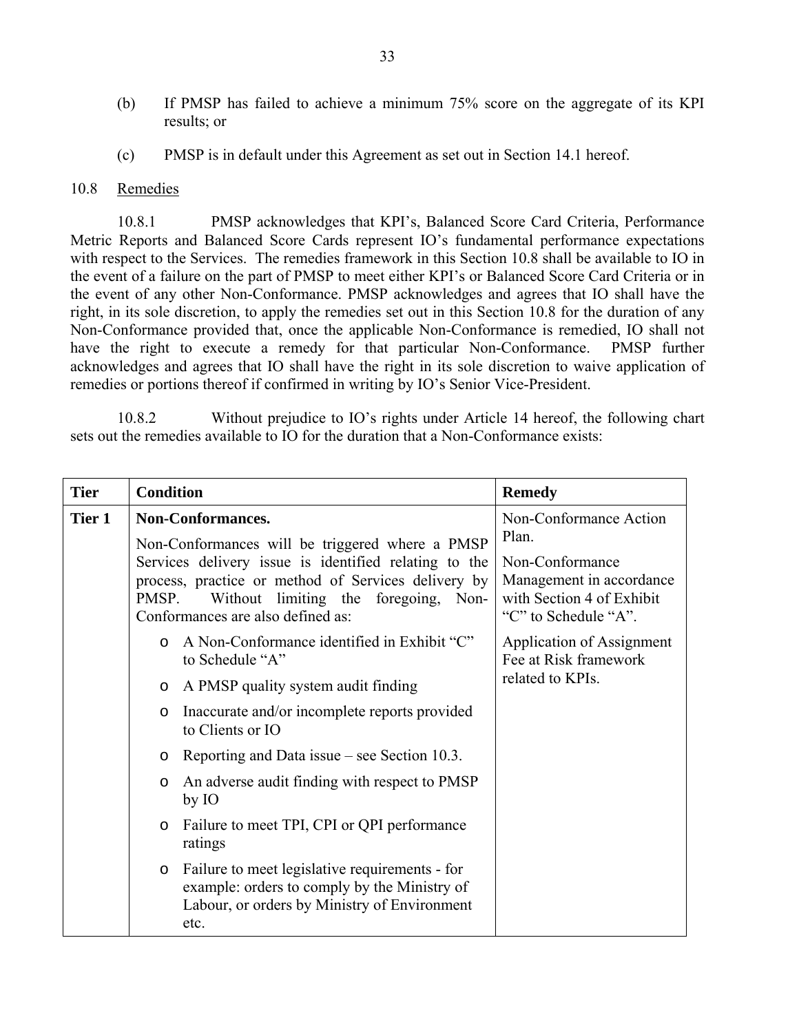- (b) If PMSP has failed to achieve a minimum 75% score on the aggregate of its KPI results; or
- (c) PMSP is in default under this Agreement as set out in Section 14.1 hereof.

#### 10.8 Remedies

10.8.1 PMSP acknowledges that KPI's, Balanced Score Card Criteria, Performance Metric Reports and Balanced Score Cards represent IO's fundamental performance expectations with respect to the Services. The remedies framework in this Section 10.8 shall be available to IO in the event of a failure on the part of PMSP to meet either KPI's or Balanced Score Card Criteria or in the event of any other Non-Conformance. PMSP acknowledges and agrees that IO shall have the right, in its sole discretion, to apply the remedies set out in this Section 10.8 for the duration of any Non-Conformance provided that, once the applicable Non-Conformance is remedied, IO shall not have the right to execute a remedy for that particular Non-Conformance. PMSP further acknowledges and agrees that IO shall have the right in its sole discretion to waive application of remedies or portions thereof if confirmed in writing by IO's Senior Vice-President.

10.8.2 Without prejudice to IO's rights under Article 14 hereof, the following chart sets out the remedies available to IO for the duration that a Non-Conformance exists:

| <b>Tier</b> | <b>Condition</b>                                                                                                                                                                                   | <b>Remedy</b>                                                                                    |
|-------------|----------------------------------------------------------------------------------------------------------------------------------------------------------------------------------------------------|--------------------------------------------------------------------------------------------------|
| Tier 1      | Non-Conformances.<br>Non-Conformances will be triggered where a PMSP                                                                                                                               | Non-Conformance Action<br>Plan.                                                                  |
|             | Services delivery issue is identified relating to the<br>process, practice or method of Services delivery by<br>Without limiting the foregoing, Non-<br>PMSP.<br>Conformances are also defined as: | Non-Conformance<br>Management in accordance<br>with Section 4 of Exhibit<br>"C" to Schedule "A". |
|             | A Non-Conformance identified in Exhibit "C"<br>$\circ$<br>to Schedule "A"                                                                                                                          | Application of Assignment<br>Fee at Risk framework                                               |
|             | A PMSP quality system audit finding<br>$\circ$                                                                                                                                                     | related to KPIs.                                                                                 |
|             | Inaccurate and/or incomplete reports provided<br>$\circ$<br>to Clients or IO                                                                                                                       |                                                                                                  |
|             | Reporting and Data issue – see Section 10.3.<br>$\circ$                                                                                                                                            |                                                                                                  |
|             | An adverse audit finding with respect to PMSP<br>$\circ$<br>by IO                                                                                                                                  |                                                                                                  |
|             | Failure to meet TPI, CPI or QPI performance<br>$\circ$<br>ratings                                                                                                                                  |                                                                                                  |
|             | Failure to meet legislative requirements - for<br>$\circ$<br>example: orders to comply by the Ministry of<br>Labour, or orders by Ministry of Environment<br>etc.                                  |                                                                                                  |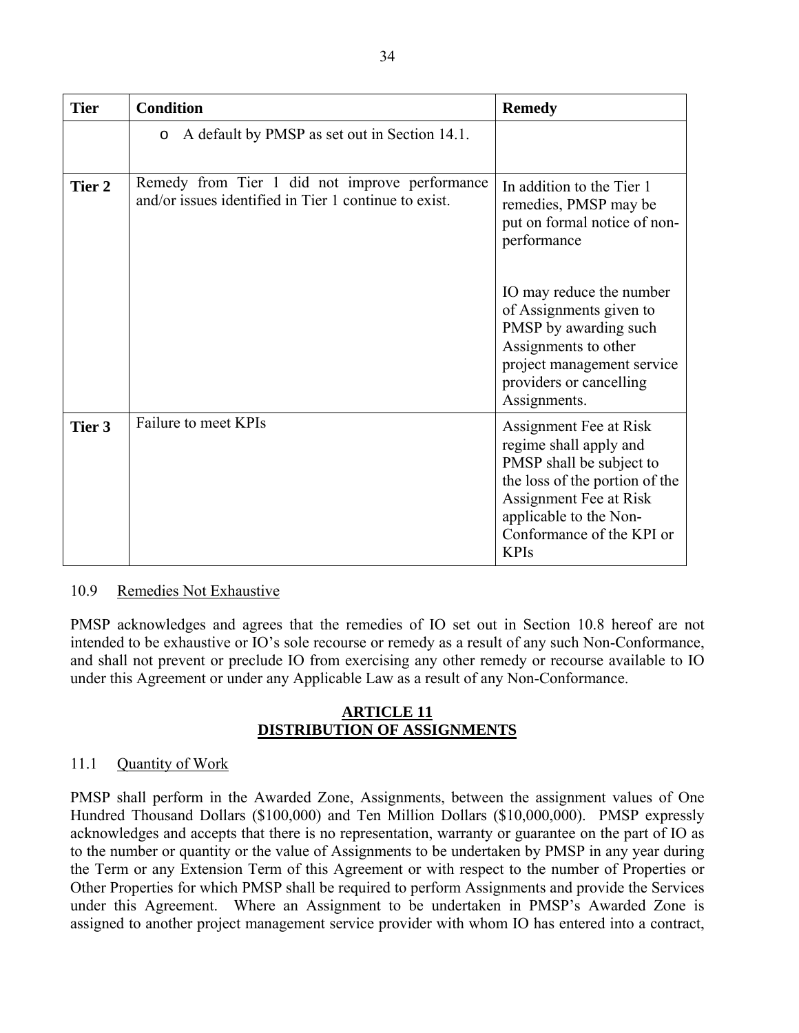| <b>Tier</b> | <b>Condition</b>                                                                                        | <b>Remedy</b>                                                                                                                                                                                                  |
|-------------|---------------------------------------------------------------------------------------------------------|----------------------------------------------------------------------------------------------------------------------------------------------------------------------------------------------------------------|
|             | A default by PMSP as set out in Section 14.1.<br>$\circ$                                                |                                                                                                                                                                                                                |
| Tier 2      | Remedy from Tier 1 did not improve performance<br>and/or issues identified in Tier 1 continue to exist. | In addition to the Tier 1<br>remedies, PMSP may be<br>put on formal notice of non-<br>performance                                                                                                              |
|             |                                                                                                         | IO may reduce the number<br>of Assignments given to<br>PMSP by awarding such<br>Assignments to other<br>project management service<br>providers or cancelling<br>Assignments.                                  |
| Tier 3      | Failure to meet KPIs                                                                                    | Assignment Fee at Risk<br>regime shall apply and<br>PMSP shall be subject to<br>the loss of the portion of the<br>Assignment Fee at Risk<br>applicable to the Non-<br>Conformance of the KPI or<br><b>KPIs</b> |

### 10.9 Remedies Not Exhaustive

PMSP acknowledges and agrees that the remedies of IO set out in Section 10.8 hereof are not intended to be exhaustive or IO's sole recourse or remedy as a result of any such Non-Conformance, and shall not prevent or preclude IO from exercising any other remedy or recourse available to IO under this Agreement or under any Applicable Law as a result of any Non-Conformance.

#### **ARTICLE 11 DISTRIBUTION OF ASSIGNMENTS**

### 11.1 Quantity of Work

PMSP shall perform in the Awarded Zone, Assignments, between the assignment values of One Hundred Thousand Dollars (\$100,000) and Ten Million Dollars (\$10,000,000). PMSP expressly acknowledges and accepts that there is no representation, warranty or guarantee on the part of IO as to the number or quantity or the value of Assignments to be undertaken by PMSP in any year during the Term or any Extension Term of this Agreement or with respect to the number of Properties or Other Properties for which PMSP shall be required to perform Assignments and provide the Services under this Agreement. Where an Assignment to be undertaken in PMSP's Awarded Zone is assigned to another project management service provider with whom IO has entered into a contract,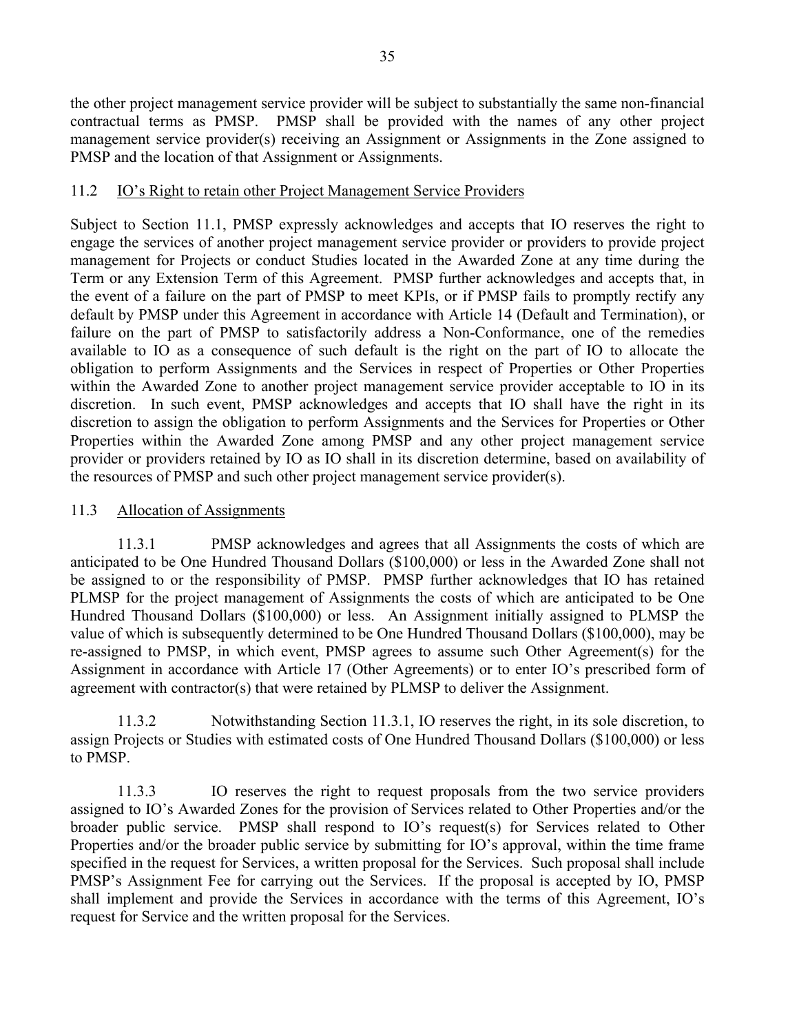the other project management service provider will be subject to substantially the same non-financial contractual terms as PMSP. PMSP shall be provided with the names of any other project management service provider(s) receiving an Assignment or Assignments in the Zone assigned to PMSP and the location of that Assignment or Assignments.

### 11.2 IO's Right to retain other Project Management Service Providers

Subject to Section 11.1, PMSP expressly acknowledges and accepts that IO reserves the right to engage the services of another project management service provider or providers to provide project management for Projects or conduct Studies located in the Awarded Zone at any time during the Term or any Extension Term of this Agreement. PMSP further acknowledges and accepts that, in the event of a failure on the part of PMSP to meet KPIs, or if PMSP fails to promptly rectify any default by PMSP under this Agreement in accordance with Article 14 (Default and Termination), or failure on the part of PMSP to satisfactorily address a Non-Conformance, one of the remedies available to IO as a consequence of such default is the right on the part of IO to allocate the obligation to perform Assignments and the Services in respect of Properties or Other Properties within the Awarded Zone to another project management service provider acceptable to IO in its discretion. In such event, PMSP acknowledges and accepts that IO shall have the right in its discretion to assign the obligation to perform Assignments and the Services for Properties or Other Properties within the Awarded Zone among PMSP and any other project management service provider or providers retained by IO as IO shall in its discretion determine, based on availability of the resources of PMSP and such other project management service provider(s).

### 11.3 Allocation of Assignments

11.3.1 PMSP acknowledges and agrees that all Assignments the costs of which are anticipated to be One Hundred Thousand Dollars (\$100,000) or less in the Awarded Zone shall not be assigned to or the responsibility of PMSP. PMSP further acknowledges that IO has retained PLMSP for the project management of Assignments the costs of which are anticipated to be One Hundred Thousand Dollars (\$100,000) or less. An Assignment initially assigned to PLMSP the value of which is subsequently determined to be One Hundred Thousand Dollars (\$100,000), may be re-assigned to PMSP, in which event, PMSP agrees to assume such Other Agreement(s) for the Assignment in accordance with Article 17 (Other Agreements) or to enter IO's prescribed form of agreement with contractor(s) that were retained by PLMSP to deliver the Assignment.

11.3.2 Notwithstanding Section 11.3.1, IO reserves the right, in its sole discretion, to assign Projects or Studies with estimated costs of One Hundred Thousand Dollars (\$100,000) or less to PMSP.

11.3.3 IO reserves the right to request proposals from the two service providers assigned to IO's Awarded Zones for the provision of Services related to Other Properties and/or the broader public service. PMSP shall respond to IO's request(s) for Services related to Other Properties and/or the broader public service by submitting for IO's approval, within the time frame specified in the request for Services, a written proposal for the Services. Such proposal shall include PMSP's Assignment Fee for carrying out the Services. If the proposal is accepted by IO, PMSP shall implement and provide the Services in accordance with the terms of this Agreement, IO's request for Service and the written proposal for the Services.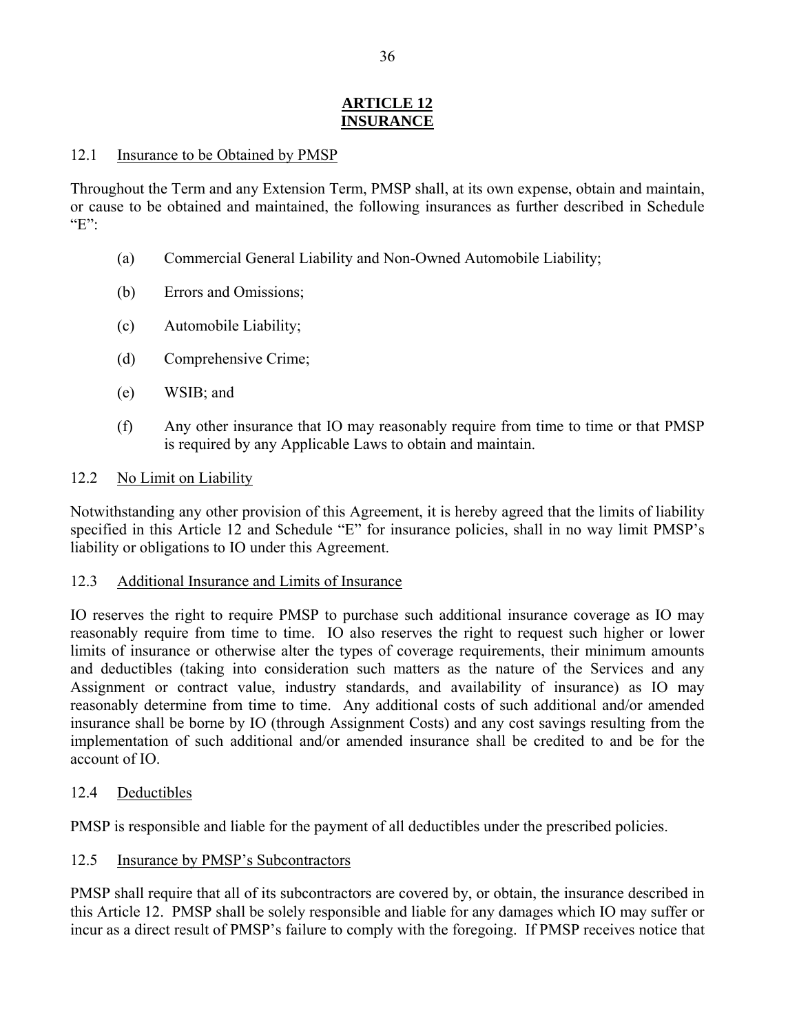### **ARTICLE 12 INSURANCE**

### 12.1 Insurance to be Obtained by PMSP

Throughout the Term and any Extension Term, PMSP shall, at its own expense, obtain and maintain, or cause to be obtained and maintained, the following insurances as further described in Schedule " $E$ ":

- (a) Commercial General Liability and Non-Owned Automobile Liability;
- (b) Errors and Omissions;
- (c) Automobile Liability;
- (d) Comprehensive Crime;
- (e) WSIB; and
- (f) Any other insurance that IO may reasonably require from time to time or that PMSP is required by any Applicable Laws to obtain and maintain.

### 12.2 No Limit on Liability

Notwithstanding any other provision of this Agreement, it is hereby agreed that the limits of liability specified in this Article 12 and Schedule "E" for insurance policies, shall in no way limit PMSP's liability or obligations to IO under this Agreement.

#### 12.3 Additional Insurance and Limits of Insurance

IO reserves the right to require PMSP to purchase such additional insurance coverage as IO may reasonably require from time to time. IO also reserves the right to request such higher or lower limits of insurance or otherwise alter the types of coverage requirements, their minimum amounts and deductibles (taking into consideration such matters as the nature of the Services and any Assignment or contract value, industry standards, and availability of insurance) as IO may reasonably determine from time to time. Any additional costs of such additional and/or amended insurance shall be borne by IO (through Assignment Costs) and any cost savings resulting from the implementation of such additional and/or amended insurance shall be credited to and be for the account of IO.

### 12.4 Deductibles

PMSP is responsible and liable for the payment of all deductibles under the prescribed policies.

### 12.5 Insurance by PMSP's Subcontractors

PMSP shall require that all of its subcontractors are covered by, or obtain, the insurance described in this Article 12. PMSP shall be solely responsible and liable for any damages which IO may suffer or incur as a direct result of PMSP's failure to comply with the foregoing. If PMSP receives notice that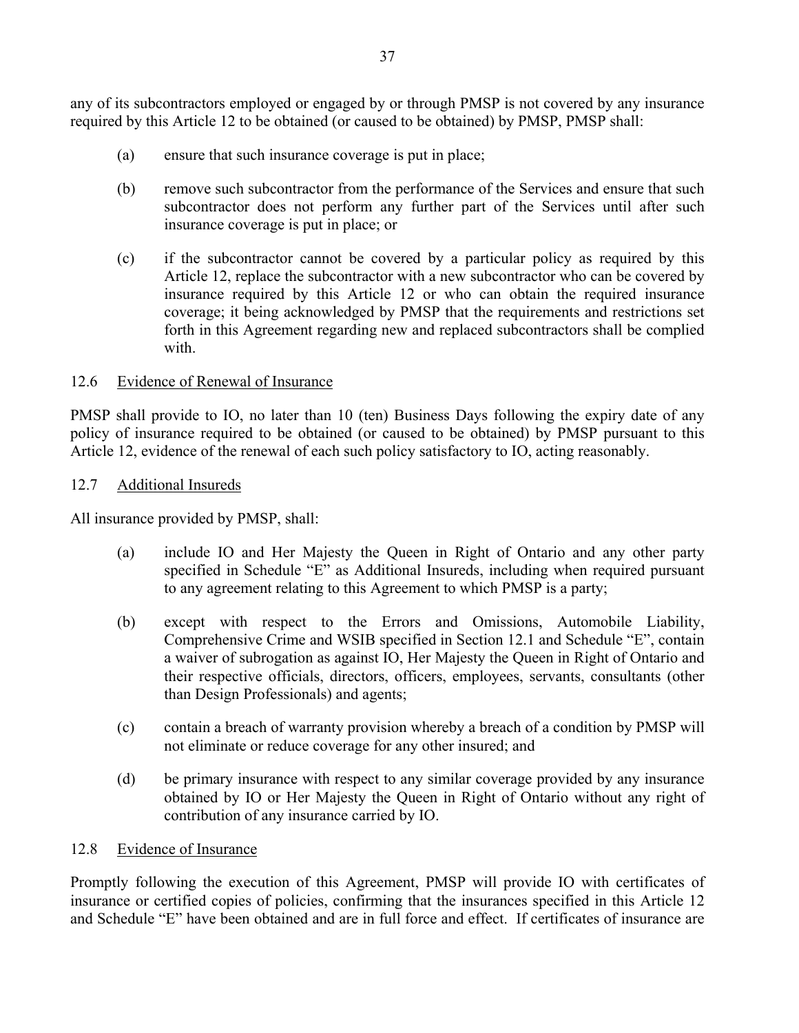any of its subcontractors employed or engaged by or through PMSP is not covered by any insurance required by this Article 12 to be obtained (or caused to be obtained) by PMSP, PMSP shall:

- (a) ensure that such insurance coverage is put in place;
- (b) remove such subcontractor from the performance of the Services and ensure that such subcontractor does not perform any further part of the Services until after such insurance coverage is put in place; or
- (c) if the subcontractor cannot be covered by a particular policy as required by this Article 12, replace the subcontractor with a new subcontractor who can be covered by insurance required by this Article 12 or who can obtain the required insurance coverage; it being acknowledged by PMSP that the requirements and restrictions set forth in this Agreement regarding new and replaced subcontractors shall be complied with

#### 12.6 Evidence of Renewal of Insurance

PMSP shall provide to IO, no later than 10 (ten) Business Days following the expiry date of any policy of insurance required to be obtained (or caused to be obtained) by PMSP pursuant to this Article 12, evidence of the renewal of each such policy satisfactory to IO, acting reasonably.

#### 12.7 Additional Insureds

All insurance provided by PMSP, shall:

- (a) include IO and Her Majesty the Queen in Right of Ontario and any other party specified in Schedule "E" as Additional Insureds, including when required pursuant to any agreement relating to this Agreement to which PMSP is a party;
- (b) except with respect to the Errors and Omissions, Automobile Liability, Comprehensive Crime and WSIB specified in Section 12.1 and Schedule "E", contain a waiver of subrogation as against IO, Her Majesty the Queen in Right of Ontario and their respective officials, directors, officers, employees, servants, consultants (other than Design Professionals) and agents;
- (c) contain a breach of warranty provision whereby a breach of a condition by PMSP will not eliminate or reduce coverage for any other insured; and
- (d) be primary insurance with respect to any similar coverage provided by any insurance obtained by IO or Her Majesty the Queen in Right of Ontario without any right of contribution of any insurance carried by IO.

### 12.8 Evidence of Insurance

Promptly following the execution of this Agreement, PMSP will provide IO with certificates of insurance or certified copies of policies, confirming that the insurances specified in this Article 12 and Schedule "E" have been obtained and are in full force and effect. If certificates of insurance are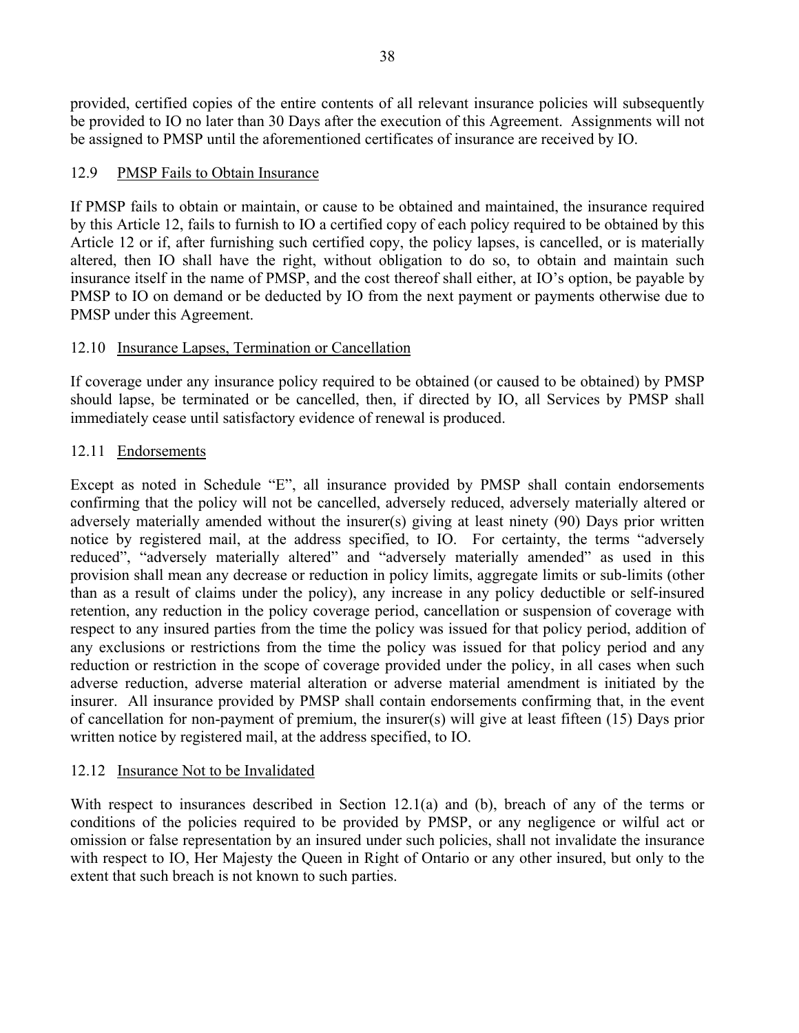provided, certified copies of the entire contents of all relevant insurance policies will subsequently be provided to IO no later than 30 Days after the execution of this Agreement. Assignments will not be assigned to PMSP until the aforementioned certificates of insurance are received by IO.

### 12.9 PMSP Fails to Obtain Insurance

If PMSP fails to obtain or maintain, or cause to be obtained and maintained, the insurance required by this Article 12, fails to furnish to IO a certified copy of each policy required to be obtained by this Article 12 or if, after furnishing such certified copy, the policy lapses, is cancelled, or is materially altered, then IO shall have the right, without obligation to do so, to obtain and maintain such insurance itself in the name of PMSP, and the cost thereof shall either, at IO's option, be payable by PMSP to IO on demand or be deducted by IO from the next payment or payments otherwise due to PMSP under this Agreement.

### 12.10 Insurance Lapses, Termination or Cancellation

If coverage under any insurance policy required to be obtained (or caused to be obtained) by PMSP should lapse, be terminated or be cancelled, then, if directed by IO, all Services by PMSP shall immediately cease until satisfactory evidence of renewal is produced.

### 12.11 Endorsements

Except as noted in Schedule "E", all insurance provided by PMSP shall contain endorsements confirming that the policy will not be cancelled, adversely reduced, adversely materially altered or adversely materially amended without the insurer(s) giving at least ninety (90) Days prior written notice by registered mail, at the address specified, to IO. For certainty, the terms "adversely reduced", "adversely materially altered" and "adversely materially amended" as used in this provision shall mean any decrease or reduction in policy limits, aggregate limits or sub-limits (other than as a result of claims under the policy), any increase in any policy deductible or self-insured retention, any reduction in the policy coverage period, cancellation or suspension of coverage with respect to any insured parties from the time the policy was issued for that policy period, addition of any exclusions or restrictions from the time the policy was issued for that policy period and any reduction or restriction in the scope of coverage provided under the policy, in all cases when such adverse reduction, adverse material alteration or adverse material amendment is initiated by the insurer. All insurance provided by PMSP shall contain endorsements confirming that, in the event of cancellation for non-payment of premium, the insurer(s) will give at least fifteen (15) Days prior written notice by registered mail, at the address specified, to IO.

### 12.12 Insurance Not to be Invalidated

With respect to insurances described in Section 12.1(a) and (b), breach of any of the terms or conditions of the policies required to be provided by PMSP, or any negligence or wilful act or omission or false representation by an insured under such policies, shall not invalidate the insurance with respect to IO, Her Majesty the Queen in Right of Ontario or any other insured, but only to the extent that such breach is not known to such parties.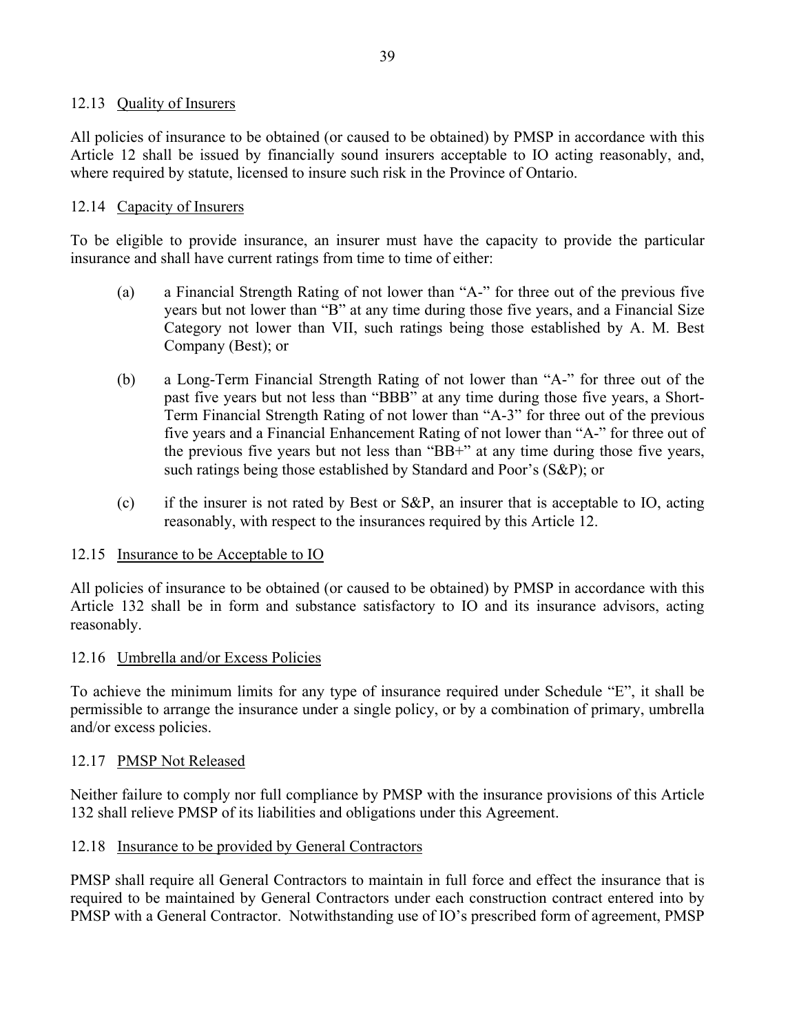### 12.13 Quality of Insurers

All policies of insurance to be obtained (or caused to be obtained) by PMSP in accordance with this Article 12 shall be issued by financially sound insurers acceptable to IO acting reasonably, and, where required by statute, licensed to insure such risk in the Province of Ontario.

#### 12.14 Capacity of Insurers

To be eligible to provide insurance, an insurer must have the capacity to provide the particular insurance and shall have current ratings from time to time of either:

- (a) a Financial Strength Rating of not lower than "A-" for three out of the previous five years but not lower than "B" at any time during those five years, and a Financial Size Category not lower than VII, such ratings being those established by A. M. Best Company (Best); or
- (b) a Long-Term Financial Strength Rating of not lower than "A-" for three out of the past five years but not less than "BBB" at any time during those five years, a Short-Term Financial Strength Rating of not lower than "A-3" for three out of the previous five years and a Financial Enhancement Rating of not lower than "A-" for three out of the previous five years but not less than "BB+" at any time during those five years, such ratings being those established by Standard and Poor's (S&P); or
- (c) if the insurer is not rated by Best or S&P, an insurer that is acceptable to IO, acting reasonably, with respect to the insurances required by this Article 12.

#### 12.15 Insurance to be Acceptable to IO

All policies of insurance to be obtained (or caused to be obtained) by PMSP in accordance with this Article 132 shall be in form and substance satisfactory to IO and its insurance advisors, acting reasonably.

#### 12.16 Umbrella and/or Excess Policies

To achieve the minimum limits for any type of insurance required under Schedule "E", it shall be permissible to arrange the insurance under a single policy, or by a combination of primary, umbrella and/or excess policies.

#### 12.17 PMSP Not Released

Neither failure to comply nor full compliance by PMSP with the insurance provisions of this Article 132 shall relieve PMSP of its liabilities and obligations under this Agreement.

#### 12.18 Insurance to be provided by General Contractors

PMSP shall require all General Contractors to maintain in full force and effect the insurance that is required to be maintained by General Contractors under each construction contract entered into by PMSP with a General Contractor. Notwithstanding use of IO's prescribed form of agreement, PMSP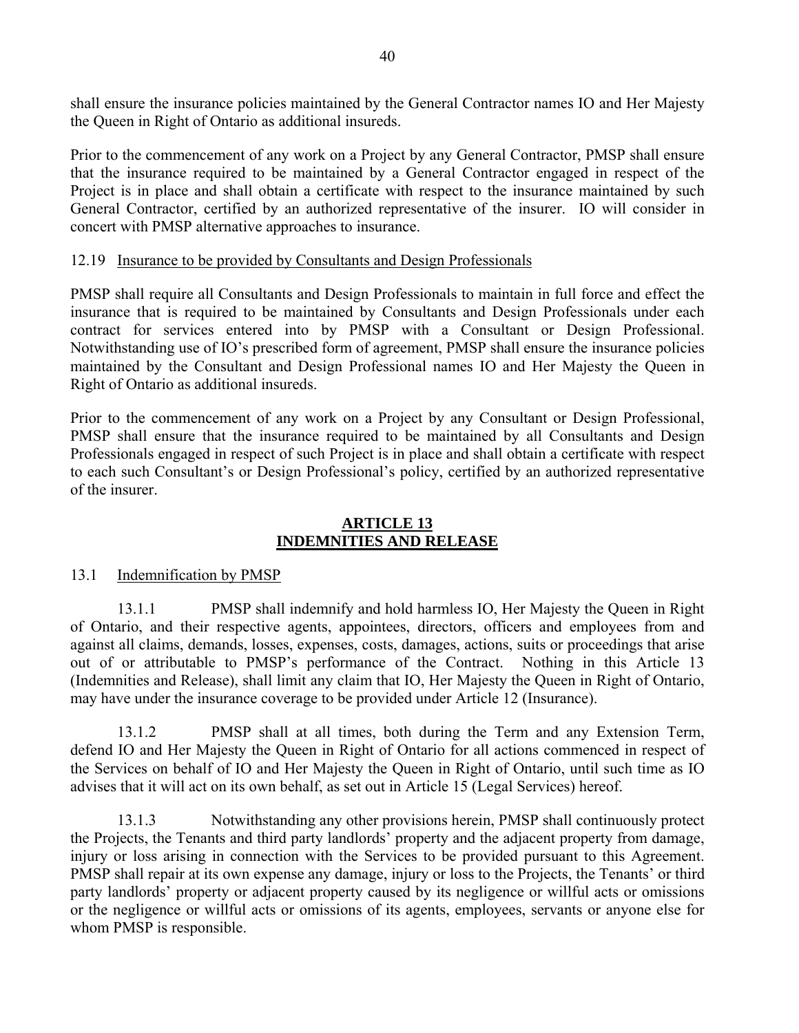shall ensure the insurance policies maintained by the General Contractor names IO and Her Majesty the Queen in Right of Ontario as additional insureds.

Prior to the commencement of any work on a Project by any General Contractor, PMSP shall ensure that the insurance required to be maintained by a General Contractor engaged in respect of the Project is in place and shall obtain a certificate with respect to the insurance maintained by such General Contractor, certified by an authorized representative of the insurer. IO will consider in concert with PMSP alternative approaches to insurance.

#### 12.19 Insurance to be provided by Consultants and Design Professionals

PMSP shall require all Consultants and Design Professionals to maintain in full force and effect the insurance that is required to be maintained by Consultants and Design Professionals under each contract for services entered into by PMSP with a Consultant or Design Professional. Notwithstanding use of IO's prescribed form of agreement, PMSP shall ensure the insurance policies maintained by the Consultant and Design Professional names IO and Her Majesty the Queen in Right of Ontario as additional insureds.

Prior to the commencement of any work on a Project by any Consultant or Design Professional, PMSP shall ensure that the insurance required to be maintained by all Consultants and Design Professionals engaged in respect of such Project is in place and shall obtain a certificate with respect to each such Consultant's or Design Professional's policy, certified by an authorized representative of the insurer.

#### **ARTICLE 13 INDEMNITIES AND RELEASE**

#### 13.1 Indemnification by PMSP

13.1.1 PMSP shall indemnify and hold harmless IO, Her Majesty the Queen in Right of Ontario, and their respective agents, appointees, directors, officers and employees from and against all claims, demands, losses, expenses, costs, damages, actions, suits or proceedings that arise out of or attributable to PMSP's performance of the Contract. Nothing in this Article 13 (Indemnities and Release), shall limit any claim that IO, Her Majesty the Queen in Right of Ontario, may have under the insurance coverage to be provided under Article 12 (Insurance).

13.1.2 PMSP shall at all times, both during the Term and any Extension Term, defend IO and Her Majesty the Queen in Right of Ontario for all actions commenced in respect of the Services on behalf of IO and Her Majesty the Queen in Right of Ontario, until such time as IO advises that it will act on its own behalf, as set out in Article 15 (Legal Services) hereof.

13.1.3 Notwithstanding any other provisions herein, PMSP shall continuously protect the Projects, the Tenants and third party landlords' property and the adjacent property from damage, injury or loss arising in connection with the Services to be provided pursuant to this Agreement. PMSP shall repair at its own expense any damage, injury or loss to the Projects, the Tenants' or third party landlords' property or adjacent property caused by its negligence or willful acts or omissions or the negligence or willful acts or omissions of its agents, employees, servants or anyone else for whom PMSP is responsible.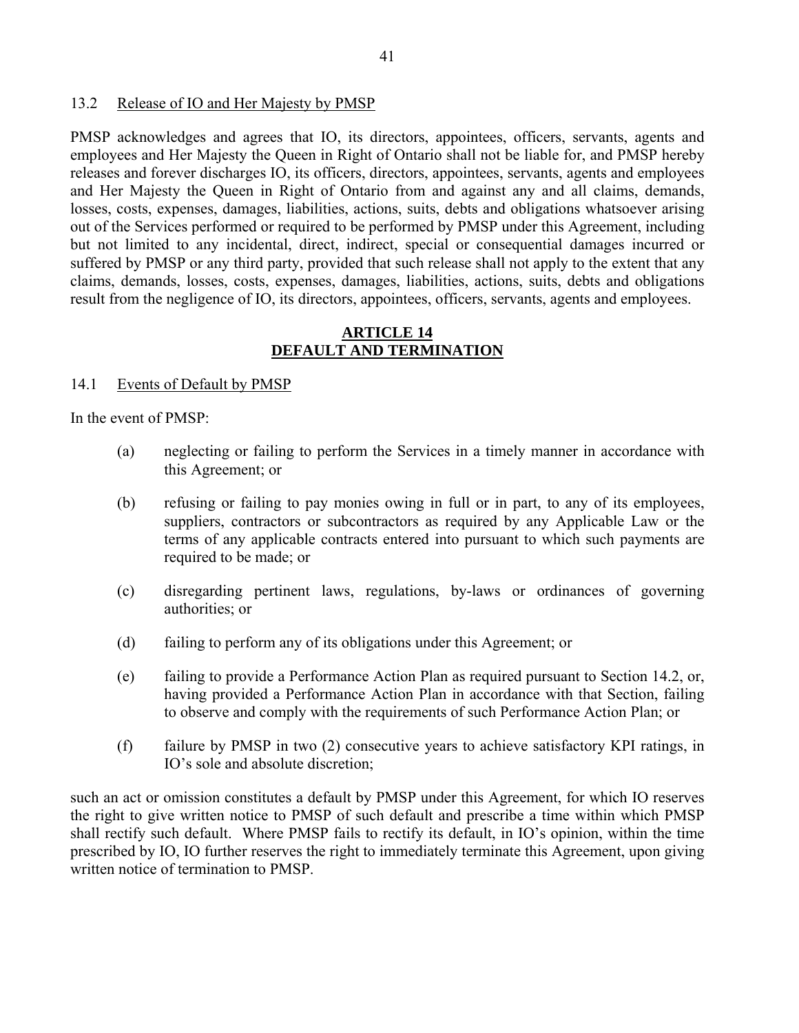#### 13.2 Release of IO and Her Majesty by PMSP

PMSP acknowledges and agrees that IO, its directors, appointees, officers, servants, agents and employees and Her Majesty the Queen in Right of Ontario shall not be liable for, and PMSP hereby releases and forever discharges IO, its officers, directors, appointees, servants, agents and employees and Her Majesty the Queen in Right of Ontario from and against any and all claims, demands, losses, costs, expenses, damages, liabilities, actions, suits, debts and obligations whatsoever arising out of the Services performed or required to be performed by PMSP under this Agreement, including but not limited to any incidental, direct, indirect, special or consequential damages incurred or suffered by PMSP or any third party, provided that such release shall not apply to the extent that any claims, demands, losses, costs, expenses, damages, liabilities, actions, suits, debts and obligations result from the negligence of IO, its directors, appointees, officers, servants, agents and employees.

#### **ARTICLE 14 DEFAULT AND TERMINATION**

#### 14.1 Events of Default by PMSP

In the event of PMSP:

- (a) neglecting or failing to perform the Services in a timely manner in accordance with this Agreement; or
- (b) refusing or failing to pay monies owing in full or in part, to any of its employees, suppliers, contractors or subcontractors as required by any Applicable Law or the terms of any applicable contracts entered into pursuant to which such payments are required to be made; or
- (c) disregarding pertinent laws, regulations, by-laws or ordinances of governing authorities; or
- (d) failing to perform any of its obligations under this Agreement; or
- (e) failing to provide a Performance Action Plan as required pursuant to Section 14.2, or, having provided a Performance Action Plan in accordance with that Section, failing to observe and comply with the requirements of such Performance Action Plan; or
- (f) failure by PMSP in two (2) consecutive years to achieve satisfactory KPI ratings, in IO's sole and absolute discretion;

such an act or omission constitutes a default by PMSP under this Agreement, for which IO reserves the right to give written notice to PMSP of such default and prescribe a time within which PMSP shall rectify such default. Where PMSP fails to rectify its default, in IO's opinion, within the time prescribed by IO, IO further reserves the right to immediately terminate this Agreement, upon giving written notice of termination to PMSP.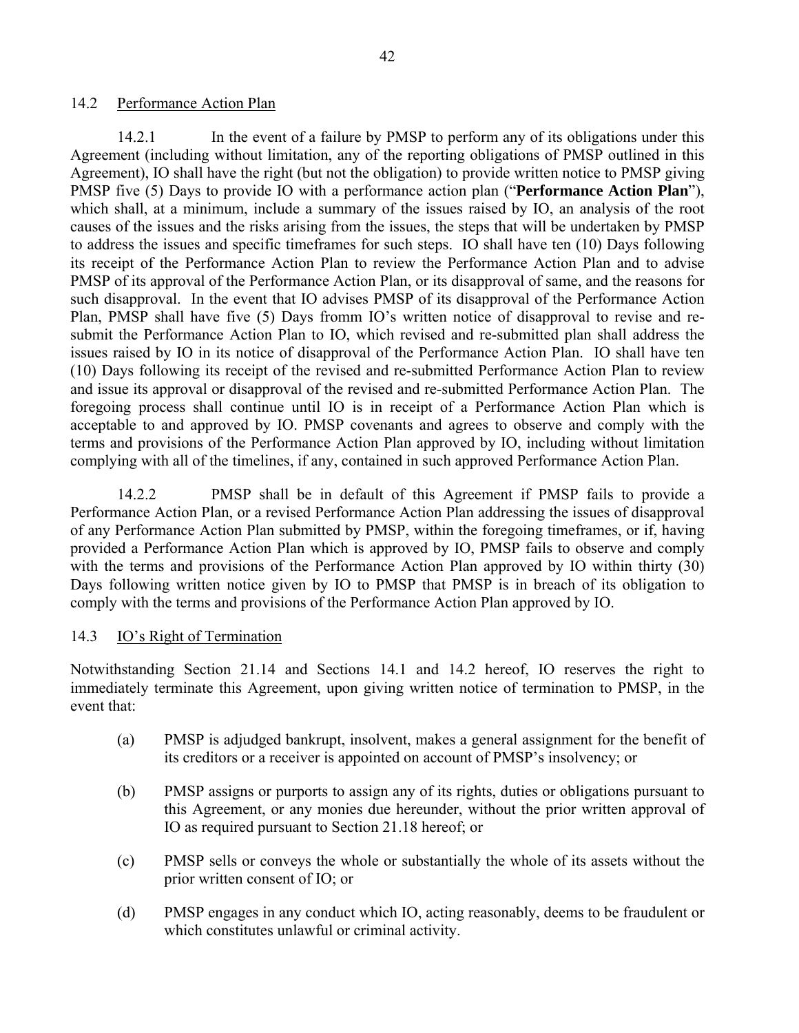#### 14.2 Performance Action Plan

14.2.1 In the event of a failure by PMSP to perform any of its obligations under this Agreement (including without limitation, any of the reporting obligations of PMSP outlined in this Agreement), IO shall have the right (but not the obligation) to provide written notice to PMSP giving PMSP five (5) Days to provide IO with a performance action plan ("**Performance Action Plan**"), which shall, at a minimum, include a summary of the issues raised by IO, an analysis of the root causes of the issues and the risks arising from the issues, the steps that will be undertaken by PMSP to address the issues and specific timeframes for such steps. IO shall have ten (10) Days following its receipt of the Performance Action Plan to review the Performance Action Plan and to advise PMSP of its approval of the Performance Action Plan, or its disapproval of same, and the reasons for such disapproval. In the event that IO advises PMSP of its disapproval of the Performance Action Plan, PMSP shall have five (5) Days fromm IO's written notice of disapproval to revise and resubmit the Performance Action Plan to IO, which revised and re-submitted plan shall address the issues raised by IO in its notice of disapproval of the Performance Action Plan. IO shall have ten (10) Days following its receipt of the revised and re-submitted Performance Action Plan to review and issue its approval or disapproval of the revised and re-submitted Performance Action Plan. The foregoing process shall continue until IO is in receipt of a Performance Action Plan which is acceptable to and approved by IO. PMSP covenants and agrees to observe and comply with the terms and provisions of the Performance Action Plan approved by IO, including without limitation complying with all of the timelines, if any, contained in such approved Performance Action Plan.

14.2.2 PMSP shall be in default of this Agreement if PMSP fails to provide a Performance Action Plan, or a revised Performance Action Plan addressing the issues of disapproval of any Performance Action Plan submitted by PMSP, within the foregoing timeframes, or if, having provided a Performance Action Plan which is approved by IO, PMSP fails to observe and comply with the terms and provisions of the Performance Action Plan approved by IO within thirty (30) Days following written notice given by IO to PMSP that PMSP is in breach of its obligation to comply with the terms and provisions of the Performance Action Plan approved by IO.

#### 14.3 IO's Right of Termination

Notwithstanding Section 21.14 and Sections 14.1 and 14.2 hereof, IO reserves the right to immediately terminate this Agreement, upon giving written notice of termination to PMSP, in the event that:

- (a) PMSP is adjudged bankrupt, insolvent, makes a general assignment for the benefit of its creditors or a receiver is appointed on account of PMSP's insolvency; or
- (b) PMSP assigns or purports to assign any of its rights, duties or obligations pursuant to this Agreement, or any monies due hereunder, without the prior written approval of IO as required pursuant to Section 21.18 hereof; or
- (c) PMSP sells or conveys the whole or substantially the whole of its assets without the prior written consent of IO; or
- (d) PMSP engages in any conduct which IO, acting reasonably, deems to be fraudulent or which constitutes unlawful or criminal activity.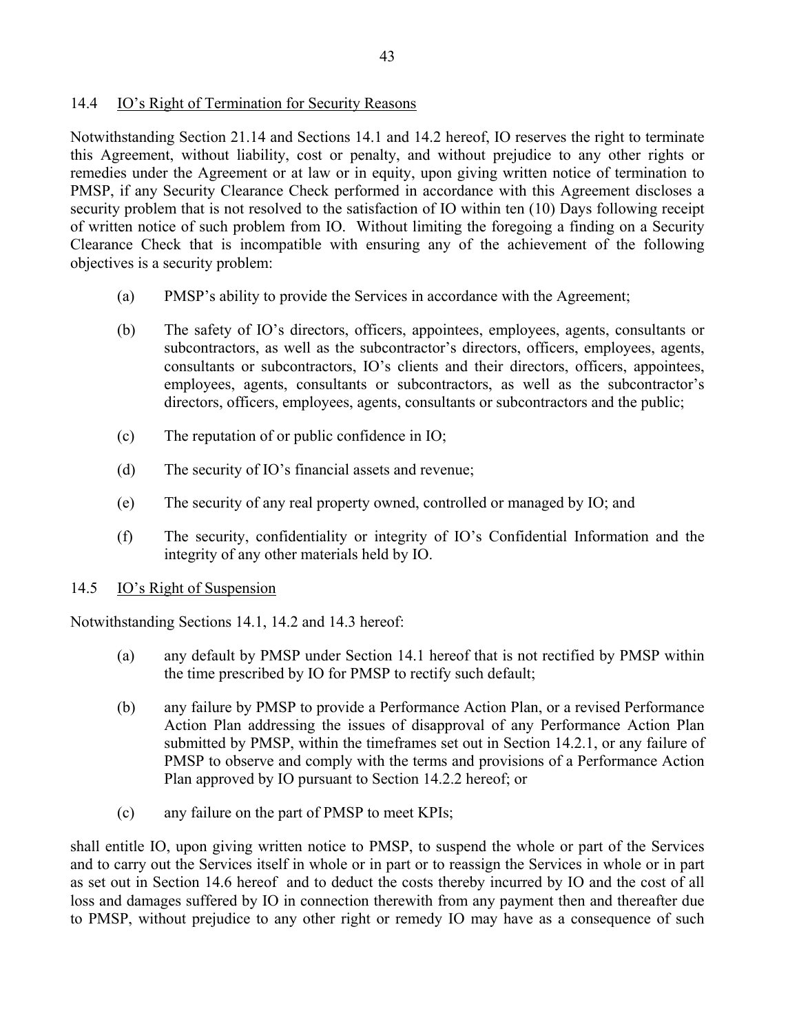### 14.4 IO's Right of Termination for Security Reasons

Notwithstanding Section 21.14 and Sections 14.1 and 14.2 hereof, IO reserves the right to terminate this Agreement, without liability, cost or penalty, and without prejudice to any other rights or remedies under the Agreement or at law or in equity, upon giving written notice of termination to PMSP, if any Security Clearance Check performed in accordance with this Agreement discloses a security problem that is not resolved to the satisfaction of IO within ten (10) Days following receipt of written notice of such problem from IO. Without limiting the foregoing a finding on a Security Clearance Check that is incompatible with ensuring any of the achievement of the following objectives is a security problem:

- (a) PMSP's ability to provide the Services in accordance with the Agreement;
- (b) The safety of IO's directors, officers, appointees, employees, agents, consultants or subcontractors, as well as the subcontractor's directors, officers, employees, agents, consultants or subcontractors, IO's clients and their directors, officers, appointees, employees, agents, consultants or subcontractors, as well as the subcontractor's directors, officers, employees, agents, consultants or subcontractors and the public;
- (c) The reputation of or public confidence in IO;
- (d) The security of IO's financial assets and revenue;
- (e) The security of any real property owned, controlled or managed by IO; and
- (f) The security, confidentiality or integrity of IO's Confidential Information and the integrity of any other materials held by IO.

### 14.5 IO's Right of Suspension

Notwithstanding Sections 14.1, 14.2 and 14.3 hereof:

- (a) any default by PMSP under Section 14.1 hereof that is not rectified by PMSP within the time prescribed by IO for PMSP to rectify such default;
- (b) any failure by PMSP to provide a Performance Action Plan, or a revised Performance Action Plan addressing the issues of disapproval of any Performance Action Plan submitted by PMSP, within the timeframes set out in Section 14.2.1, or any failure of PMSP to observe and comply with the terms and provisions of a Performance Action Plan approved by IO pursuant to Section 14.2.2 hereof; or
- (c) any failure on the part of PMSP to meet KPIs;

shall entitle IO, upon giving written notice to PMSP, to suspend the whole or part of the Services and to carry out the Services itself in whole or in part or to reassign the Services in whole or in part as set out in Section 14.6 hereof and to deduct the costs thereby incurred by IO and the cost of all loss and damages suffered by IO in connection therewith from any payment then and thereafter due to PMSP, without prejudice to any other right or remedy IO may have as a consequence of such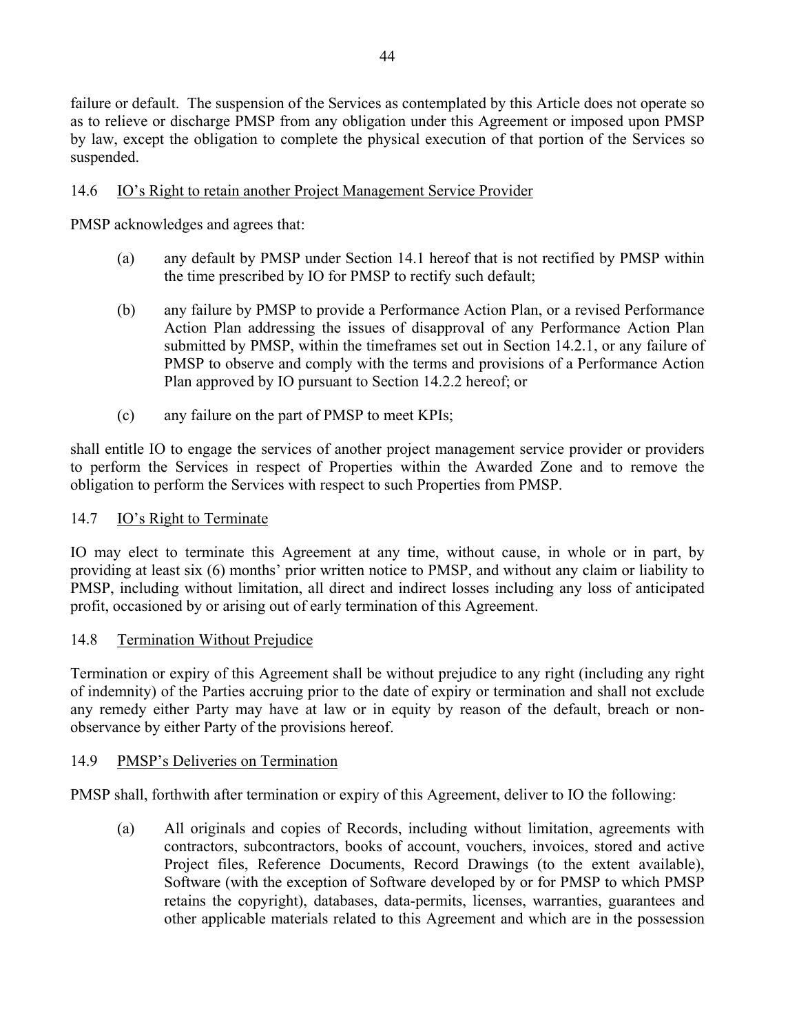failure or default. The suspension of the Services as contemplated by this Article does not operate so as to relieve or discharge PMSP from any obligation under this Agreement or imposed upon PMSP by law, except the obligation to complete the physical execution of that portion of the Services so suspended.

### 14.6 IO's Right to retain another Project Management Service Provider

PMSP acknowledges and agrees that:

- (a) any default by PMSP under Section 14.1 hereof that is not rectified by PMSP within the time prescribed by IO for PMSP to rectify such default;
- (b) any failure by PMSP to provide a Performance Action Plan, or a revised Performance Action Plan addressing the issues of disapproval of any Performance Action Plan submitted by PMSP, within the timeframes set out in Section 14.2.1, or any failure of PMSP to observe and comply with the terms and provisions of a Performance Action Plan approved by IO pursuant to Section 14.2.2 hereof; or
- (c) any failure on the part of PMSP to meet KPIs;

shall entitle IO to engage the services of another project management service provider or providers to perform the Services in respect of Properties within the Awarded Zone and to remove the obligation to perform the Services with respect to such Properties from PMSP.

### 14.7 IO's Right to Terminate

IO may elect to terminate this Agreement at any time, without cause, in whole or in part, by providing at least six (6) months' prior written notice to PMSP, and without any claim or liability to PMSP, including without limitation, all direct and indirect losses including any loss of anticipated profit, occasioned by or arising out of early termination of this Agreement.

### 14.8 Termination Without Prejudice

Termination or expiry of this Agreement shall be without prejudice to any right (including any right of indemnity) of the Parties accruing prior to the date of expiry or termination and shall not exclude any remedy either Party may have at law or in equity by reason of the default, breach or nonobservance by either Party of the provisions hereof.

### 14.9 PMSP's Deliveries on Termination

PMSP shall, forthwith after termination or expiry of this Agreement, deliver to IO the following:

(a) All originals and copies of Records, including without limitation, agreements with contractors, subcontractors, books of account, vouchers, invoices, stored and active Project files, Reference Documents, Record Drawings (to the extent available), Software (with the exception of Software developed by or for PMSP to which PMSP retains the copyright), databases, data-permits, licenses, warranties, guarantees and other applicable materials related to this Agreement and which are in the possession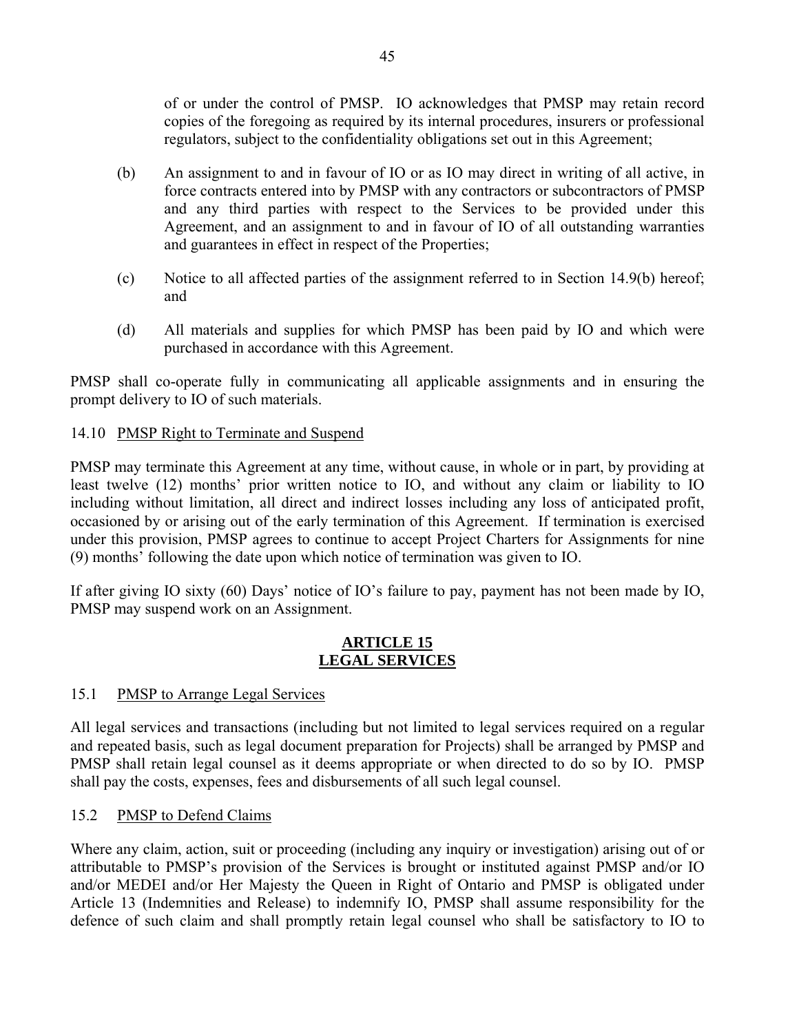of or under the control of PMSP. IO acknowledges that PMSP may retain record copies of the foregoing as required by its internal procedures, insurers or professional regulators, subject to the confidentiality obligations set out in this Agreement;

- (b) An assignment to and in favour of IO or as IO may direct in writing of all active, in force contracts entered into by PMSP with any contractors or subcontractors of PMSP and any third parties with respect to the Services to be provided under this Agreement, and an assignment to and in favour of IO of all outstanding warranties and guarantees in effect in respect of the Properties;
- (c) Notice to all affected parties of the assignment referred to in Section 14.9(b) hereof; and
- (d) All materials and supplies for which PMSP has been paid by IO and which were purchased in accordance with this Agreement.

PMSP shall co-operate fully in communicating all applicable assignments and in ensuring the prompt delivery to IO of such materials.

### 14.10 PMSP Right to Terminate and Suspend

PMSP may terminate this Agreement at any time, without cause, in whole or in part, by providing at least twelve (12) months' prior written notice to IO, and without any claim or liability to IO including without limitation, all direct and indirect losses including any loss of anticipated profit, occasioned by or arising out of the early termination of this Agreement. If termination is exercised under this provision, PMSP agrees to continue to accept Project Charters for Assignments for nine (9) months' following the date upon which notice of termination was given to IO.

If after giving IO sixty (60) Days' notice of IO's failure to pay, payment has not been made by IO, PMSP may suspend work on an Assignment.

#### **ARTICLE 15 LEGAL SERVICES**

### 15.1 PMSP to Arrange Legal Services

All legal services and transactions (including but not limited to legal services required on a regular and repeated basis, such as legal document preparation for Projects) shall be arranged by PMSP and PMSP shall retain legal counsel as it deems appropriate or when directed to do so by IO. PMSP shall pay the costs, expenses, fees and disbursements of all such legal counsel.

### 15.2 PMSP to Defend Claims

Where any claim, action, suit or proceeding (including any inquiry or investigation) arising out of or attributable to PMSP's provision of the Services is brought or instituted against PMSP and/or IO and/or MEDEI and/or Her Majesty the Queen in Right of Ontario and PMSP is obligated under Article 13 (Indemnities and Release) to indemnify IO, PMSP shall assume responsibility for the defence of such claim and shall promptly retain legal counsel who shall be satisfactory to IO to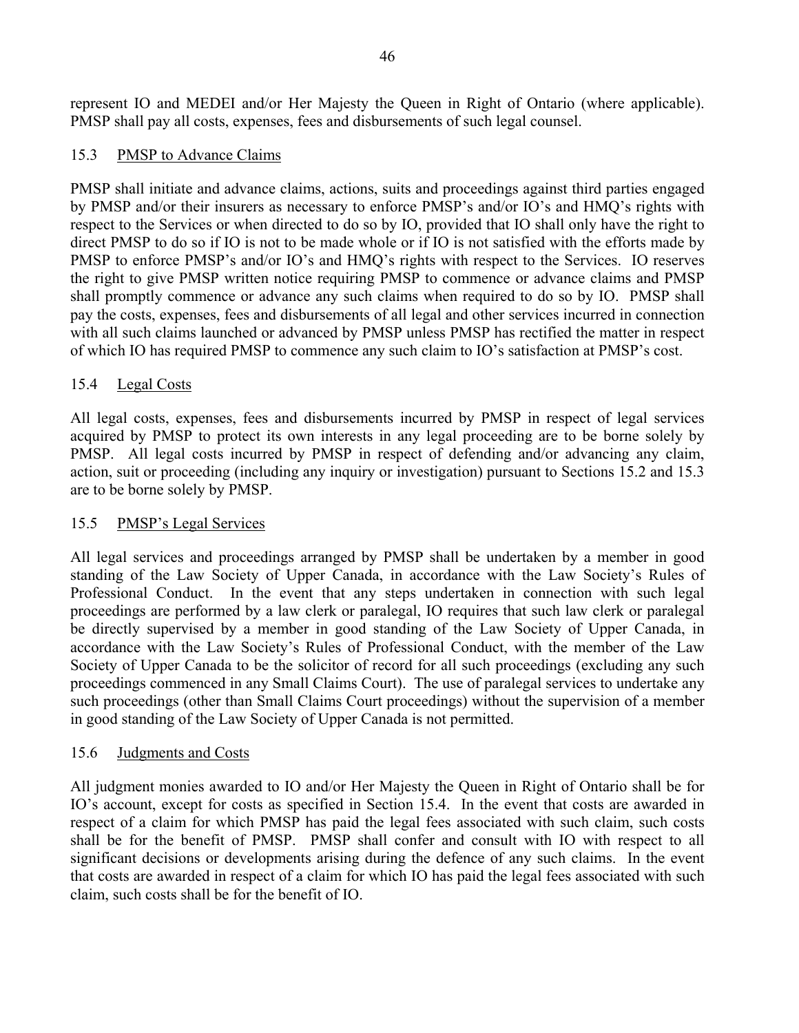represent IO and MEDEI and/or Her Majesty the Queen in Right of Ontario (where applicable). PMSP shall pay all costs, expenses, fees and disbursements of such legal counsel.

### 15.3 PMSP to Advance Claims

PMSP shall initiate and advance claims, actions, suits and proceedings against third parties engaged by PMSP and/or their insurers as necessary to enforce PMSP's and/or IO's and HMQ's rights with respect to the Services or when directed to do so by IO, provided that IO shall only have the right to direct PMSP to do so if IO is not to be made whole or if IO is not satisfied with the efforts made by PMSP to enforce PMSP's and/or IO's and HMQ's rights with respect to the Services. IO reserves the right to give PMSP written notice requiring PMSP to commence or advance claims and PMSP shall promptly commence or advance any such claims when required to do so by IO. PMSP shall pay the costs, expenses, fees and disbursements of all legal and other services incurred in connection with all such claims launched or advanced by PMSP unless PMSP has rectified the matter in respect of which IO has required PMSP to commence any such claim to IO's satisfaction at PMSP's cost.

### 15.4 Legal Costs

All legal costs, expenses, fees and disbursements incurred by PMSP in respect of legal services acquired by PMSP to protect its own interests in any legal proceeding are to be borne solely by PMSP. All legal costs incurred by PMSP in respect of defending and/or advancing any claim, action, suit or proceeding (including any inquiry or investigation) pursuant to Sections 15.2 and 15.3 are to be borne solely by PMSP.

### 15.5 PMSP's Legal Services

All legal services and proceedings arranged by PMSP shall be undertaken by a member in good standing of the Law Society of Upper Canada, in accordance with the Law Society's Rules of Professional Conduct. In the event that any steps undertaken in connection with such legal proceedings are performed by a law clerk or paralegal, IO requires that such law clerk or paralegal be directly supervised by a member in good standing of the Law Society of Upper Canada, in accordance with the Law Society's Rules of Professional Conduct, with the member of the Law Society of Upper Canada to be the solicitor of record for all such proceedings (excluding any such proceedings commenced in any Small Claims Court). The use of paralegal services to undertake any such proceedings (other than Small Claims Court proceedings) without the supervision of a member in good standing of the Law Society of Upper Canada is not permitted.

### 15.6 Judgments and Costs

All judgment monies awarded to IO and/or Her Majesty the Queen in Right of Ontario shall be for IO's account, except for costs as specified in Section 15.4. In the event that costs are awarded in respect of a claim for which PMSP has paid the legal fees associated with such claim, such costs shall be for the benefit of PMSP. PMSP shall confer and consult with IO with respect to all significant decisions or developments arising during the defence of any such claims. In the event that costs are awarded in respect of a claim for which IO has paid the legal fees associated with such claim, such costs shall be for the benefit of IO.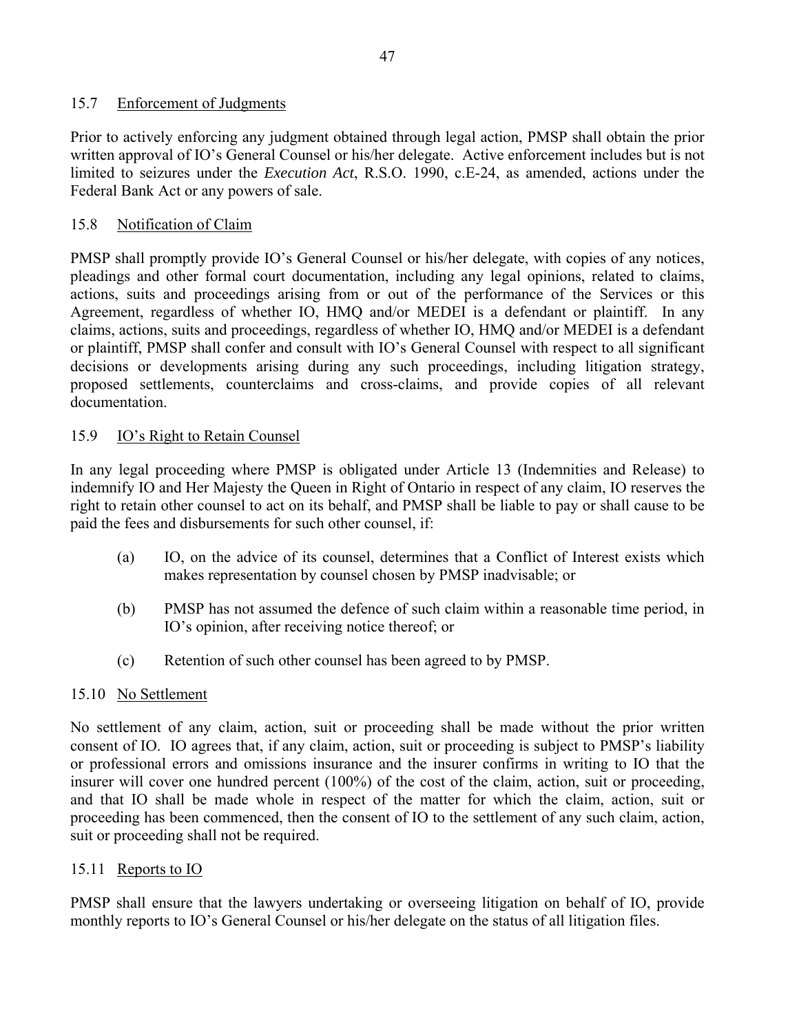### 15.7 Enforcement of Judgments

Prior to actively enforcing any judgment obtained through legal action, PMSP shall obtain the prior written approval of IO's General Counsel or his/her delegate. Active enforcement includes but is not limited to seizures under the *Execution Act*, R.S.O. 1990, c.E-24, as amended, actions under the Federal Bank Act or any powers of sale.

### 15.8 Notification of Claim

PMSP shall promptly provide IO's General Counsel or his/her delegate, with copies of any notices, pleadings and other formal court documentation, including any legal opinions, related to claims, actions, suits and proceedings arising from or out of the performance of the Services or this Agreement, regardless of whether IO, HMQ and/or MEDEI is a defendant or plaintiff. In any claims, actions, suits and proceedings, regardless of whether IO, HMQ and/or MEDEI is a defendant or plaintiff, PMSP shall confer and consult with IO's General Counsel with respect to all significant decisions or developments arising during any such proceedings, including litigation strategy, proposed settlements, counterclaims and cross-claims, and provide copies of all relevant documentation.

### 15.9 IO's Right to Retain Counsel

In any legal proceeding where PMSP is obligated under Article 13 (Indemnities and Release) to indemnify IO and Her Majesty the Queen in Right of Ontario in respect of any claim, IO reserves the right to retain other counsel to act on its behalf, and PMSP shall be liable to pay or shall cause to be paid the fees and disbursements for such other counsel, if:

- (a) IO, on the advice of its counsel, determines that a Conflict of Interest exists which makes representation by counsel chosen by PMSP inadvisable; or
- (b) PMSP has not assumed the defence of such claim within a reasonable time period, in IO's opinion, after receiving notice thereof; or
- (c) Retention of such other counsel has been agreed to by PMSP.

### 15.10 No Settlement

No settlement of any claim, action, suit or proceeding shall be made without the prior written consent of IO. IO agrees that, if any claim, action, suit or proceeding is subject to PMSP's liability or professional errors and omissions insurance and the insurer confirms in writing to IO that the insurer will cover one hundred percent (100%) of the cost of the claim, action, suit or proceeding, and that IO shall be made whole in respect of the matter for which the claim, action, suit or proceeding has been commenced, then the consent of IO to the settlement of any such claim, action, suit or proceeding shall not be required.

### 15.11 Reports to IO

PMSP shall ensure that the lawyers undertaking or overseeing litigation on behalf of IO, provide monthly reports to IO's General Counsel or his/her delegate on the status of all litigation files.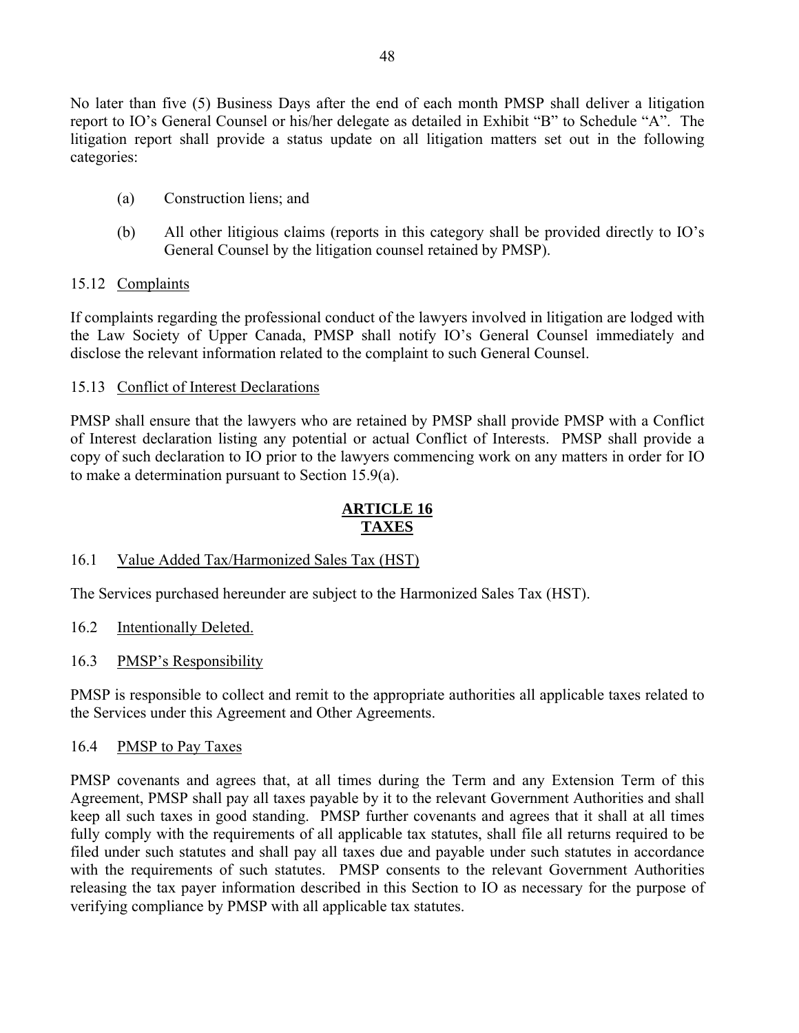No later than five (5) Business Days after the end of each month PMSP shall deliver a litigation report to IO's General Counsel or his/her delegate as detailed in Exhibit "B" to Schedule "A". The litigation report shall provide a status update on all litigation matters set out in the following categories:

- (a) Construction liens; and
- (b) All other litigious claims (reports in this category shall be provided directly to IO's General Counsel by the litigation counsel retained by PMSP).

#### 15.12 Complaints

If complaints regarding the professional conduct of the lawyers involved in litigation are lodged with the Law Society of Upper Canada, PMSP shall notify IO's General Counsel immediately and disclose the relevant information related to the complaint to such General Counsel.

#### 15.13 Conflict of Interest Declarations

PMSP shall ensure that the lawyers who are retained by PMSP shall provide PMSP with a Conflict of Interest declaration listing any potential or actual Conflict of Interests. PMSP shall provide a copy of such declaration to IO prior to the lawyers commencing work on any matters in order for IO to make a determination pursuant to Section 15.9(a).

### **ARTICLE 16 TAXES**

#### 16.1 Value Added Tax/Harmonized Sales Tax (HST)

The Services purchased hereunder are subject to the Harmonized Sales Tax (HST).

16.2 Intentionally Deleted.

#### 16.3 PMSP's Responsibility

PMSP is responsible to collect and remit to the appropriate authorities all applicable taxes related to the Services under this Agreement and Other Agreements.

#### 16.4 PMSP to Pay Taxes

PMSP covenants and agrees that, at all times during the Term and any Extension Term of this Agreement, PMSP shall pay all taxes payable by it to the relevant Government Authorities and shall keep all such taxes in good standing. PMSP further covenants and agrees that it shall at all times fully comply with the requirements of all applicable tax statutes, shall file all returns required to be filed under such statutes and shall pay all taxes due and payable under such statutes in accordance with the requirements of such statutes. PMSP consents to the relevant Government Authorities releasing the tax payer information described in this Section to IO as necessary for the purpose of verifying compliance by PMSP with all applicable tax statutes.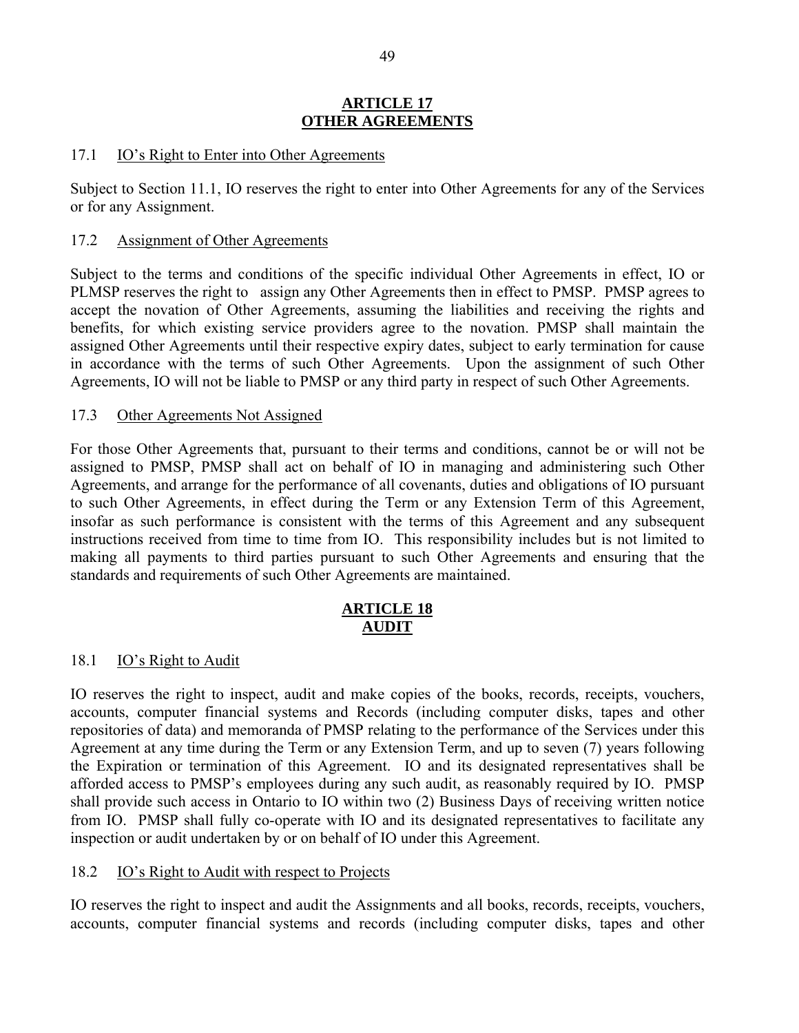#### **ARTICLE 17 OTHER AGREEMENTS**

#### 17.1 IO's Right to Enter into Other Agreements

Subject to Section 11.1, IO reserves the right to enter into Other Agreements for any of the Services or for any Assignment.

#### 17.2 Assignment of Other Agreements

Subject to the terms and conditions of the specific individual Other Agreements in effect, IO or PLMSP reserves the right to assign any Other Agreements then in effect to PMSP. PMSP agrees to accept the novation of Other Agreements, assuming the liabilities and receiving the rights and benefits, for which existing service providers agree to the novation. PMSP shall maintain the assigned Other Agreements until their respective expiry dates, subject to early termination for cause in accordance with the terms of such Other Agreements. Upon the assignment of such Other Agreements, IO will not be liable to PMSP or any third party in respect of such Other Agreements.

#### 17.3 Other Agreements Not Assigned

For those Other Agreements that, pursuant to their terms and conditions, cannot be or will not be assigned to PMSP, PMSP shall act on behalf of IO in managing and administering such Other Agreements, and arrange for the performance of all covenants, duties and obligations of IO pursuant to such Other Agreements, in effect during the Term or any Extension Term of this Agreement, insofar as such performance is consistent with the terms of this Agreement and any subsequent instructions received from time to time from IO. This responsibility includes but is not limited to making all payments to third parties pursuant to such Other Agreements and ensuring that the standards and requirements of such Other Agreements are maintained.

### **ARTICLE 18 AUDIT**

#### 18.1 IO's Right to Audit

IO reserves the right to inspect, audit and make copies of the books, records, receipts, vouchers, accounts, computer financial systems and Records (including computer disks, tapes and other repositories of data) and memoranda of PMSP relating to the performance of the Services under this Agreement at any time during the Term or any Extension Term, and up to seven (7) years following the Expiration or termination of this Agreement. IO and its designated representatives shall be afforded access to PMSP's employees during any such audit, as reasonably required by IO. PMSP shall provide such access in Ontario to IO within two (2) Business Days of receiving written notice from IO. PMSP shall fully co-operate with IO and its designated representatives to facilitate any inspection or audit undertaken by or on behalf of IO under this Agreement.

#### 18.2 IO's Right to Audit with respect to Projects

IO reserves the right to inspect and audit the Assignments and all books, records, receipts, vouchers, accounts, computer financial systems and records (including computer disks, tapes and other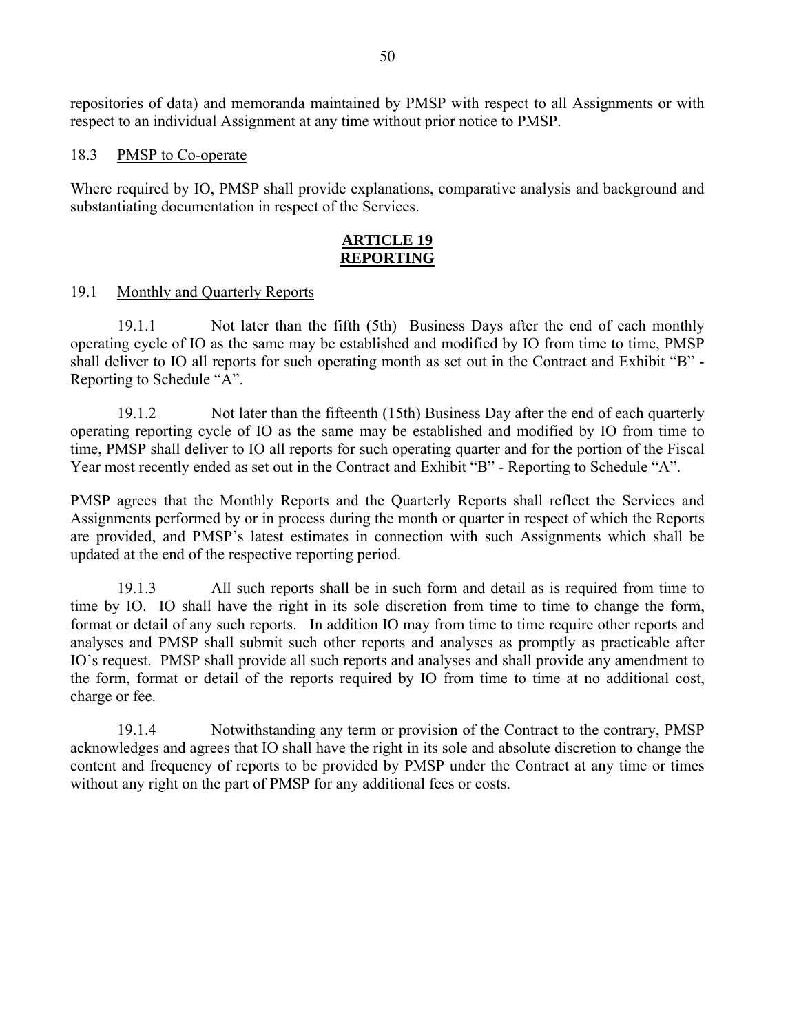repositories of data) and memoranda maintained by PMSP with respect to all Assignments or with respect to an individual Assignment at any time without prior notice to PMSP.

#### 18.3 PMSP to Co-operate

Where required by IO, PMSP shall provide explanations, comparative analysis and background and substantiating documentation in respect of the Services.

#### **ARTICLE 19 REPORTING**

#### 19.1 Monthly and Quarterly Reports

19.1.1 Not later than the fifth (5th) Business Days after the end of each monthly operating cycle of IO as the same may be established and modified by IO from time to time, PMSP shall deliver to IO all reports for such operating month as set out in the Contract and Exhibit "B" - Reporting to Schedule "A".

19.1.2 Not later than the fifteenth (15th) Business Day after the end of each quarterly operating reporting cycle of IO as the same may be established and modified by IO from time to time, PMSP shall deliver to IO all reports for such operating quarter and for the portion of the Fiscal Year most recently ended as set out in the Contract and Exhibit "B" - Reporting to Schedule "A".

PMSP agrees that the Monthly Reports and the Quarterly Reports shall reflect the Services and Assignments performed by or in process during the month or quarter in respect of which the Reports are provided, and PMSP's latest estimates in connection with such Assignments which shall be updated at the end of the respective reporting period.

19.1.3 All such reports shall be in such form and detail as is required from time to time by IO. IO shall have the right in its sole discretion from time to time to change the form, format or detail of any such reports. In addition IO may from time to time require other reports and analyses and PMSP shall submit such other reports and analyses as promptly as practicable after IO's request. PMSP shall provide all such reports and analyses and shall provide any amendment to the form, format or detail of the reports required by IO from time to time at no additional cost, charge or fee.

19.1.4 Notwithstanding any term or provision of the Contract to the contrary, PMSP acknowledges and agrees that IO shall have the right in its sole and absolute discretion to change the content and frequency of reports to be provided by PMSP under the Contract at any time or times without any right on the part of PMSP for any additional fees or costs.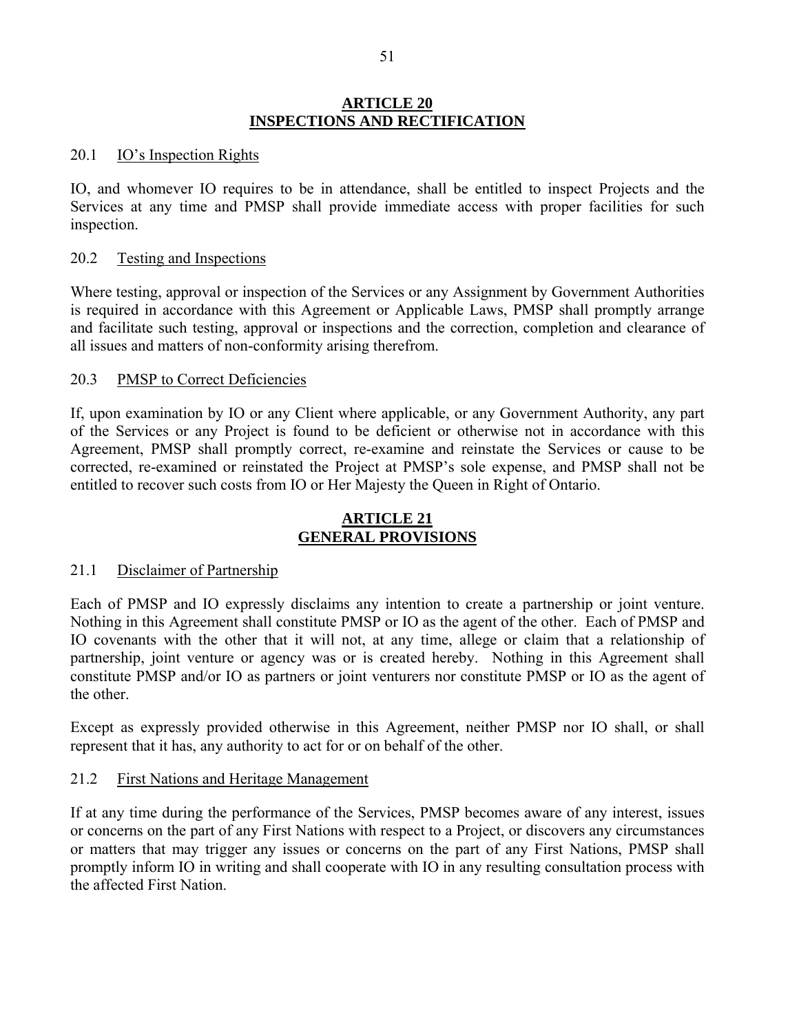#### **ARTICLE 20 INSPECTIONS AND RECTIFICATION**

#### 20.1 IO's Inspection Rights

IO, and whomever IO requires to be in attendance, shall be entitled to inspect Projects and the Services at any time and PMSP shall provide immediate access with proper facilities for such inspection.

#### 20.2 Testing and Inspections

Where testing, approval or inspection of the Services or any Assignment by Government Authorities is required in accordance with this Agreement or Applicable Laws, PMSP shall promptly arrange and facilitate such testing, approval or inspections and the correction, completion and clearance of all issues and matters of non-conformity arising therefrom.

#### 20.3 PMSP to Correct Deficiencies

If, upon examination by IO or any Client where applicable, or any Government Authority, any part of the Services or any Project is found to be deficient or otherwise not in accordance with this Agreement, PMSP shall promptly correct, re-examine and reinstate the Services or cause to be corrected, re-examined or reinstated the Project at PMSP's sole expense, and PMSP shall not be entitled to recover such costs from IO or Her Majesty the Queen in Right of Ontario.

#### **ARTICLE 21 GENERAL PROVISIONS**

#### 21.1 Disclaimer of Partnership

Each of PMSP and IO expressly disclaims any intention to create a partnership or joint venture. Nothing in this Agreement shall constitute PMSP or IO as the agent of the other. Each of PMSP and IO covenants with the other that it will not, at any time, allege or claim that a relationship of partnership, joint venture or agency was or is created hereby. Nothing in this Agreement shall constitute PMSP and/or IO as partners or joint venturers nor constitute PMSP or IO as the agent of the other.

Except as expressly provided otherwise in this Agreement, neither PMSP nor IO shall, or shall represent that it has, any authority to act for or on behalf of the other.

#### 21.2 First Nations and Heritage Management

If at any time during the performance of the Services, PMSP becomes aware of any interest, issues or concerns on the part of any First Nations with respect to a Project, or discovers any circumstances or matters that may trigger any issues or concerns on the part of any First Nations, PMSP shall promptly inform IO in writing and shall cooperate with IO in any resulting consultation process with the affected First Nation.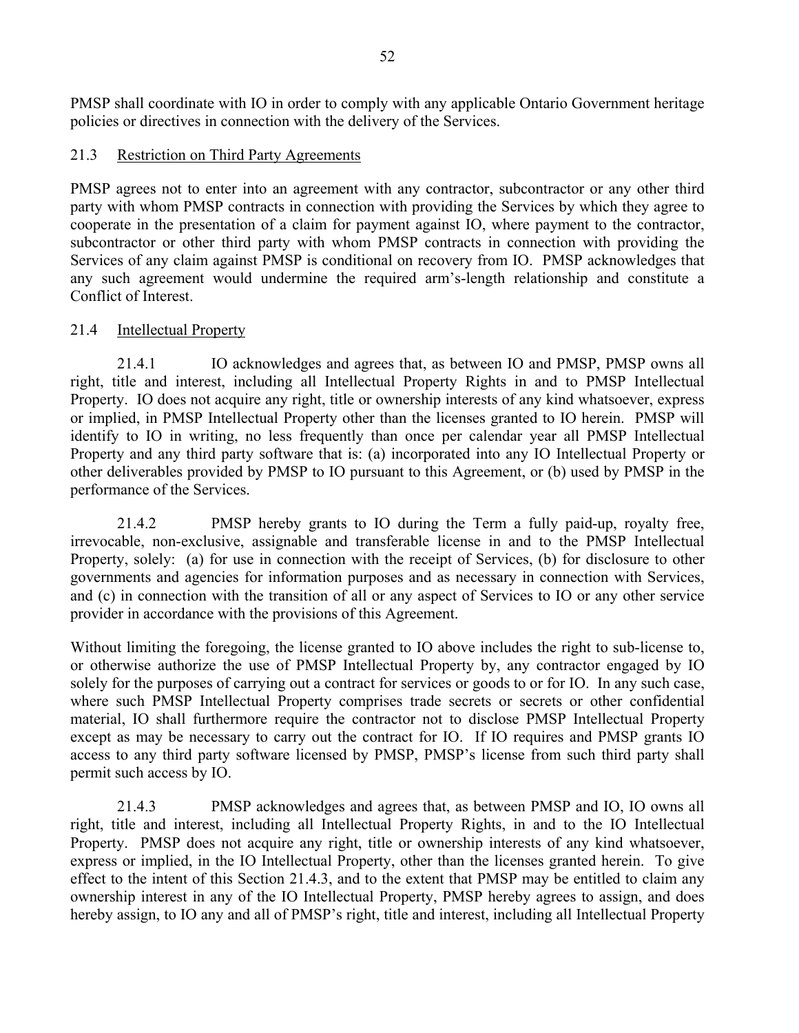PMSP shall coordinate with IO in order to comply with any applicable Ontario Government heritage policies or directives in connection with the delivery of the Services.

#### 21.3 Restriction on Third Party Agreements

PMSP agrees not to enter into an agreement with any contractor, subcontractor or any other third party with whom PMSP contracts in connection with providing the Services by which they agree to cooperate in the presentation of a claim for payment against IO, where payment to the contractor, subcontractor or other third party with whom PMSP contracts in connection with providing the Services of any claim against PMSP is conditional on recovery from IO. PMSP acknowledges that any such agreement would undermine the required arm's-length relationship and constitute a Conflict of Interest.

### 21.4 Intellectual Property

21.4.1 IO acknowledges and agrees that, as between IO and PMSP, PMSP owns all right, title and interest, including all Intellectual Property Rights in and to PMSP Intellectual Property. IO does not acquire any right, title or ownership interests of any kind whatsoever, express or implied, in PMSP Intellectual Property other than the licenses granted to IO herein. PMSP will identify to IO in writing, no less frequently than once per calendar year all PMSP Intellectual Property and any third party software that is: (a) incorporated into any IO Intellectual Property or other deliverables provided by PMSP to IO pursuant to this Agreement, or (b) used by PMSP in the performance of the Services.

21.4.2 PMSP hereby grants to IO during the Term a fully paid-up, royalty free, irrevocable, non-exclusive, assignable and transferable license in and to the PMSP Intellectual Property, solely: (a) for use in connection with the receipt of Services, (b) for disclosure to other governments and agencies for information purposes and as necessary in connection with Services, and (c) in connection with the transition of all or any aspect of Services to IO or any other service provider in accordance with the provisions of this Agreement.

Without limiting the foregoing, the license granted to IO above includes the right to sub-license to, or otherwise authorize the use of PMSP Intellectual Property by, any contractor engaged by IO solely for the purposes of carrying out a contract for services or goods to or for IO. In any such case, where such PMSP Intellectual Property comprises trade secrets or secrets or other confidential material, IO shall furthermore require the contractor not to disclose PMSP Intellectual Property except as may be necessary to carry out the contract for IO. If IO requires and PMSP grants IO access to any third party software licensed by PMSP, PMSP's license from such third party shall permit such access by IO.

21.4.3 PMSP acknowledges and agrees that, as between PMSP and IO, IO owns all right, title and interest, including all Intellectual Property Rights, in and to the IO Intellectual Property. PMSP does not acquire any right, title or ownership interests of any kind whatsoever, express or implied, in the IO Intellectual Property, other than the licenses granted herein. To give effect to the intent of this Section 21.4.3, and to the extent that PMSP may be entitled to claim any ownership interest in any of the IO Intellectual Property, PMSP hereby agrees to assign, and does hereby assign, to IO any and all of PMSP's right, title and interest, including all Intellectual Property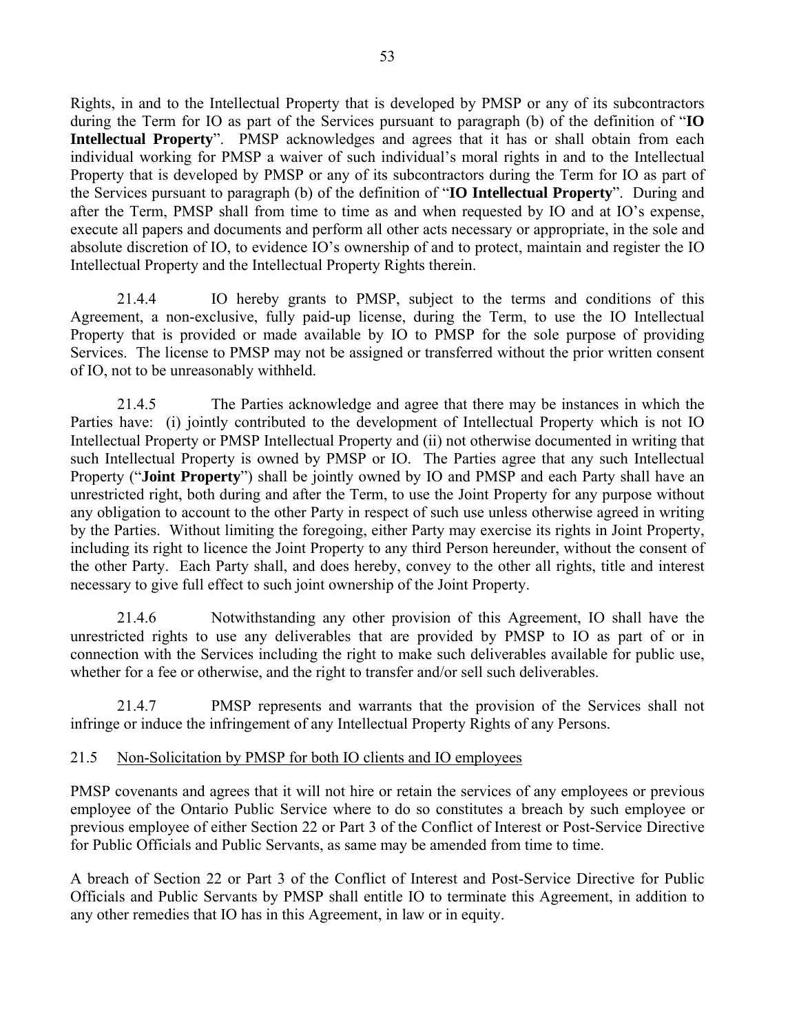Rights, in and to the Intellectual Property that is developed by PMSP or any of its subcontractors during the Term for IO as part of the Services pursuant to paragraph (b) of the definition of "**IO Intellectual Property**". PMSP acknowledges and agrees that it has or shall obtain from each individual working for PMSP a waiver of such individual's moral rights in and to the Intellectual Property that is developed by PMSP or any of its subcontractors during the Term for IO as part of the Services pursuant to paragraph (b) of the definition of "**IO Intellectual Property**". During and after the Term, PMSP shall from time to time as and when requested by IO and at IO's expense, execute all papers and documents and perform all other acts necessary or appropriate, in the sole and absolute discretion of IO, to evidence IO's ownership of and to protect, maintain and register the IO Intellectual Property and the Intellectual Property Rights therein.

21.4.4 IO hereby grants to PMSP, subject to the terms and conditions of this Agreement, a non-exclusive, fully paid-up license, during the Term, to use the IO Intellectual Property that is provided or made available by IO to PMSP for the sole purpose of providing Services. The license to PMSP may not be assigned or transferred without the prior written consent of IO, not to be unreasonably withheld.

21.4.5 The Parties acknowledge and agree that there may be instances in which the Parties have: (i) jointly contributed to the development of Intellectual Property which is not IO Intellectual Property or PMSP Intellectual Property and (ii) not otherwise documented in writing that such Intellectual Property is owned by PMSP or IO. The Parties agree that any such Intellectual Property ("**Joint Property**") shall be jointly owned by IO and PMSP and each Party shall have an unrestricted right, both during and after the Term, to use the Joint Property for any purpose without any obligation to account to the other Party in respect of such use unless otherwise agreed in writing by the Parties. Without limiting the foregoing, either Party may exercise its rights in Joint Property, including its right to licence the Joint Property to any third Person hereunder, without the consent of the other Party. Each Party shall, and does hereby, convey to the other all rights, title and interest necessary to give full effect to such joint ownership of the Joint Property.

21.4.6 Notwithstanding any other provision of this Agreement, IO shall have the unrestricted rights to use any deliverables that are provided by PMSP to IO as part of or in connection with the Services including the right to make such deliverables available for public use, whether for a fee or otherwise, and the right to transfer and/or sell such deliverables.

21.4.7 PMSP represents and warrants that the provision of the Services shall not infringe or induce the infringement of any Intellectual Property Rights of any Persons.

#### 21.5 Non-Solicitation by PMSP for both IO clients and IO employees

PMSP covenants and agrees that it will not hire or retain the services of any employees or previous employee of the Ontario Public Service where to do so constitutes a breach by such employee or previous employee of either Section 22 or Part 3 of the Conflict of Interest or Post-Service Directive for Public Officials and Public Servants, as same may be amended from time to time.

A breach of Section 22 or Part 3 of the Conflict of Interest and Post-Service Directive for Public Officials and Public Servants by PMSP shall entitle IO to terminate this Agreement, in addition to any other remedies that IO has in this Agreement, in law or in equity.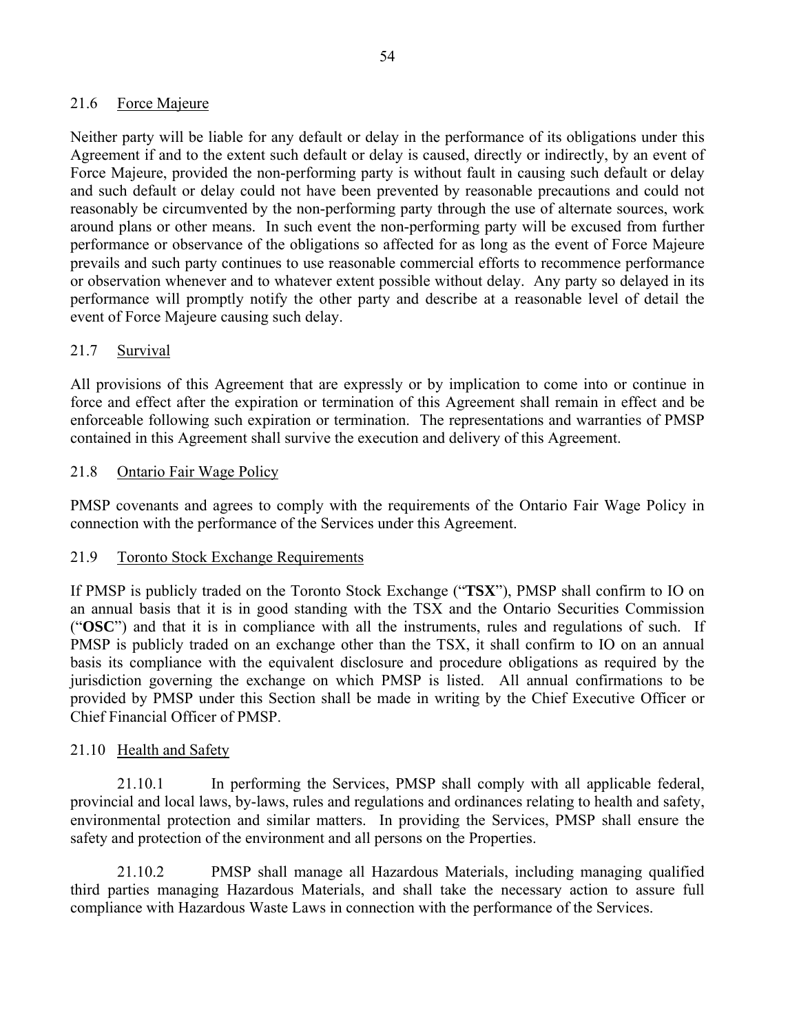### 21.6 Force Majeure

Neither party will be liable for any default or delay in the performance of its obligations under this Agreement if and to the extent such default or delay is caused, directly or indirectly, by an event of Force Majeure, provided the non-performing party is without fault in causing such default or delay and such default or delay could not have been prevented by reasonable precautions and could not reasonably be circumvented by the non-performing party through the use of alternate sources, work around plans or other means. In such event the non-performing party will be excused from further performance or observance of the obligations so affected for as long as the event of Force Majeure prevails and such party continues to use reasonable commercial efforts to recommence performance or observation whenever and to whatever extent possible without delay. Any party so delayed in its performance will promptly notify the other party and describe at a reasonable level of detail the event of Force Majeure causing such delay.

### 21.7 Survival

All provisions of this Agreement that are expressly or by implication to come into or continue in force and effect after the expiration or termination of this Agreement shall remain in effect and be enforceable following such expiration or termination. The representations and warranties of PMSP contained in this Agreement shall survive the execution and delivery of this Agreement.

### 21.8 Ontario Fair Wage Policy

PMSP covenants and agrees to comply with the requirements of the Ontario Fair Wage Policy in connection with the performance of the Services under this Agreement.

#### 21.9 Toronto Stock Exchange Requirements

If PMSP is publicly traded on the Toronto Stock Exchange ("**TSX**"), PMSP shall confirm to IO on an annual basis that it is in good standing with the TSX and the Ontario Securities Commission ("**OSC**") and that it is in compliance with all the instruments, rules and regulations of such. If PMSP is publicly traded on an exchange other than the TSX, it shall confirm to IO on an annual basis its compliance with the equivalent disclosure and procedure obligations as required by the jurisdiction governing the exchange on which PMSP is listed. All annual confirmations to be provided by PMSP under this Section shall be made in writing by the Chief Executive Officer or Chief Financial Officer of PMSP.

### 21.10 Health and Safety

21.10.1 In performing the Services, PMSP shall comply with all applicable federal, provincial and local laws, by-laws, rules and regulations and ordinances relating to health and safety, environmental protection and similar matters. In providing the Services, PMSP shall ensure the safety and protection of the environment and all persons on the Properties.

21.10.2 PMSP shall manage all Hazardous Materials, including managing qualified third parties managing Hazardous Materials, and shall take the necessary action to assure full compliance with Hazardous Waste Laws in connection with the performance of the Services.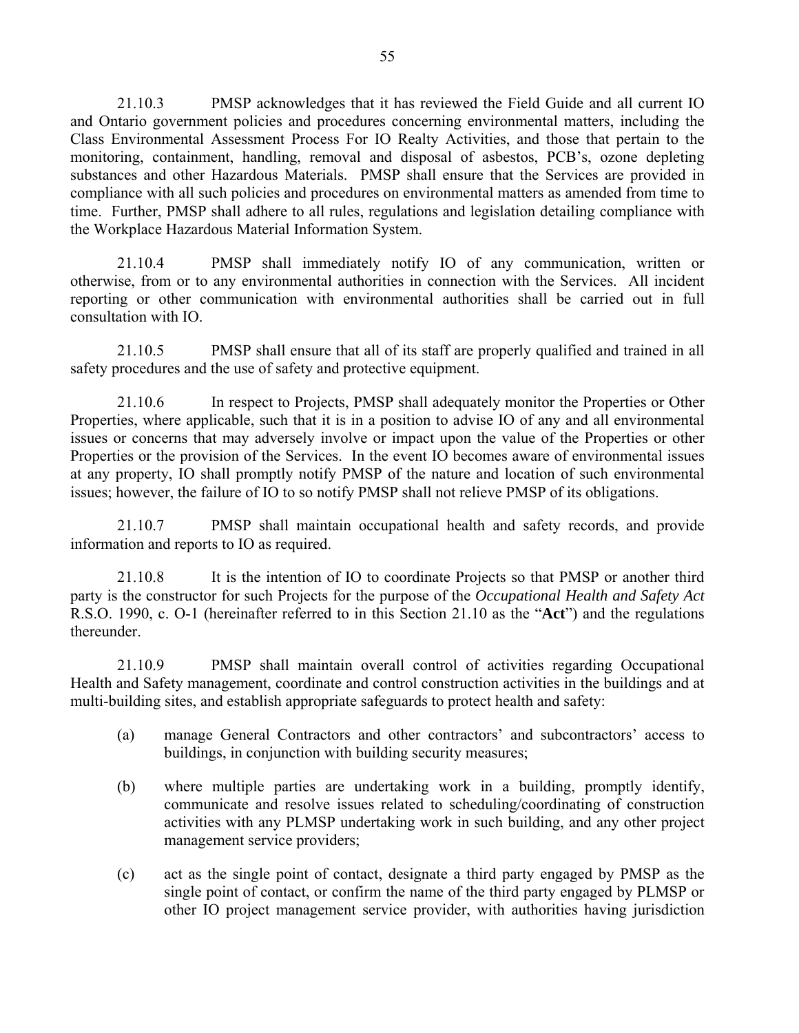21.10.3 PMSP acknowledges that it has reviewed the Field Guide and all current IO and Ontario government policies and procedures concerning environmental matters, including the Class Environmental Assessment Process For IO Realty Activities, and those that pertain to the monitoring, containment, handling, removal and disposal of asbestos, PCB's, ozone depleting substances and other Hazardous Materials. PMSP shall ensure that the Services are provided in compliance with all such policies and procedures on environmental matters as amended from time to time. Further, PMSP shall adhere to all rules, regulations and legislation detailing compliance with the Workplace Hazardous Material Information System.

21.10.4 PMSP shall immediately notify IO of any communication, written or otherwise, from or to any environmental authorities in connection with the Services. All incident reporting or other communication with environmental authorities shall be carried out in full consultation with IO.

21.10.5 PMSP shall ensure that all of its staff are properly qualified and trained in all safety procedures and the use of safety and protective equipment.

21.10.6 In respect to Projects, PMSP shall adequately monitor the Properties or Other Properties, where applicable, such that it is in a position to advise IO of any and all environmental issues or concerns that may adversely involve or impact upon the value of the Properties or other Properties or the provision of the Services. In the event IO becomes aware of environmental issues at any property, IO shall promptly notify PMSP of the nature and location of such environmental issues; however, the failure of IO to so notify PMSP shall not relieve PMSP of its obligations.

21.10.7 PMSP shall maintain occupational health and safety records, and provide information and reports to IO as required.

21.10.8 It is the intention of IO to coordinate Projects so that PMSP or another third party is the constructor for such Projects for the purpose of the *Occupational Health and Safety Act* R.S.O. 1990, c. O-1 (hereinafter referred to in this Section 21.10 as the "**Act**") and the regulations thereunder.

21.10.9 PMSP shall maintain overall control of activities regarding Occupational Health and Safety management, coordinate and control construction activities in the buildings and at multi-building sites, and establish appropriate safeguards to protect health and safety:

- (a) manage General Contractors and other contractors' and subcontractors' access to buildings, in conjunction with building security measures;
- (b) where multiple parties are undertaking work in a building, promptly identify, communicate and resolve issues related to scheduling/coordinating of construction activities with any PLMSP undertaking work in such building, and any other project management service providers;
- (c) act as the single point of contact, designate a third party engaged by PMSP as the single point of contact, or confirm the name of the third party engaged by PLMSP or other IO project management service provider, with authorities having jurisdiction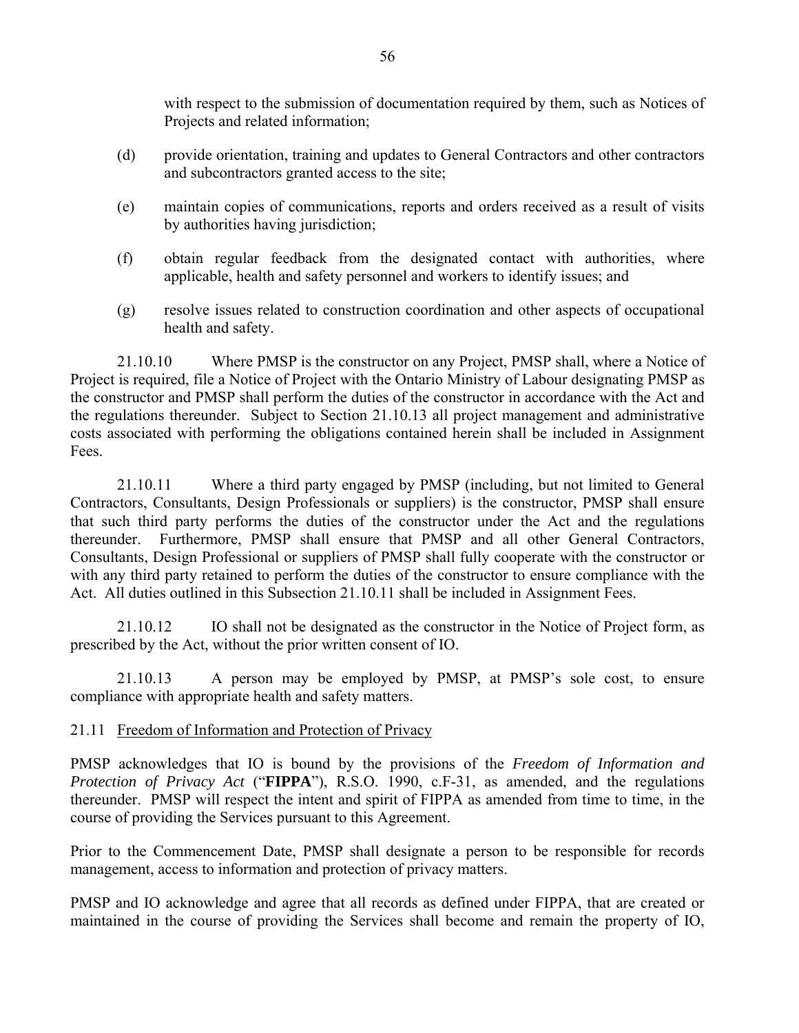with respect to the submission of documentation required by them, such as Notices of Projects and related information;

- (d) provide orientation, training and updates to General Contractors and other contractors and subcontractors granted access to the site;
- (e) maintain copies of communications, reports and orders received as a result of visits by authorities having jurisdiction;
- (f) obtain regular feedback from the designated contact with authorities, where applicable, health and safety personnel and workers to identify issues; and
- (g) resolve issues related to construction coordination and other aspects of occupational health and safety.

21.10.10 Where PMSP is the constructor on any Project, PMSP shall, where a Notice of Project is required, file a Notice of Project with the Ontario Ministry of Labour designating PMSP as the constructor and PMSP shall perform the duties of the constructor in accordance with the Act and the regulations thereunder. Subject to Section 21.10.13 all project management and administrative costs associated with performing the obligations contained herein shall be included in Assignment Fees.

21.10.11 Where a third party engaged by PMSP (including, but not limited to General Contractors, Consultants, Design Professionals or suppliers) is the constructor, PMSP shall ensure that such third party performs the duties of the constructor under the Act and the regulations thereunder. Furthermore, PMSP shall ensure that PMSP and all other General Contractors, Consultants, Design Professional or suppliers of PMSP shall fully cooperate with the constructor or with any third party retained to perform the duties of the constructor to ensure compliance with the Act. All duties outlined in this Subsection 21.10.11 shall be included in Assignment Fees.

21.10.12 IO shall not be designated as the constructor in the Notice of Project form, as prescribed by the Act, without the prior written consent of IO.

21.10.13 A person may be employed by PMSP, at PMSP's sole cost, to ensure compliance with appropriate health and safety matters.

#### 21.11 Freedom of Information and Protection of Privacy

PMSP acknowledges that IO is bound by the provisions of the *Freedom of Information and Protection of Privacy Act* ("**FIPPA**"), R.S.O. 1990, c.F-31, as amended, and the regulations thereunder. PMSP will respect the intent and spirit of FIPPA as amended from time to time, in the course of providing the Services pursuant to this Agreement.

Prior to the Commencement Date, PMSP shall designate a person to be responsible for records management, access to information and protection of privacy matters.

PMSP and IO acknowledge and agree that all records as defined under FIPPA, that are created or maintained in the course of providing the Services shall become and remain the property of IO,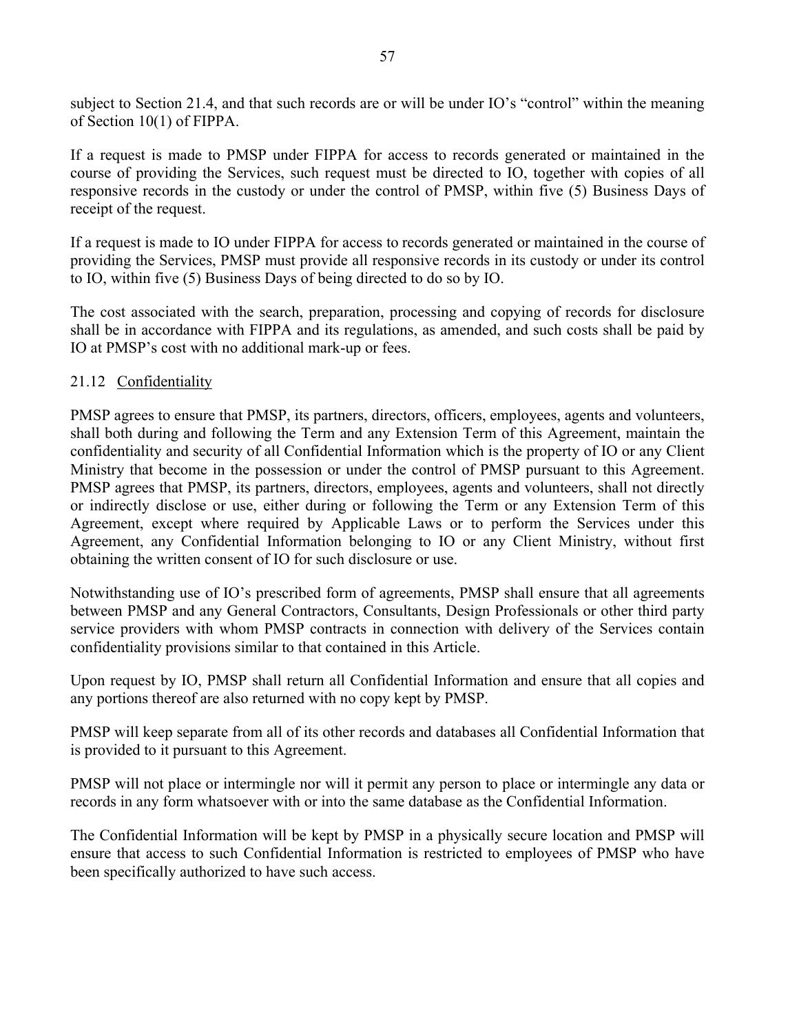subject to Section 21.4, and that such records are or will be under IO's "control" within the meaning of Section 10(1) of FIPPA.

If a request is made to PMSP under FIPPA for access to records generated or maintained in the course of providing the Services, such request must be directed to IO, together with copies of all responsive records in the custody or under the control of PMSP, within five (5) Business Days of receipt of the request.

If a request is made to IO under FIPPA for access to records generated or maintained in the course of providing the Services, PMSP must provide all responsive records in its custody or under its control to IO, within five (5) Business Days of being directed to do so by IO.

The cost associated with the search, preparation, processing and copying of records for disclosure shall be in accordance with FIPPA and its regulations, as amended, and such costs shall be paid by IO at PMSP's cost with no additional mark-up or fees.

### 21.12 Confidentiality

PMSP agrees to ensure that PMSP, its partners, directors, officers, employees, agents and volunteers, shall both during and following the Term and any Extension Term of this Agreement, maintain the confidentiality and security of all Confidential Information which is the property of IO or any Client Ministry that become in the possession or under the control of PMSP pursuant to this Agreement. PMSP agrees that PMSP, its partners, directors, employees, agents and volunteers, shall not directly or indirectly disclose or use, either during or following the Term or any Extension Term of this Agreement, except where required by Applicable Laws or to perform the Services under this Agreement, any Confidential Information belonging to IO or any Client Ministry, without first obtaining the written consent of IO for such disclosure or use.

Notwithstanding use of IO's prescribed form of agreements, PMSP shall ensure that all agreements between PMSP and any General Contractors, Consultants, Design Professionals or other third party service providers with whom PMSP contracts in connection with delivery of the Services contain confidentiality provisions similar to that contained in this Article.

Upon request by IO, PMSP shall return all Confidential Information and ensure that all copies and any portions thereof are also returned with no copy kept by PMSP.

PMSP will keep separate from all of its other records and databases all Confidential Information that is provided to it pursuant to this Agreement.

PMSP will not place or intermingle nor will it permit any person to place or intermingle any data or records in any form whatsoever with or into the same database as the Confidential Information.

The Confidential Information will be kept by PMSP in a physically secure location and PMSP will ensure that access to such Confidential Information is restricted to employees of PMSP who have been specifically authorized to have such access.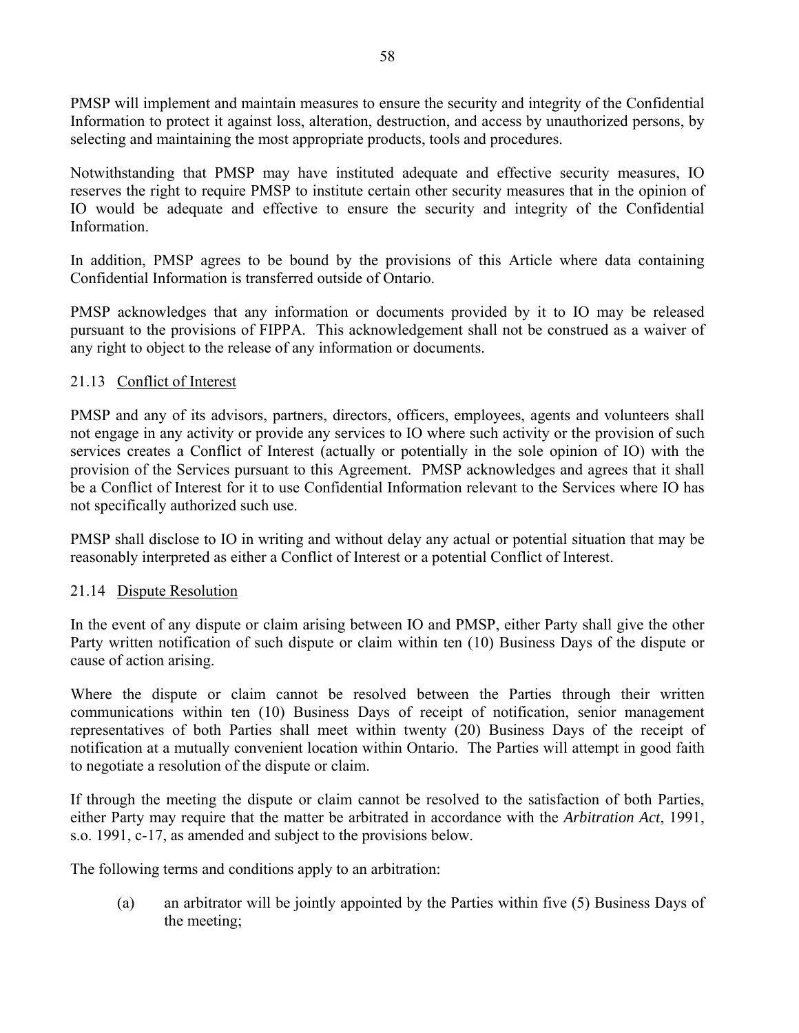PMSP will implement and maintain measures to ensure the security and integrity of the Confidential Information to protect it against loss, alteration, destruction, and access by unauthorized persons, by selecting and maintaining the most appropriate products, tools and procedures.

Notwithstanding that PMSP may have instituted adequate and effective security measures, IO reserves the right to require PMSP to institute certain other security measures that in the opinion of IO would be adequate and effective to ensure the security and integrity of the Confidential Information.

In addition, PMSP agrees to be bound by the provisions of this Article where data containing Confidential Information is transferred outside of Ontario.

PMSP acknowledges that any information or documents provided by it to IO may be released pursuant to the provisions of FIPPA. This acknowledgement shall not be construed as a waiver of any right to object to the release of any information or documents.

### 21.13 Conflict of Interest

PMSP and any of its advisors, partners, directors, officers, employees, agents and volunteers shall not engage in any activity or provide any services to IO where such activity or the provision of such services creates a Conflict of Interest (actually or potentially in the sole opinion of IO) with the provision of the Services pursuant to this Agreement. PMSP acknowledges and agrees that it shall be a Conflict of Interest for it to use Confidential Information relevant to the Services where IO has not specifically authorized such use.

PMSP shall disclose to IO in writing and without delay any actual or potential situation that may be reasonably interpreted as either a Conflict of Interest or a potential Conflict of Interest.

#### 21.14 Dispute Resolution

In the event of any dispute or claim arising between IO and PMSP, either Party shall give the other Party written notification of such dispute or claim within ten (10) Business Days of the dispute or cause of action arising.

Where the dispute or claim cannot be resolved between the Parties through their written communications within ten (10) Business Days of receipt of notification, senior management representatives of both Parties shall meet within twenty (20) Business Days of the receipt of notification at a mutually convenient location within Ontario. The Parties will attempt in good faith to negotiate a resolution of the dispute or claim.

If through the meeting the dispute or claim cannot be resolved to the satisfaction of both Parties, either Party may require that the matter be arbitrated in accordance with the *Arbitration Act*, 1991, s.o. 1991, c-17, as amended and subject to the provisions below.

The following terms and conditions apply to an arbitration:

(a) an arbitrator will be jointly appointed by the Parties within five (5) Business Days of the meeting;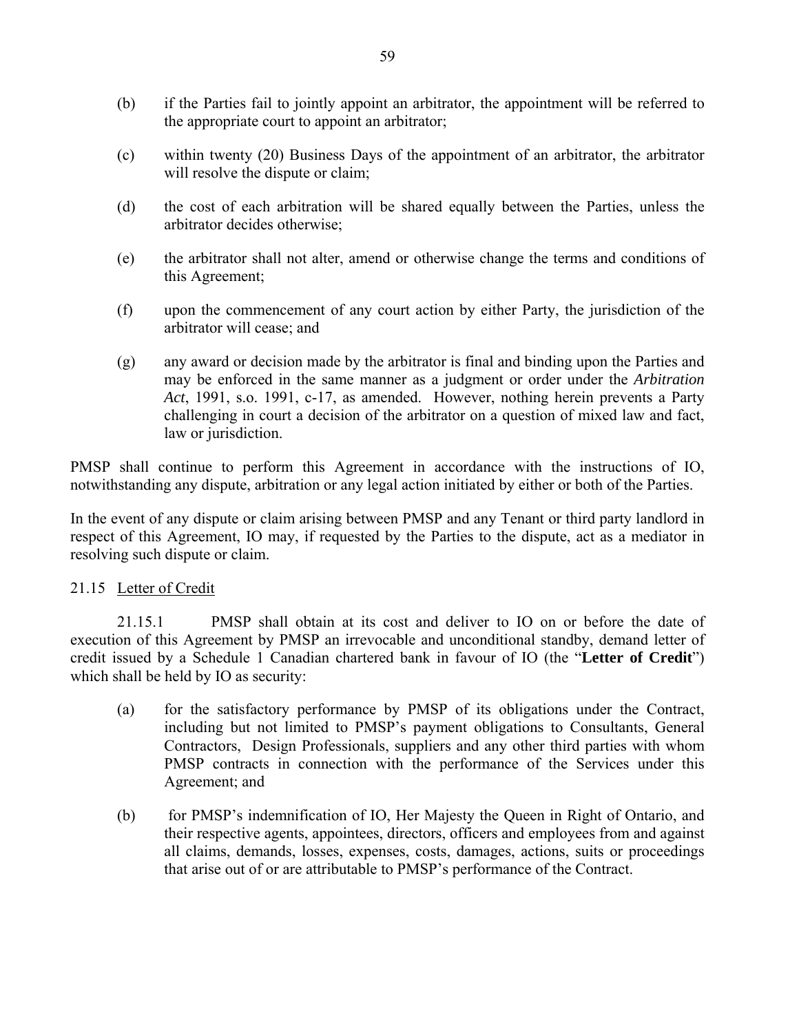- (b) if the Parties fail to jointly appoint an arbitrator, the appointment will be referred to the appropriate court to appoint an arbitrator;
- (c) within twenty (20) Business Days of the appointment of an arbitrator, the arbitrator will resolve the dispute or claim:
- (d) the cost of each arbitration will be shared equally between the Parties, unless the arbitrator decides otherwise;
- (e) the arbitrator shall not alter, amend or otherwise change the terms and conditions of this Agreement;
- (f) upon the commencement of any court action by either Party, the jurisdiction of the arbitrator will cease; and
- (g) any award or decision made by the arbitrator is final and binding upon the Parties and may be enforced in the same manner as a judgment or order under the *Arbitration Act*, 1991, s.o. 1991, c-17, as amended. However, nothing herein prevents a Party challenging in court a decision of the arbitrator on a question of mixed law and fact, law or jurisdiction.

PMSP shall continue to perform this Agreement in accordance with the instructions of IO, notwithstanding any dispute, arbitration or any legal action initiated by either or both of the Parties.

In the event of any dispute or claim arising between PMSP and any Tenant or third party landlord in respect of this Agreement, IO may, if requested by the Parties to the dispute, act as a mediator in resolving such dispute or claim.

### 21.15 Letter of Credit

21.15.1 PMSP shall obtain at its cost and deliver to IO on or before the date of execution of this Agreement by PMSP an irrevocable and unconditional standby, demand letter of credit issued by a Schedule 1 Canadian chartered bank in favour of IO (the "**Letter of Credit**") which shall be held by IO as security:

- (a) for the satisfactory performance by PMSP of its obligations under the Contract, including but not limited to PMSP's payment obligations to Consultants, General Contractors, Design Professionals, suppliers and any other third parties with whom PMSP contracts in connection with the performance of the Services under this Agreement; and
- (b) for PMSP's indemnification of IO, Her Majesty the Queen in Right of Ontario, and their respective agents, appointees, directors, officers and employees from and against all claims, demands, losses, expenses, costs, damages, actions, suits or proceedings that arise out of or are attributable to PMSP's performance of the Contract.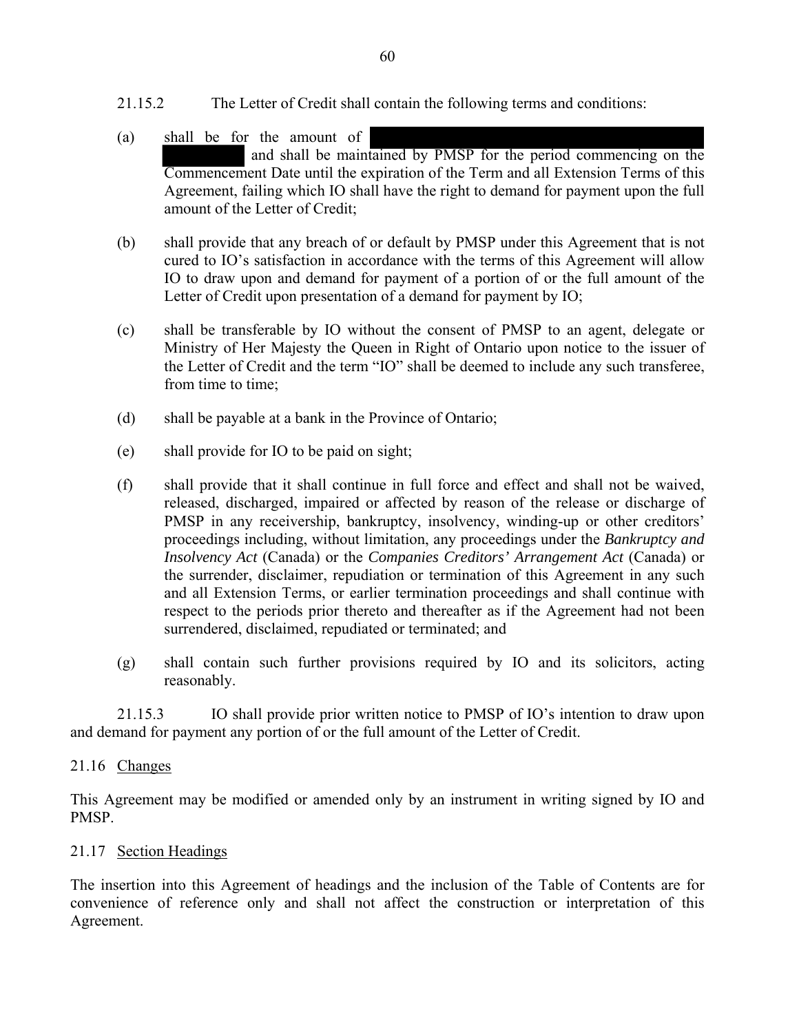- 21.15.2 The Letter of Credit shall contain the following terms and conditions:
- (a) shall be for the amount of and shall be maintained by PMSP for the period commencing on the Commencement Date until the expiration of the Term and all Extension Terms of this Agreement, failing which IO shall have the right to demand for payment upon the full amount of the Letter of Credit;
- (b) shall provide that any breach of or default by PMSP under this Agreement that is not cured to IO's satisfaction in accordance with the terms of this Agreement will allow IO to draw upon and demand for payment of a portion of or the full amount of the Letter of Credit upon presentation of a demand for payment by IO;
- (c) shall be transferable by IO without the consent of PMSP to an agent, delegate or Ministry of Her Majesty the Queen in Right of Ontario upon notice to the issuer of the Letter of Credit and the term "IO" shall be deemed to include any such transferee, from time to time;
- (d) shall be payable at a bank in the Province of Ontario;
- (e) shall provide for IO to be paid on sight;
- (f) shall provide that it shall continue in full force and effect and shall not be waived, released, discharged, impaired or affected by reason of the release or discharge of PMSP in any receivership, bankruptcy, insolvency, winding-up or other creditors' proceedings including, without limitation, any proceedings under the *Bankruptcy and Insolvency Act* (Canada) or the *Companies Creditors' Arrangement Act* (Canada) or the surrender, disclaimer, repudiation or termination of this Agreement in any such and all Extension Terms, or earlier termination proceedings and shall continue with respect to the periods prior thereto and thereafter as if the Agreement had not been surrendered, disclaimed, repudiated or terminated; and
- (g) shall contain such further provisions required by IO and its solicitors, acting reasonably.

21.15.3 IO shall provide prior written notice to PMSP of IO's intention to draw upon and demand for payment any portion of or the full amount of the Letter of Credit.

### 21.16 Changes

This Agreement may be modified or amended only by an instrument in writing signed by IO and PMSP.

### 21.17 Section Headings

The insertion into this Agreement of headings and the inclusion of the Table of Contents are for convenience of reference only and shall not affect the construction or interpretation of this Agreement.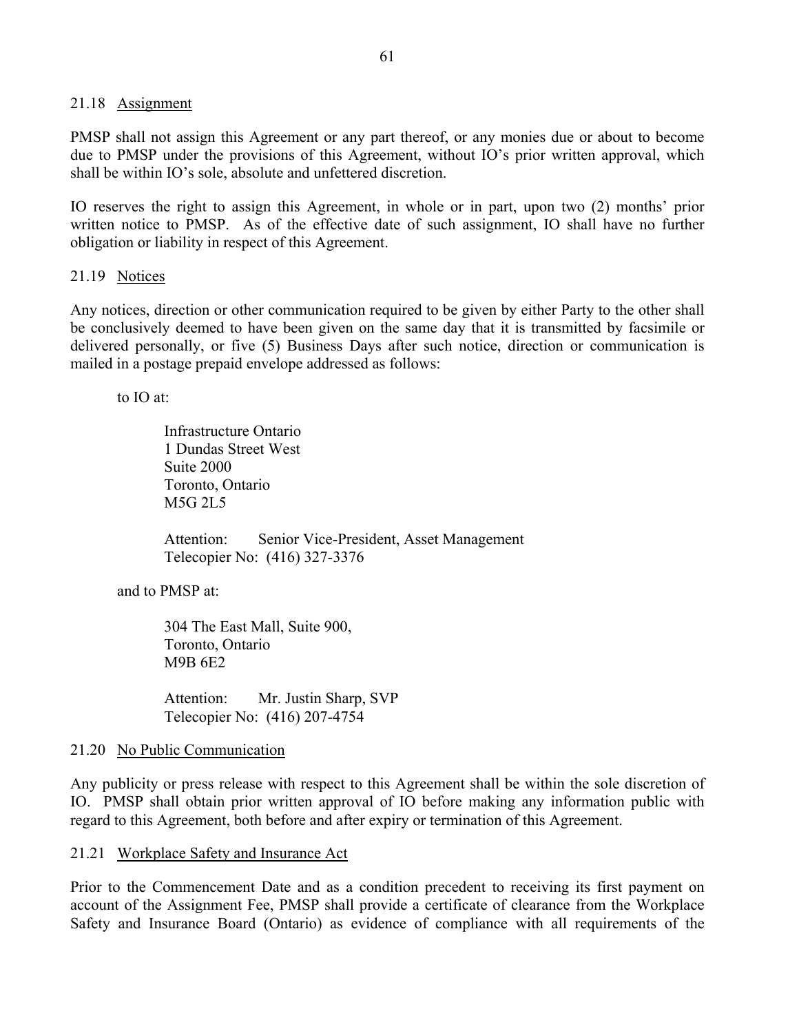#### 21.18 Assignment

PMSP shall not assign this Agreement or any part thereof, or any monies due or about to become due to PMSP under the provisions of this Agreement, without IO's prior written approval, which shall be within IO's sole, absolute and unfettered discretion.

IO reserves the right to assign this Agreement, in whole or in part, upon two (2) months' prior written notice to PMSP. As of the effective date of such assignment, IO shall have no further obligation or liability in respect of this Agreement.

#### 21.19 Notices

Any notices, direction or other communication required to be given by either Party to the other shall be conclusively deemed to have been given on the same day that it is transmitted by facsimile or delivered personally, or five (5) Business Days after such notice, direction or communication is mailed in a postage prepaid envelope addressed as follows:

to IO at:

Infrastructure Ontario 1 Dundas Street West Suite 2000 Toronto, Ontario M5G 2L5

Attention: Senior Vice-President, Asset Management Telecopier No: (416) 327-3376

and to PMSP at:

304 The East Mall, Suite 900, Toronto, Ontario M9B 6E2

Attention: Mr. Justin Sharp, SVP Telecopier No: (416) 207-4754

#### 21.20 No Public Communication

Any publicity or press release with respect to this Agreement shall be within the sole discretion of IO. PMSP shall obtain prior written approval of IO before making any information public with regard to this Agreement, both before and after expiry or termination of this Agreement.

21.21 Workplace Safety and Insurance Act

Prior to the Commencement Date and as a condition precedent to receiving its first payment on account of the Assignment Fee, PMSP shall provide a certificate of clearance from the Workplace Safety and Insurance Board (Ontario) as evidence of compliance with all requirements of the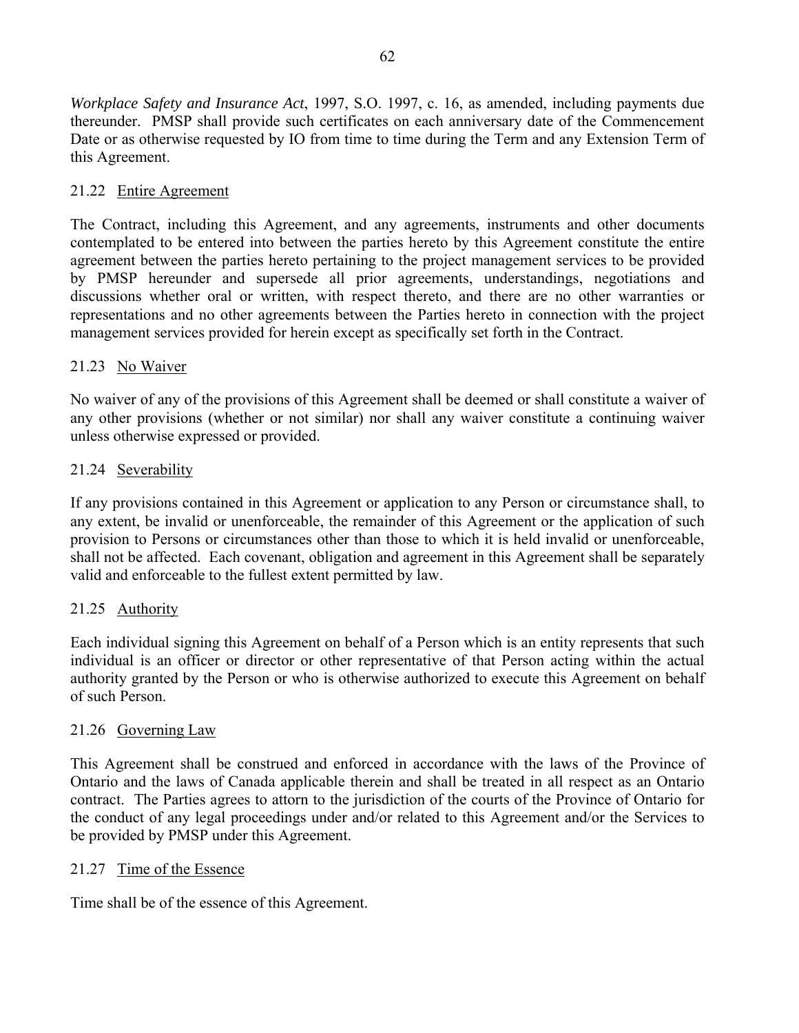*Workplace Safety and Insurance Act*, 1997, S.O. 1997, c. 16, as amended, including payments due thereunder. PMSP shall provide such certificates on each anniversary date of the Commencement Date or as otherwise requested by IO from time to time during the Term and any Extension Term of this Agreement.

### 21.22 Entire Agreement

The Contract, including this Agreement, and any agreements, instruments and other documents contemplated to be entered into between the parties hereto by this Agreement constitute the entire agreement between the parties hereto pertaining to the project management services to be provided by PMSP hereunder and supersede all prior agreements, understandings, negotiations and discussions whether oral or written, with respect thereto, and there are no other warranties or representations and no other agreements between the Parties hereto in connection with the project management services provided for herein except as specifically set forth in the Contract.

### 21.23 No Waiver

No waiver of any of the provisions of this Agreement shall be deemed or shall constitute a waiver of any other provisions (whether or not similar) nor shall any waiver constitute a continuing waiver unless otherwise expressed or provided.

### 21.24 Severability

If any provisions contained in this Agreement or application to any Person or circumstance shall, to any extent, be invalid or unenforceable, the remainder of this Agreement or the application of such provision to Persons or circumstances other than those to which it is held invalid or unenforceable, shall not be affected. Each covenant, obligation and agreement in this Agreement shall be separately valid and enforceable to the fullest extent permitted by law.

### 21.25 Authority

Each individual signing this Agreement on behalf of a Person which is an entity represents that such individual is an officer or director or other representative of that Person acting within the actual authority granted by the Person or who is otherwise authorized to execute this Agreement on behalf of such Person.

#### 21.26 Governing Law

This Agreement shall be construed and enforced in accordance with the laws of the Province of Ontario and the laws of Canada applicable therein and shall be treated in all respect as an Ontario contract. The Parties agrees to attorn to the jurisdiction of the courts of the Province of Ontario for the conduct of any legal proceedings under and/or related to this Agreement and/or the Services to be provided by PMSP under this Agreement.

#### 21.27 Time of the Essence

Time shall be of the essence of this Agreement.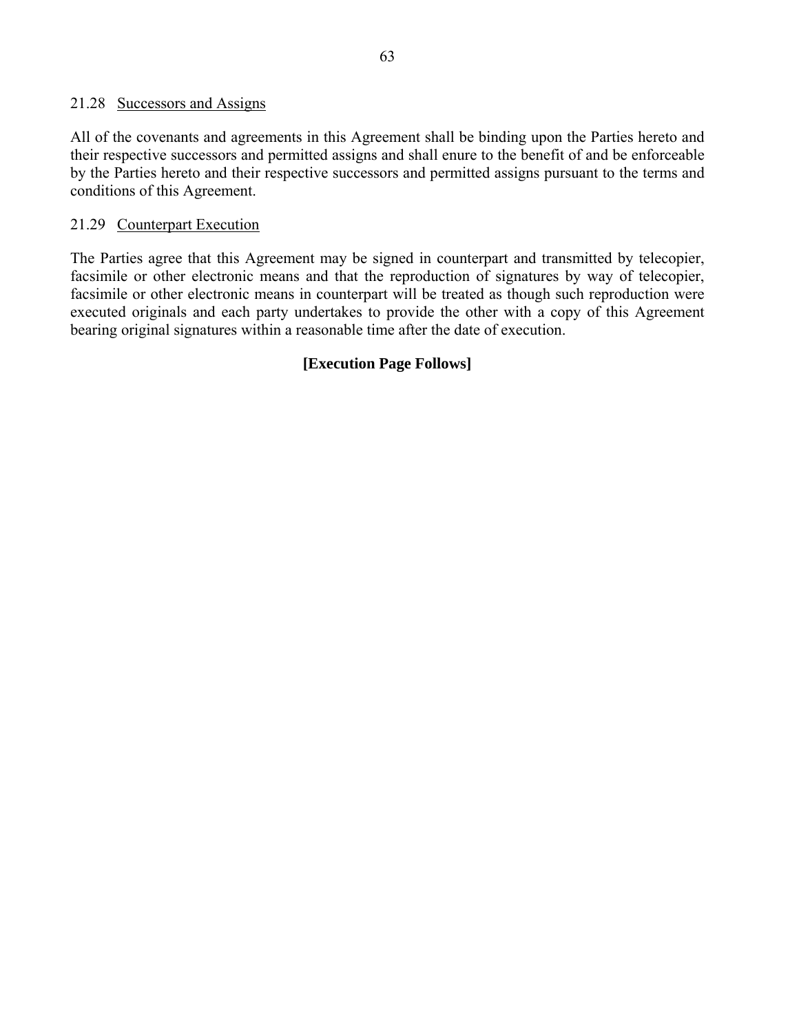#### 21.28 Successors and Assigns

All of the covenants and agreements in this Agreement shall be binding upon the Parties hereto and their respective successors and permitted assigns and shall enure to the benefit of and be enforceable by the Parties hereto and their respective successors and permitted assigns pursuant to the terms and conditions of this Agreement.

#### 21.29 Counterpart Execution

The Parties agree that this Agreement may be signed in counterpart and transmitted by telecopier, facsimile or other electronic means and that the reproduction of signatures by way of telecopier, facsimile or other electronic means in counterpart will be treated as though such reproduction were executed originals and each party undertakes to provide the other with a copy of this Agreement bearing original signatures within a reasonable time after the date of execution.

### **[Execution Page Follows]**